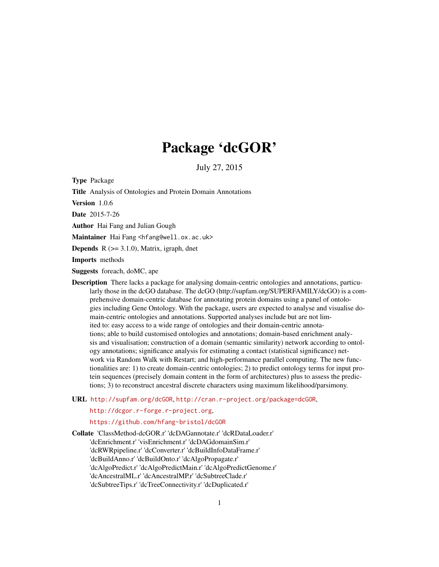# Package 'dcGOR'

July 27, 2015

Type Package

Title Analysis of Ontologies and Protein Domain Annotations

Version 1.0.6

Date 2015-7-26

Author Hai Fang and Julian Gough

Maintainer Hai Fang <hfang@well.ox.ac.uk>

**Depends** R  $(>= 3.1.0)$ , Matrix, igraph, dnet

Imports methods

Suggests foreach, doMC, ape

- Description There lacks a package for analysing domain-centric ontologies and annotations, particularly those in the dcGO database. The dcGO (http://supfam.org/SUPERFAMILY/dcGO) is a comprehensive domain-centric database for annotating protein domains using a panel of ontologies including Gene Ontology. With the package, users are expected to analyse and visualise domain-centric ontologies and annotations. Supported analyses include but are not limited to: easy access to a wide range of ontologies and their domain-centric annotations; able to build customised ontologies and annotations; domain-based enrichment analysis and visualisation; construction of a domain (semantic similarity) network according to ontology annotations; significance analysis for estimating a contact (statistical significance) network via Random Walk with Restart; and high-performance parallel computing. The new functionalities are: 1) to create domain-centric ontologies; 2) to predict ontology terms for input protein sequences (precisely domain content in the form of architectures) plus to assess the predictions; 3) to reconstruct ancestral discrete characters using maximum likelihood/parsimony.
- URL <http://supfam.org/dcGOR>, <http://cran.r-project.org/package=dcGOR>,

<http://dcgor.r-forge.r-project.org>,

<https://github.com/hfang-bristol/dcGOR>

Collate 'ClassMethod-dcGOR.r' 'dcDAGannotate.r' 'dcRDataLoader.r' 'dcEnrichment.r' 'visEnrichment.r' 'dcDAGdomainSim.r' 'dcRWRpipeline.r' 'dcConverter.r' 'dcBuildInfoDataFrame.r' 'dcBuildAnno.r' 'dcBuildOnto.r' 'dcAlgoPropagate.r' 'dcAlgoPredict.r' 'dcAlgoPredictMain.r' 'dcAlgoPredictGenome.r' 'dcAncestralML.r' 'dcAncestralMP.r' 'dcSubtreeClade.r' 'dcSubtreeTips.r' 'dcTreeConnectivity.r' 'dcDuplicated.r'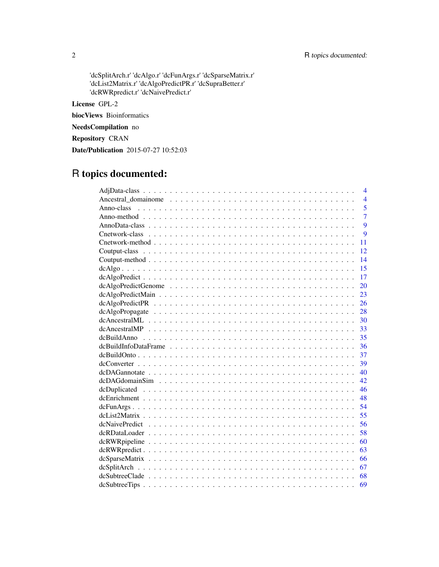'dcSplitArch.r' 'dcAlgo.r' 'dcFunArgs.r' 'dcSparseMatrix.r' 'dcList2Matrix.r' 'dcAlgoPredictPR.r' 'dcSupraBetter.r' 'dcRWRpredict.r' 'dcNaivePredict.r'

License GPL-2

biocViews Bioinformatics

NeedsCompilation no

Repository CRAN

Date/Publication 2015-07-27 10:52:03

# R topics documented:

| 4                            |  |
|------------------------------|--|
| $\overline{4}$               |  |
| $\overline{5}$<br>Anno-class |  |
| $\overline{7}$               |  |
| 9                            |  |
| 9                            |  |
| 11                           |  |
| 12                           |  |
| 14                           |  |
| 15                           |  |
| 17                           |  |
| 20                           |  |
| 23                           |  |
| 26                           |  |
| 28                           |  |
| 30                           |  |
| 33                           |  |
| 35                           |  |
| 36                           |  |
| 37                           |  |
| 39                           |  |
| 40                           |  |
| 42                           |  |
| 46                           |  |
| 48                           |  |
| 54                           |  |
| 55                           |  |
| 56                           |  |
| 58                           |  |
| 60                           |  |
| 63                           |  |
| 66                           |  |
| 67                           |  |
| 68                           |  |
| dcSubtreeTips<br>69          |  |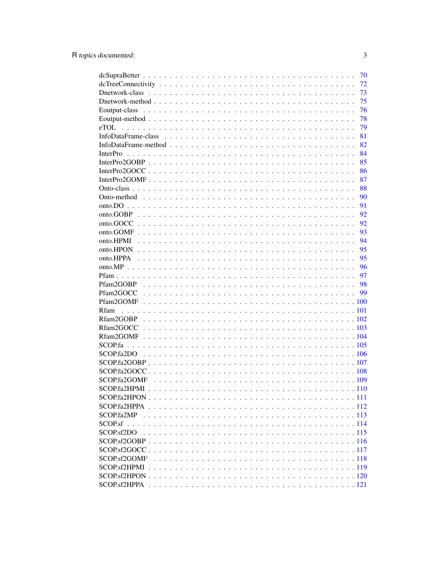|                                                                                                                                                                                     | 70       |
|-------------------------------------------------------------------------------------------------------------------------------------------------------------------------------------|----------|
|                                                                                                                                                                                     | 72       |
|                                                                                                                                                                                     | 73       |
|                                                                                                                                                                                     | 75       |
|                                                                                                                                                                                     | 76       |
|                                                                                                                                                                                     | 78       |
|                                                                                                                                                                                     | 79       |
|                                                                                                                                                                                     | 81       |
|                                                                                                                                                                                     | 82       |
| <b>InterPro</b>                                                                                                                                                                     | 84       |
|                                                                                                                                                                                     | 85       |
|                                                                                                                                                                                     | 86       |
|                                                                                                                                                                                     | 87       |
|                                                                                                                                                                                     | 88       |
|                                                                                                                                                                                     | 90       |
|                                                                                                                                                                                     | 91       |
|                                                                                                                                                                                     | 92       |
|                                                                                                                                                                                     | 92       |
|                                                                                                                                                                                     | 93       |
|                                                                                                                                                                                     | 94       |
|                                                                                                                                                                                     | 95       |
|                                                                                                                                                                                     | 95       |
|                                                                                                                                                                                     |          |
|                                                                                                                                                                                     | 96<br>97 |
|                                                                                                                                                                                     |          |
|                                                                                                                                                                                     | 98       |
|                                                                                                                                                                                     | 99       |
|                                                                                                                                                                                     |          |
| <b>Rfam</b>                                                                                                                                                                         |          |
|                                                                                                                                                                                     |          |
|                                                                                                                                                                                     |          |
|                                                                                                                                                                                     |          |
|                                                                                                                                                                                     |          |
| SCOP.fa2DO                                                                                                                                                                          |          |
|                                                                                                                                                                                     |          |
|                                                                                                                                                                                     |          |
| <b>SCOP</b> .fa2GOMF                                                                                                                                                                |          |
|                                                                                                                                                                                     |          |
| $SCOP$ . fa 2HPON $\ldots$ $\ldots$ $\ldots$ $\ldots$ $\ldots$ $\ldots$ $\ldots$ $\ldots$ $\ldots$ $\ldots$ $\ldots$ $\ldots$ $\ldots$ $\ldots$ $\ldots$ $\ldots$ $\ldots$ $\ldots$ |          |
|                                                                                                                                                                                     |          |
| <b>SCOP</b> fa <sub>2</sub> MP                                                                                                                                                      |          |
|                                                                                                                                                                                     |          |
| SCOP <sub>s</sub> f2DO                                                                                                                                                              |          |
|                                                                                                                                                                                     |          |
| SCOP <sub>sf2GOCC</sub> .                                                                                                                                                           |          |
| SCOP.sf2GOMF                                                                                                                                                                        |          |
| SCOP.sf2HPMI                                                                                                                                                                        |          |
|                                                                                                                                                                                     |          |
| SCOP.sf2HPPA                                                                                                                                                                        |          |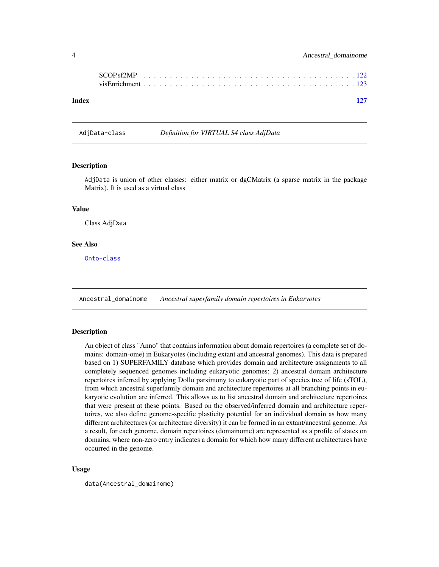<span id="page-3-0"></span>

| Index |  |  |  |  |  |  |  |  |  |  |  |  |  |  |  |  | 127 |
|-------|--|--|--|--|--|--|--|--|--|--|--|--|--|--|--|--|-----|

AdjData-class *Definition for VIRTUAL S4 class AdjData*

# <span id="page-3-1"></span>Description

AdjData is union of other classes: either matrix or dgCMatrix (a sparse matrix in the package Matrix). It is used as a virtual class

# Value

Class AdjData

# See Also

[Onto-class](#page-87-1)

Ancestral\_domainome *Ancestral superfamily domain repertoires in Eukaryotes*

## Description

An object of class "Anno" that contains information about domain repertoires (a complete set of domains: domain-ome) in Eukaryotes (including extant and ancestral genomes). This data is prepared based on 1) SUPERFAMILY database which provides domain and architecture assignments to all completely sequenced genomes including eukaryotic genomes; 2) ancestral domain architecture repertoires inferred by applying Dollo parsimony to eukaryotic part of species tree of life (sTOL), from which ancestral superfamily domain and architecture repertoires at all branching points in eukaryotic evolution are inferred. This allows us to list ancestral domain and architecture repertoires that were present at these points. Based on the observed/inferred domain and architecture repertoires, we also define genome-specific plasticity potential for an individual domain as how many different architectures (or architecture diversity) it can be formed in an extant/ancestral genome. As a result, for each genome, domain repertoires (domainome) are represented as a profile of states on domains, where non-zero entry indicates a domain for which how many different architectures have occurred in the genome.

#### Usage

data(Ancestral\_domainome)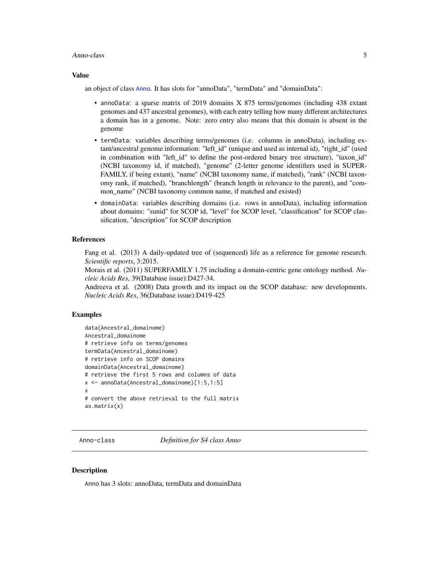#### <span id="page-4-0"></span>Anno-class 5

#### Value

an object of class [Anno](#page-4-1). It has slots for "annoData", "termData" and "domainData":

- annoData: a sparse matrix of 2019 domains X 875 terms/genomes (including 438 extant genomes and 437 ancestral genomes), with each entry telling how many different architectures a domain has in a genome. Note: zero entry also means that this domain is absent in the genome
- termData: variables describing terms/genomes (i.e. columns in annoData), including extant/ancestral genome information: "left\_id" (unique and used as internal id), "right\_id" (used in combination with "left\_id" to define the post-ordered binary tree structure), "taxon\_id" (NCBI taxonomy id, if matched), "genome" (2-letter genome identifiers used in SUPER-FAMILY, if being extant), "name" (NCBI taxonomy name, if matched), "rank" (NCBI taxonomy rank, if matched), "branchlength" (branch length in relevance to the parent), and "common\_name" (NCBI taxonomy common name, if matched and existed)
- domainData: variables describing domains (i.e. rows in annoData), including information about domains: "sunid" for SCOP id, "level" for SCOP level, "classification" for SCOP classification, "description" for SCOP description

# References

Fang et al. (2013) A daily-updated tree of (sequenced) life as a reference for genome research. *Scientific reports*, 3:2015.

Morais et al. (2011) SUPERFAMILY 1.75 including a domain-centric gene ontology method. *Nucleic Acids Res*, 39(Database issue):D427-34.

Andreeva et al. (2008) Data growth and its impact on the SCOP database: new developments. *Nucleic Acids Res*, 36(Database issue):D419-425

#### Examples

```
data(Ancestral_domainome)
Ancestral_domainome
# retrieve info on terms/genomes
termData(Ancestral_domainome)
# retrieve info on SCOP domains
domainData(Ancestral_domainome)
# retrieve the first 5 rows and columns of data
x <- annoData(Ancestral_domainome)[1:5,1:5]
x
# convert the above retrieval to the full matrix
as.matrix(x)
```
<span id="page-4-2"></span>Anno-class *Definition for S4 class Anno*

#### <span id="page-4-1"></span>**Description**

Anno has 3 slots: annoData, termData and domainData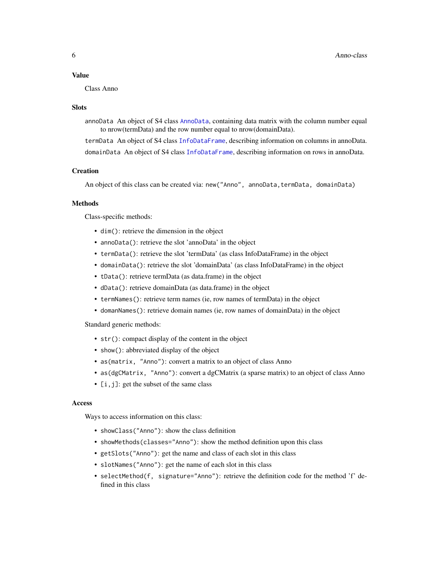#### Value

Class Anno

#### Slots

annoData An object of S4 class [AnnoData](#page-8-1), containing data matrix with the column number equal to nrow(termData) and the row number equal to nrow(domainData).

termData An object of S4 class [InfoDataFrame](#page-80-1), describing information on columns in annoData. domainData An object of S4 class [InfoDataFrame](#page-80-1), describing information on rows in annoData.

# **Creation**

An object of this class can be created via: new("Anno", annoData,termData, domainData)

## Methods

Class-specific methods:

- dim(): retrieve the dimension in the object
- annoData(): retrieve the slot 'annoData' in the object
- termData(): retrieve the slot 'termData' (as class InfoDataFrame) in the object
- domainData(): retrieve the slot 'domainData' (as class InfoDataFrame) in the object
- tData(): retrieve termData (as data.frame) in the object
- dData(): retrieve domainData (as data.frame) in the object
- termNames(): retrieve term names (ie, row names of termData) in the object
- domanNames(): retrieve domain names (ie, row names of domainData) in the object

Standard generic methods:

- str(): compact display of the content in the object
- show(): abbreviated display of the object
- as(matrix, "Anno"): convert a matrix to an object of class Anno
- as (dgCMatrix, "Anno"): convert a dgCMatrix (a sparse matrix) to an object of class Anno
- [i, j]: get the subset of the same class

#### Access

Ways to access information on this class:

- showClass("Anno"): show the class definition
- showMethods(classes="Anno"): show the method definition upon this class
- getSlots("Anno"): get the name and class of each slot in this class
- slotNames("Anno"): get the name of each slot in this class
- selectMethod(f, signature="Anno"): retrieve the definition code for the method 'f' defined in this class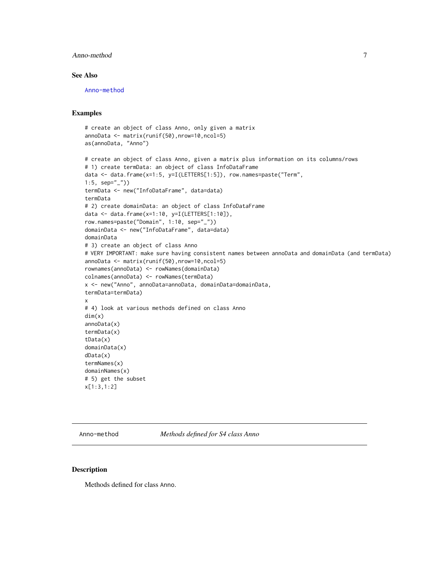# <span id="page-6-0"></span>Anno-method 7

# See Also

[Anno-method](#page-6-1)

# Examples

```
# create an object of class Anno, only given a matrix
annoData <- matrix(runif(50),nrow=10,ncol=5)
as(annoData, "Anno")
# create an object of class Anno, given a matrix plus information on its columns/rows
# 1) create termData: an object of class InfoDataFrame
data <- data.frame(x=1:5, y=I(LETTERS[1:5]), row.names=paste("Term",
1:5, sep="_"))
termData <- new("InfoDataFrame", data=data)
termData
# 2) create domainData: an object of class InfoDataFrame
data <- data.frame(x=1:10, y=I(LETTERS[1:10]),
row.names=paste("Domain", 1:10, sep="_"))
domainData <- new("InfoDataFrame", data=data)
domainData
# 3) create an object of class Anno
# VERY IMPORTANT: make sure having consistent names between annoData and domainData (and termData)
annoData <- matrix(runif(50),nrow=10,ncol=5)
rownames(annoData) <- rowNames(domainData)
colnames(annoData) <- rowNames(termData)
x <- new("Anno", annoData=annoData, domainData=domainData,
termData=termData)
x
# 4) look at various methods defined on class Anno
dim(x)
annoData(x)
termData(x)
tData(x)
domainData(x)
dData(x)
termNames(x)
domainNames(x)
# 5) get the subset
x[1:3,1:2]
```
<span id="page-6-1"></span>Anno-method *Methods defined for S4 class Anno*

# Description

Methods defined for class Anno.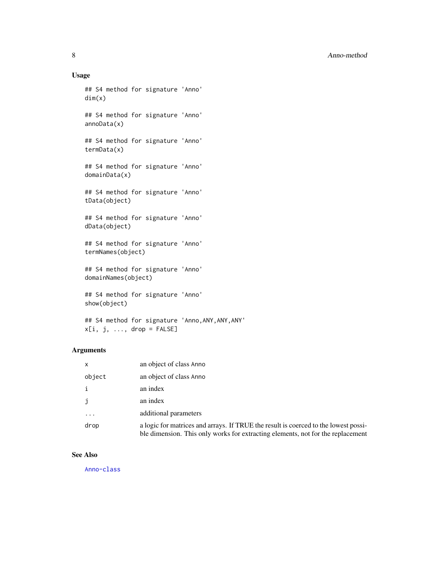# Usage

```
## S4 method for signature 'Anno'
dim(x)
## S4 method for signature 'Anno'
annoData(x)
## S4 method for signature 'Anno'
termData(x)
## S4 method for signature 'Anno'
domainData(x)
## S4 method for signature 'Anno'
tData(object)
## S4 method for signature 'Anno'
dData(object)
## S4 method for signature 'Anno'
termNames(object)
## S4 method for signature 'Anno'
domainNames(object)
## S4 method for signature 'Anno'
show(object)
```
## S4 method for signature 'Anno,ANY,ANY,ANY'  $x[i, j, ..., drop = FALSE]$ 

# Arguments

| x        | an object of class Anno                                                                                                                                                |
|----------|------------------------------------------------------------------------------------------------------------------------------------------------------------------------|
| object   | an object of class Anno                                                                                                                                                |
| i        | an index                                                                                                                                                               |
| j        | an index                                                                                                                                                               |
| $\ddots$ | additional parameters                                                                                                                                                  |
| drop     | a logic for matrices and arrays. If TRUE the result is coerced to the lowest possi-<br>ble dimension. This only works for extracting elements, not for the replacement |

# See Also

[Anno-class](#page-4-2)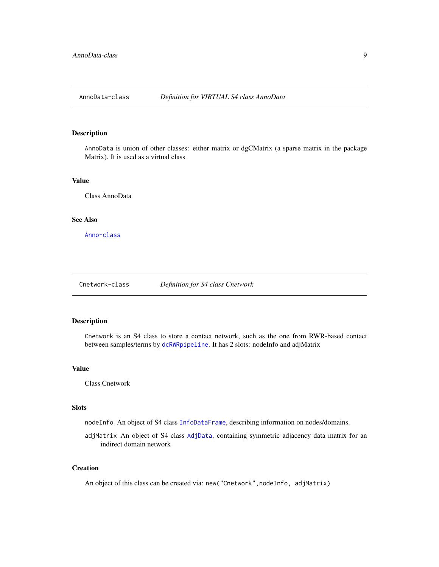<span id="page-8-0"></span>

# <span id="page-8-1"></span>Description

AnnoData is union of other classes: either matrix or dgCMatrix (a sparse matrix in the package Matrix). It is used as a virtual class

## Value

Class AnnoData

# See Also

[Anno-class](#page-4-2)

<span id="page-8-2"></span>Cnetwork-class *Definition for S4 class Cnetwork*

# <span id="page-8-3"></span>Description

Cnetwork is an S4 class to store a contact network, such as the one from RWR-based contact between samples/terms by [dcRWRpipeline](#page-59-1). It has 2 slots: nodeInfo and adjMatrix

#### Value

Class Cnetwork

# Slots

nodeInfo An object of S4 class [InfoDataFrame](#page-80-1), describing information on nodes/domains.

adjMatrix An object of S4 class [AdjData](#page-3-1), containing symmetric adjacency data matrix for an indirect domain network

# **Creation**

An object of this class can be created via: new("Cnetwork", nodeInfo, adjMatrix)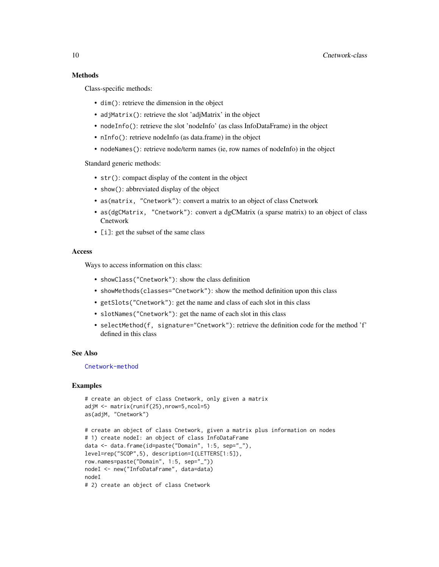## Methods

Class-specific methods:

- dim(): retrieve the dimension in the object
- adjMatrix(): retrieve the slot 'adjMatrix' in the object
- nodeInfo(): retrieve the slot 'nodeInfo' (as class InfoDataFrame) in the object
- nInfo(): retrieve nodeInfo (as data.frame) in the object
- nodeNames(): retrieve node/term names (ie, row names of nodeInfo) in the object

Standard generic methods:

- str(): compact display of the content in the object
- show(): abbreviated display of the object
- as(matrix, "Cnetwork"): convert a matrix to an object of class Cnetwork
- as(dgCMatrix, "Cnetwork"): convert a dgCMatrix (a sparse matrix) to an object of class Cnetwork
- [i]: get the subset of the same class

# Access

Ways to access information on this class:

- showClass("Cnetwork"): show the class definition
- showMethods(classes="Cnetwork"): show the method definition upon this class
- getSlots("Cnetwork"): get the name and class of each slot in this class
- slotNames("Cnetwork"): get the name of each slot in this class
- selectMethod(f, signature="Cnetwork"): retrieve the definition code for the method 'f' defined in this class

## See Also

[Cnetwork-method](#page-10-1)

```
# create an object of class Cnetwork, only given a matrix
adjM <- matrix(runif(25),nrow=5,ncol=5)
as(adjM, "Cnetwork")
# create an object of class Cnetwork, given a matrix plus information on nodes
# 1) create nodeI: an object of class InfoDataFrame
data <- data.frame(id=paste("Domain", 1:5, sep="_"),
level=rep("SCOP",5), description=I(LETTERS[1:5]),
row.names=paste("Domain", 1:5, sep="_"))
nodeI <- new("InfoDataFrame", data=data)
nodeI
# 2) create an object of class Cnetwork
```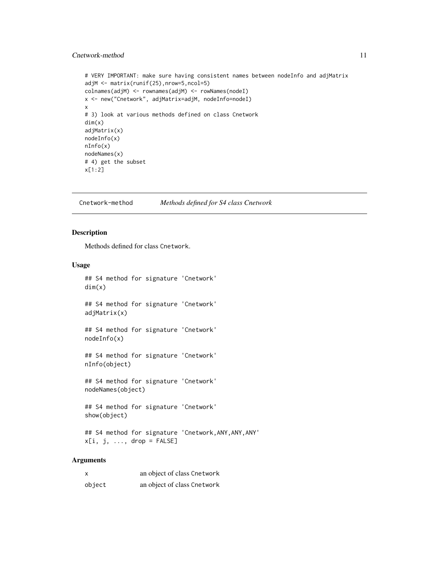# <span id="page-10-0"></span>Cnetwork-method 11

```
# VERY IMPORTANT: make sure having consistent names between nodeInfo and adjMatrix
adjM <- matrix(runif(25),nrow=5,ncol=5)
colnames(adjM) <- rownames(adjM) <- rowNames(nodeI)
x <- new("Cnetwork", adjMatrix=adjM, nodeInfo=nodeI)
x
# 3) look at various methods defined on class Cnetwork
dim(x)
adjMatrix(x)
nodeInfo(x)
nInfo(x)
nodeNames(x)
# 4) get the subset
x[1:2]
```
<span id="page-10-1"></span>Cnetwork-method *Methods defined for S4 class Cnetwork*

# Description

Methods defined for class Cnetwork.

# Usage

```
## S4 method for signature 'Cnetwork'
dim(x)
## S4 method for signature 'Cnetwork'
adjMatrix(x)
## S4 method for signature 'Cnetwork'
nodeInfo(x)
```
## S4 method for signature 'Cnetwork' nInfo(object)

## S4 method for signature 'Cnetwork' nodeNames(object)

## S4 method for signature 'Cnetwork' show(object)

## S4 method for signature 'Cnetwork,ANY,ANY,ANY'  $x[i, j, ..., drop = FALSE]$ 

# Arguments

| X      | an object of class Cnetwork |
|--------|-----------------------------|
| object | an object of class Cnetwork |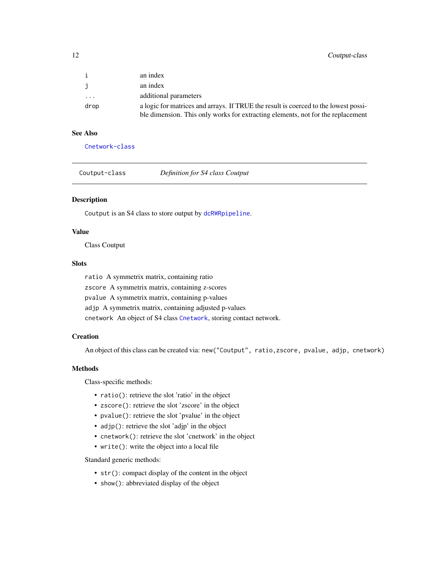<span id="page-11-0"></span>

| $\mathbf{i}$            | an index                                                                            |
|-------------------------|-------------------------------------------------------------------------------------|
| j                       | an index                                                                            |
| $\cdot$ $\cdot$ $\cdot$ | additional parameters                                                               |
| drop                    | a logic for matrices and arrays. If TRUE the result is coerced to the lowest possi- |
|                         | ble dimension. This only works for extracting elements, not for the replacement     |

# See Also

[Cnetwork-class](#page-8-2)

<span id="page-11-1"></span>

# Description

Coutput is an S4 class to store output by [dcRWRpipeline](#page-59-1).

# Value

Class Coutput

# **Slots**

ratio A symmetrix matrix, containing ratio zscore A symmetrix matrix, containing z-scores pvalue A symmetrix matrix, containing p-values adjp A symmetrix matrix, containing adjusted p-values cnetwork An object of S4 class [Cnetwork](#page-8-3), storing contact network.

## **Creation**

An object of this class can be created via: new("Coutput", ratio,zscore, pvalue, adjp, cnetwork)

### Methods

Class-specific methods:

- ratio(): retrieve the slot 'ratio' in the object
- zscore(): retrieve the slot 'zscore' in the object
- pvalue(): retrieve the slot 'pvalue' in the object
- adjp(): retrieve the slot 'adjp' in the object
- cnetwork(): retrieve the slot 'cnetwork' in the object
- write(): write the object into a local file

Standard generic methods:

- str(): compact display of the content in the object
- show(): abbreviated display of the object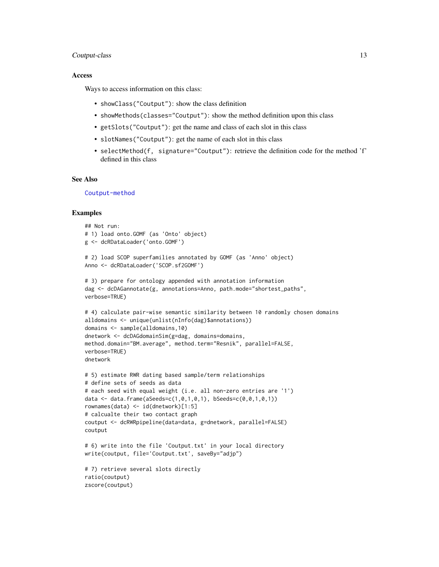# Coutput-class 13

## Access

Ways to access information on this class:

- showClass("Coutput"): show the class definition
- showMethods(classes="Coutput"): show the method definition upon this class
- getSlots("Coutput"): get the name and class of each slot in this class
- slotNames("Coutput"): get the name of each slot in this class
- selectMethod(f, signature="Coutput"): retrieve the definition code for the method 'f' defined in this class

## See Also

[Coutput-method](#page-13-1)

```
## Not run:
# 1) load onto.GOMF (as 'Onto' object)
g <- dcRDataLoader('onto.GOMF')
# 2) load SCOP superfamilies annotated by GOMF (as 'Anno' object)
Anno <- dcRDataLoader('SCOP.sf2GOMF')
# 3) prepare for ontology appended with annotation information
dag <- dcDAGannotate(g, annotations=Anno, path.mode="shortest_paths",
verbose=TRUE)
# 4) calculate pair-wise semantic similarity between 10 randomly chosen domains
alldomains <- unique(unlist(nInfo(dag)$annotations))
domains <- sample(alldomains,10)
dnetwork <- dcDAGdomainSim(g=dag, domains=domains,
method.domain="BM.average", method.term="Resnik", parallel=FALSE,
verbose=TRUE)
dnetwork
# 5) estimate RWR dating based sample/term relationships
# define sets of seeds as data
# each seed with equal weight (i.e. all non-zero entries are '1')
data <- data.frame(aSeeds=c(1,0,1,0,1), bSeeds=c(0,0,1,0,1))
rownames(data) <- id(dnetwork)[1:5]
# calcualte their two contact graph
coutput <- dcRWRpipeline(data=data, g=dnetwork, parallel=FALSE)
coutput
# 6) write into the file 'Coutput.txt' in your local directory
write(coutput, file='Coutput.txt', saveBy="adjp")
# 7) retrieve several slots directly
ratio(coutput)
zscore(coutput)
```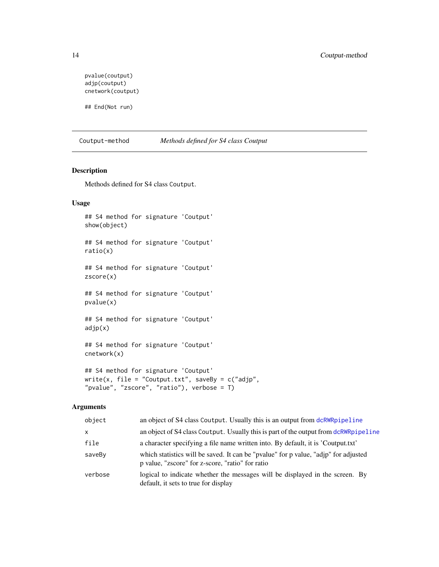```
pvalue(coutput)
adjp(coutput)
cnetwork(coutput)
```
## End(Not run)

<span id="page-13-1"></span>Coutput-method *Methods defined for S4 class Coutput*

# Description

Methods defined for S4 class Coutput.

# Usage

```
## S4 method for signature 'Coutput'
show(object)
## S4 method for signature 'Coutput'
ratio(x)
## S4 method for signature 'Coutput'
zscore(x)
## S4 method for signature 'Coutput'
pvalue(x)
## S4 method for signature 'Coutput'
adjp(x)
## S4 method for signature 'Coutput'
cnetwork(x)
## S4 method for signature 'Coutput'
```

```
write(x, file = "Countput.txt", saveBy = c("adjp","pvalue", "zscore", "ratio"), verbose = T)
```
# Arguments

| object       | an object of S4 class Coutput. Usually this is an output from dcRWRpipeline                                                             |
|--------------|-----------------------------------------------------------------------------------------------------------------------------------------|
| $\mathsf{x}$ | an object of S4 class Coutput. Usually this is part of the output from dcRWRpipeline                                                    |
| file         | a character specifying a file name written into. By default, it is 'Coutput.txt'                                                        |
| saveBy       | which statistics will be saved. It can be "pvalue" for p value, "adjp" for adjusted<br>p value, "zscore" for z-score, "ratio" for ratio |
| verbose      | logical to indicate whether the messages will be displayed in the screen. By<br>default, it sets to true for display                    |

<span id="page-13-0"></span>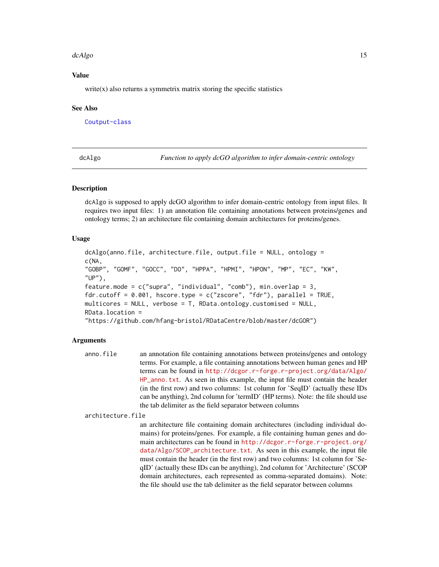## <span id="page-14-0"></span>dcAlgo the contract of the contract of the contract of the contract of the contract of the contract of the contract of the contract of the contract of the contract of the contract of the contract of the contract of the con

# Value

 $write(x)$  also returns a symmetrix matrix storing the specific statistics

## See Also

[Coutput-class](#page-11-1)

<span id="page-14-1"></span>dcAlgo *Function to apply dcGO algorithm to infer domain-centric ontology*

# Description

dcAlgo is supposed to apply dcGO algorithm to infer domain-centric ontology from input files. It requires two input files: 1) an annotation file containing annotations between proteins/genes and ontology terms; 2) an architecture file containing domain architectures for proteins/genes.

## Usage

```
dcAlgo(anno.file, architecture.file, output.file = NULL, ontology =
c(NA,
"GOBP", "GOMF", "GOCC", "DO", "HPPA", "HPMI", "HPON", "MP", "EC", "KW",
"UP"),
feature.mode = c("supra", "individual", "comb"), min. overlap = 3,fdr.cutoff = 0.001, hscore.type = c("zscore", "fdr"), parallel = TRUE,multicores = NULL, verbose = T, RData.ontology.customised = NULL,
RData.location =
"https://github.com/hfang-bristol/RDataCentre/blob/master/dcGOR")
```
#### Arguments

```
anno.file an annotation file containing annotations between proteins/genes and ontology
                  terms. For example, a file containing annotations between human genes and HP
                  terms can be found in http://dcgor.r-forge.r-project.org/data/Algo/
                  HP_anno.txt. As seen in this example, the input file must contain the header
                  (in the first row) and two columns: 1st column for 'SeqID' (actually these IDs
                  can be anything), 2nd column for 'termID' (HP terms). Note: the file should use
                  the tab delimiter as the field separator between columns
```
architecture.file

an architecture file containing domain architectures (including individual domains) for proteins/genes. For example, a file containing human genes and domain architectures can be found in [http://dcgor.r-forge.r-project.org/](http://dcgor.r-forge.r-project.org/data/Algo/SCOP_architecture.txt) [data/Algo/SCOP\\_architecture.txt](http://dcgor.r-forge.r-project.org/data/Algo/SCOP_architecture.txt). As seen in this example, the input file must contain the header (in the first row) and two columns: 1st column for 'SeqID' (actually these IDs can be anything), 2nd column for 'Architecture' (SCOP domain architectures, each represented as comma-separated domains). Note: the file should use the tab delimiter as the field separator between columns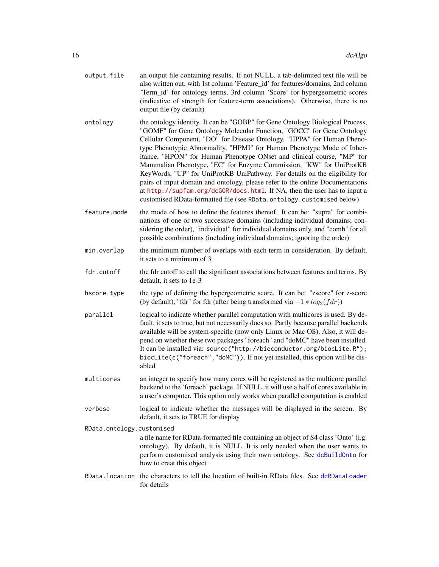| output.file | an output file containing results. If not NULL, a tab-delimited text file will be<br>also written out, with 1st column 'Feature id' for features/domains, 2nd column<br>Term_id' for ontology terms, 3rd column 'Score' for hypergeometric scores |
|-------------|---------------------------------------------------------------------------------------------------------------------------------------------------------------------------------------------------------------------------------------------------|
|             | (indicative of strength for feature-term associations). Otherwise, there is no<br>output file (by default)                                                                                                                                        |

- ontology the ontology identity. It can be "GOBP" for Gene Ontology Biological Process, "GOMF" for Gene Ontology Molecular Function, "GOCC" for Gene Ontology Cellular Component, "DO" for Disease Ontology, "HPPA" for Human Phenotype Phenotypic Abnormality, "HPMI" for Human Phenotype Mode of Inheritance, "HPON" for Human Phenotype ONset and clinical course, "MP" for Mammalian Phenotype, "EC" for Enzyme Commission, "KW" for UniProtKB KeyWords, "UP" for UniProtKB UniPathway. For details on the eligibility for pairs of input domain and ontology, please refer to the online Documentations at <http://supfam.org/dcGOR/docs.html>. If NA, then the user has to input a customised RData-formatted file (see RData.ontology.customised below)
- feature.mode the mode of how to define the features thereof. It can be: "supra" for combinations of one or two successive domains (including individual domains; considering the order), "individual" for individual domains only, and "comb" for all possible combinations (including individual domains; ignoring the order)
- min.overlap the minimum number of overlaps with each term in consideration. By default, it sets to a minimum of 3
- fdr.cutoff the fdr cutoff to call the significant associations between features and terms. By default, it sets to 1e-3
- hscore, type the type of defining the hypergeometric score. It can be: "zscore" for z-score (by default), "fdr" for fdr (after being transformed via  $-1 * log_2(f dr)$ )
- parallel logical to indicate whether parallel computation with multicores is used. By default, it sets to true, but not necessarily does so. Partly because parallel backends available will be system-specific (now only Linux or Mac OS). Also, it will depend on whether these two packages "foreach" and "doMC" have been installed. It can be installed via: source("http://bioconductor.org/biocLite.R"); biocLite(c("foreach","doMC")). If not yet installed, this option will be disabled
- multicores an integer to specify how many cores will be registered as the multicore parallel backend to the 'foreach' package. If NULL, it will use a half of cores available in a user's computer. This option only works when parallel computation is enabled
- verbose logical to indicate whether the messages will be displayed in the screen. By default, it sets to TRUE for display

RData.ontology.customised a file name for RData-formatted file containing an object of S4 class 'Onto' (i.g. ontology). By default, it is NULL. It is only needed when the user wants to perform customised analysis using their own ontology. See [dcBuildOnto](#page-36-1) for how to creat this object

RData.location the characters to tell the location of built-in RData files. See [dcRDataLoader](#page-57-1) for details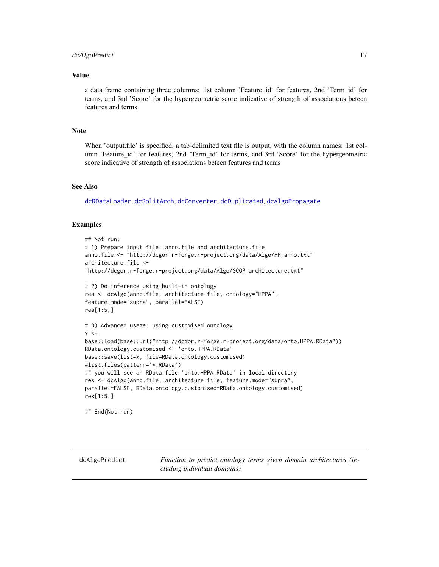### <span id="page-16-0"></span>dcAlgoPredict 17

## Value

a data frame containing three columns: 1st column 'Feature\_id' for features, 2nd 'Term\_id' for terms, and 3rd 'Score' for the hypergeometric score indicative of strength of associations beteen features and terms

## **Note**

When 'output.file' is specified, a tab-delimited text file is output, with the column names: 1st column 'Feature\_id' for features, 2nd 'Term\_id' for terms, and 3rd 'Score' for the hypergeometric score indicative of strength of associations beteen features and terms

# See Also

[dcRDataLoader](#page-57-1), [dcSplitArch](#page-66-1), [dcConverter](#page-38-1), [dcDuplicated](#page-45-1), [dcAlgoPropagate](#page-27-1)

# Examples

```
## Not run:
# 1) Prepare input file: anno.file and architecture.file
anno.file <- "http://dcgor.r-forge.r-project.org/data/Algo/HP_anno.txt"
architecture.file <-
"http://dcgor.r-forge.r-project.org/data/Algo/SCOP_architecture.txt"
# 2) Do inference using built-in ontology
res <- dcAlgo(anno.file, architecture.file, ontology="HPPA",
feature.mode="supra", parallel=FALSE)
res[1:5,]
# 3) Advanced usage: using customised ontology
x < -base::load(base::url("http://dcgor.r-forge.r-project.org/data/onto.HPPA.RData"))
RData.ontology.customised <- 'onto.HPPA.RData'
base::save(list=x, file=RData.ontology.customised)
#list.files(pattern='*.RData')
## you will see an RData file 'onto.HPPA.RData' in local directory
res <- dcAlgo(anno.file, architecture.file, feature.mode="supra",
parallel=FALSE, RData.ontology.customised=RData.ontology.customised)
res[1:5,]
## End(Not run)
```
<span id="page-16-1"></span>dcAlgoPredict *Function to predict ontology terms given domain architectures (including individual domains)*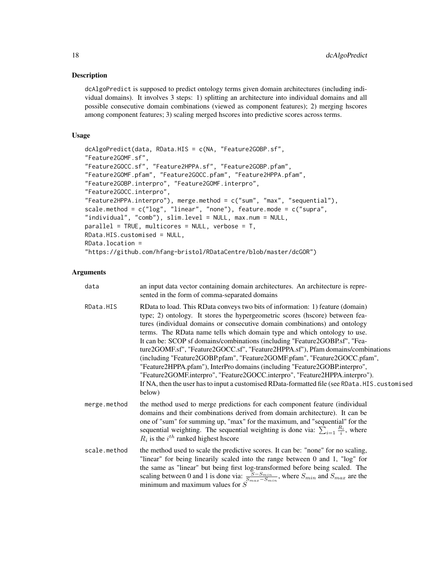# Description

dcAlgoPredict is supposed to predict ontology terms given domain architectures (including individual domains). It involves 3 steps: 1) splitting an architecture into individual domains and all possible consecutive domain combinations (viewed as component features); 2) merging hscores among component features; 3) scaling merged hscores into predictive scores across terms.

# Usage

```
dcAlgoPredict(data, RData.HIS = c(NA, "Feature2GOBP.sf",
"Feature2GOMF.sf",
"Feature2GOCC.sf", "Feature2HPPA.sf", "Feature2GOBP.pfam",
"Feature2GOMF.pfam", "Feature2GOCC.pfam", "Feature2HPPA.pfam",
"Feature2GOBP.interpro", "Feature2GOMF.interpro",
"Feature2GOCC.interpro",
"Feature2HPPA.interpro"), merge.method = c("sum", "max", "sequential"),
scale.method = c("log", "linear", "none"), feature.mode = c("supra",
"individual", "comb"), slim.level = NULL, max.num = NULL,
parallel = TRUE, multicores = NULL, verbose = T,
RData.HIS.customised = NULL,
RData.location =
"https://github.com/hfang-bristol/RDataCentre/blob/master/dcGOR")
```
# Arguments

| data         | an input data vector containing domain architectures. An architecture is repre-<br>sented in the form of comma-separated domains                                                                                                                                                                                                                                                                                                                                                                                                                                                                                                                                                                                                                                                                                                                  |
|--------------|---------------------------------------------------------------------------------------------------------------------------------------------------------------------------------------------------------------------------------------------------------------------------------------------------------------------------------------------------------------------------------------------------------------------------------------------------------------------------------------------------------------------------------------------------------------------------------------------------------------------------------------------------------------------------------------------------------------------------------------------------------------------------------------------------------------------------------------------------|
| RData.HIS    | RData to load. This RData conveys two bits of information: 1) feature (domain)<br>type; 2) ontology. It stores the hypergeometric scores (hscore) between fea-<br>tures (individual domains or consecutive domain combinations) and ontology<br>terms. The RData name tells which domain type and which ontology to use.<br>It can be: SCOP sf domains/combinations (including "Feature2GOBP.sf", "Fea-<br>ture2GOMF.sf", "Feature2GOCC.sf", "Feature2HPPA.sf"), Pfam domains/combinations<br>(including "Feature2GOBP.pfam", "Feature2GOMF.pfam", "Feature2GOCC.pfam",<br>"Feature2HPPA.pfam"), InterPro domains (including "Feature2GOBP.interpro",<br>"Feature2GOMF.interpro", "Feature2GOCC.interpro", "Feature2HPPA.interpro").<br>If NA, then the user has to input a customised RData-formatted file (see RData. HIS. customised<br>below) |
| merge.method | the method used to merge predictions for each component feature (individual<br>domains and their combinations derived from domain architecture). It can be<br>one of "sum" for summing up, "max" for the maximum, and "sequential" for the<br>sequential weighting. The sequential weighting is done via: $\sum_{i=1} \frac{R_i}{i}$ , where<br>$R_i$ is the $i^{th}$ ranked highest hscore                                                                                                                                                                                                                                                                                                                                                                                                                                                       |
| scale.method | the method used to scale the predictive scores. It can be: "none" for no scaling,<br>"linear" for being linearily scaled into the range between 0 and 1, "log" for<br>the same as "linear" but being first log-transformed before being scaled. The<br>scaling between 0 and 1 is done via: $\frac{S-S_{min}}{S_{max}-S_{min}}$ , where $S_{min}$ and $S_{max}$ are the<br>minimum and maximum values for $S$                                                                                                                                                                                                                                                                                                                                                                                                                                     |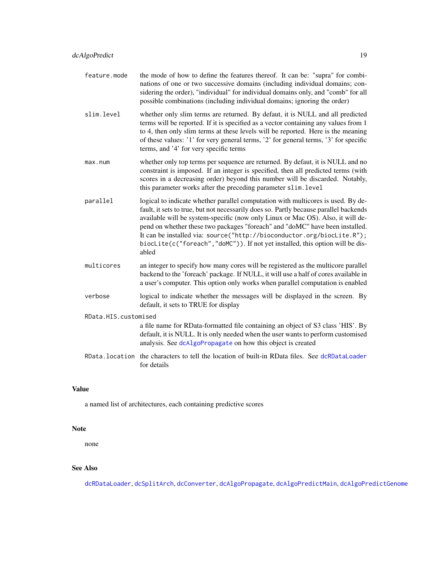- feature.mode the mode of how to define the features thereof. It can be: "supra" for combinations of one or two successive domains (including individual domains; considering the order), "individual" for individual domains only, and "comb" for all possible combinations (including individual domains; ignoring the order)
- slim.level whether only slim terms are returned. By defaut, it is NULL and all predicted terms will be reported. If it is specified as a vector containing any values from 1 to 4, then only slim terms at these levels will be reported. Here is the meaning of these values: '1' for very general terms, '2' for general terms, '3' for specific terms, and '4' for very specific terms
- max.num whether only top terms per sequence are returned. By defaut, it is NULL and no constraint is imposed. If an integer is specified, then all predicted terms (with scores in a decreasing order) beyond this number will be discarded. Notably, this parameter works after the preceding parameter slim.level
- parallel logical to indicate whether parallel computation with multicores is used. By default, it sets to true, but not necessarily does so. Partly because parallel backends available will be system-specific (now only Linux or Mac OS). Also, it will depend on whether these two packages "foreach" and "doMC" have been installed. It can be installed via: source("http://bioconductor.org/biocLite.R"); biocLite(c("foreach","doMC")). If not yet installed, this option will be disabled
- multicores an integer to specify how many cores will be registered as the multicore parallel backend to the 'foreach' package. If NULL, it will use a half of cores available in a user's computer. This option only works when parallel computation is enabled
- verbose logical to indicate whether the messages will be displayed in the screen. By default, it sets to TRUE for display

RData.HIS.customised

a file name for RData-formatted file containing an object of S3 class 'HIS'. By default, it is NULL. It is only needed when the user wants to perform customised analysis. See [dcAlgoPropagate](#page-27-1) on how this object is created

RData.location the characters to tell the location of built-in RData files. See [dcRDataLoader](#page-57-1) for details

#### Value

a named list of architectures, each containing predictive scores

#### Note

none

# See Also

[dcRDataLoader](#page-57-1), [dcSplitArch](#page-66-1), [dcConverter](#page-38-1), [dcAlgoPropagate](#page-27-1), [dcAlgoPredictMain](#page-22-1), [dcAlgoPredictGenome](#page-19-1)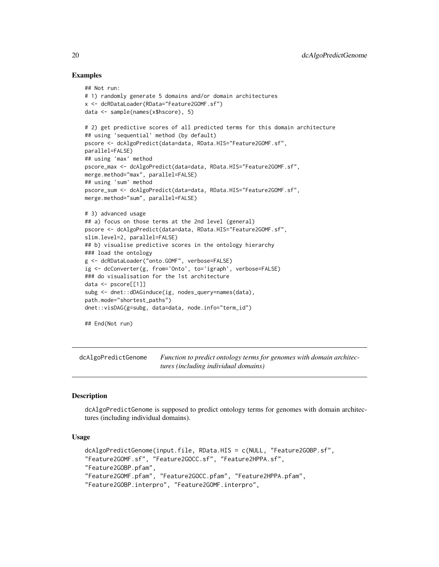# Examples

```
## Not run:
# 1) randomly generate 5 domains and/or domain architectures
x <- dcRDataLoader(RData="Feature2GOMF.sf")
data <- sample(names(x$hscore), 5)
# 2) get predictive scores of all predicted terms for this domain architecture
## using 'sequential' method (by default)
pscore <- dcAlgoPredict(data=data, RData.HIS="Feature2GOMF.sf",
parallel=FALSE)
## using 'max' method
pscore_max <- dcAlgoPredict(data=data, RData.HIS="Feature2GOMF.sf",
merge.method="max", parallel=FALSE)
## using 'sum' method
pscore_sum <- dcAlgoPredict(data=data, RData.HIS="Feature2GOMF.sf",
merge.method="sum", parallel=FALSE)
# 3) advanced usage
## a) focus on those terms at the 2nd level (general)
pscore <- dcAlgoPredict(data=data, RData.HIS="Feature2GOMF.sf",
slim.level=2, parallel=FALSE)
## b) visualise predictive scores in the ontology hierarchy
### load the ontology
g <- dcRDataLoader("onto.GOMF", verbose=FALSE)
ig <- dcConverter(g, from='Onto', to='igraph', verbose=FALSE)
### do visualisation for the 1st architecture
data <- pscore[[1]]
subg <- dnet::dDAGinduce(ig, nodes_query=names(data),
path.mode="shortest_paths")
dnet::visDAG(g=subg, data=data, node.info="term_id")
## End(Not run)
```
<span id="page-19-1"></span>dcAlgoPredictGenome *Function to predict ontology terms for genomes with domain architectures (including individual domains)*

# **Description**

dcAlgoPredictGenome is supposed to predict ontology terms for genomes with domain architectures (including individual domains).

## Usage

```
dcAlgoPredictGenome(input.file, RData.HIS = c(NULL, "Feature2GOBP.sf",
"Feature2GOMF.sf", "Feature2GOCC.sf", "Feature2HPPA.sf",
"Feature2GOBP.pfam",
"Feature2GOMF.pfam", "Feature2GOCC.pfam", "Feature2HPPA.pfam",
"Feature2GOBP.interpro", "Feature2GOMF.interpro",
```
<span id="page-19-0"></span>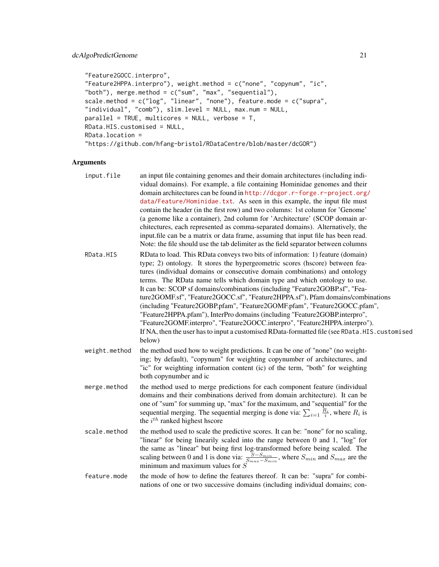```
"Feature2GOCC.interpro",
"Feature2HPPA.interpro"), weight.method = c("none", "copynum", "ic",
"both"), merge.method = c("sum", "max", "sequential"),scale.method = c("log", "linear", "none"), feature.mode = c("supra",
"individual", "comb"), slim.level = NULL, max.num = NULL,
parallel = TRUE, multicores = NULL, verbose = T,
RData.HIS.customised = NULL,
RData.location =
"https://github.com/hfang-bristol/RDataCentre/blob/master/dcGOR")
```
# Arguments

| input.file    | an input file containing genomes and their domain architectures (including indi-<br>vidual domains). For example, a file containing Hominidae genomes and their<br>domain architectures can be found in http://dcgor.r-forge.r-project.org/<br>data/Feature/Hominidae.txt. As seen in this example, the input file must<br>contain the header (in the first row) and two columns: 1st column for 'Genome'<br>(a genome like a container), 2nd column for 'Architecture' (SCOP domain ar-<br>chitectures, each represented as comma-separated domains). Alternatively, the<br>input.file can be a matrix or data frame, assuming that input file has been read.<br>Note: the file should use the tab delimiter as the field separator between columns                                                                                             |
|---------------|--------------------------------------------------------------------------------------------------------------------------------------------------------------------------------------------------------------------------------------------------------------------------------------------------------------------------------------------------------------------------------------------------------------------------------------------------------------------------------------------------------------------------------------------------------------------------------------------------------------------------------------------------------------------------------------------------------------------------------------------------------------------------------------------------------------------------------------------------|
| RData.HIS     | RData to load. This RData conveys two bits of information: 1) feature (domain)<br>type; 2) ontology. It stores the hypergeometric scores (hscore) between fea-<br>tures (individual domains or consecutive domain combinations) and ontology<br>terms. The RData name tells which domain type and which ontology to use.<br>It can be: SCOP sf domains/combinations (including "Feature2GOBP.sf", "Fea-<br>ture2GOMF.sf", "Feature2GOCC.sf", "Feature2HPPA.sf"), Pfam domains/combinations<br>(including "Feature2GOBP.pfam", "Feature2GOMF.pfam", "Feature2GOCC.pfam",<br>"Feature2HPPA.pfam"), InterPro domains (including "Feature2GOBP.interpro",<br>"Feature2GOMF.interpro", "Feature2GOCC.interpro", "Feature2HPPA.interpro").<br>If NA, then the user has to input a customised RData-formatted file (see RData.HIS. customised<br>below) |
| weight.method | the method used how to weight predictions. It can be one of "none" (no weight-<br>ing; by default), "copynum" for weighting copynumber of architectures, and<br>"ic" for weighting information content (ic) of the term, "both" for weighting<br>both copynumber and ic                                                                                                                                                                                                                                                                                                                                                                                                                                                                                                                                                                          |
| merge.method  | the method used to merge predictions for each component feature (individual<br>domains and their combinations derived from domain architecture). It can be<br>one of "sum" for summing up, "max" for the maximum, and "sequential" for the<br>sequential merging. The sequential merging is done via: $\sum_{i=1} \frac{R_i}{i}$ , where $R_i$ is<br>the $i^{th}$ ranked highest hscore                                                                                                                                                                                                                                                                                                                                                                                                                                                          |
| scale.method  | the method used to scale the predictive scores. It can be: "none" for no scaling,<br>"linear" for being linearily scaled into the range between 0 and 1, "log" for<br>the same as "linear" but being first log-transformed before being scaled. The<br>scaling between 0 and 1 is done via: $\frac{S-S_{min}}{S_{max}-S_{min}}$ , where $S_{min}$ and $S_{max}$ are the minimum and maximum values for S                                                                                                                                                                                                                                                                                                                                                                                                                                         |
| feature.mode  | the mode of how to define the features thereof. It can be: "supra" for combi-<br>nations of one or two successive domains (including individual domains; con-                                                                                                                                                                                                                                                                                                                                                                                                                                                                                                                                                                                                                                                                                    |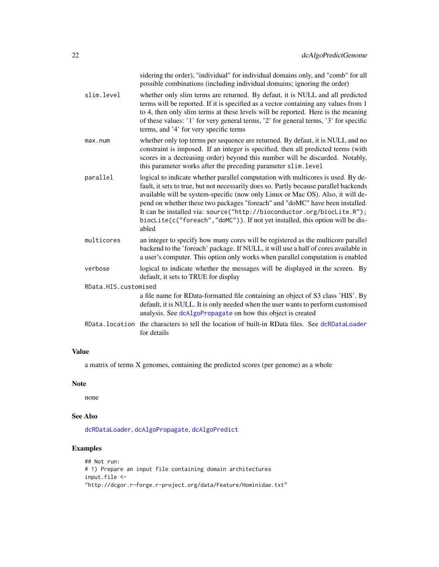|                      | sidering the order), "individual" for individual domains only, and "comb" for all<br>possible combinations (including individual domains; ignoring the order)                                                                                                                                                                                                                                                                                                                                                    |
|----------------------|------------------------------------------------------------------------------------------------------------------------------------------------------------------------------------------------------------------------------------------------------------------------------------------------------------------------------------------------------------------------------------------------------------------------------------------------------------------------------------------------------------------|
| slim.level           | whether only slim terms are returned. By defaut, it is NULL and all predicted<br>terms will be reported. If it is specified as a vector containing any values from 1<br>to 4, then only slim terms at these levels will be reported. Here is the meaning<br>of these values: '1' for very general terms, '2' for general terms, '3' for specific<br>terms, and '4' for very specific terms                                                                                                                       |
| max.num              | whether only top terms per sequence are returned. By defaut, it is NULL and no<br>constraint is imposed. If an integer is specified, then all predicted terms (with<br>scores in a decreasing order) beyond this number will be discarded. Notably,<br>this parameter works after the preceding parameter slim. level                                                                                                                                                                                            |
| parallel             | logical to indicate whether parallel computation with multicores is used. By de-<br>fault, it sets to true, but not necessarily does so. Partly because parallel backends<br>available will be system-specific (now only Linux or Mac OS). Also, it will de-<br>pend on whether these two packages "foreach" and "doMC" have been installed.<br>It can be installed via: source("http://bioconductor.org/biocLite.R");<br>biocLite(c("foreach","doMC")). If not yet installed, this option will be dis-<br>abled |
| multicores           | an integer to specify how many cores will be registered as the multicore parallel<br>backend to the 'foreach' package. If NULL, it will use a half of cores available in<br>a user's computer. This option only works when parallel computation is enabled                                                                                                                                                                                                                                                       |
| verbose              | logical to indicate whether the messages will be displayed in the screen. By<br>default, it sets to TRUE for display                                                                                                                                                                                                                                                                                                                                                                                             |
| RData.HIS.customised |                                                                                                                                                                                                                                                                                                                                                                                                                                                                                                                  |
|                      | a file name for RData-formatted file containing an object of S3 class 'HIS'. By<br>default, it is NULL. It is only needed when the user wants to perform customised<br>analysis. See dcAlgoPropagate on how this object is created                                                                                                                                                                                                                                                                               |
| RData.location       | the characters to tell the location of built-in RData files. See dcRDataLoader<br>for details                                                                                                                                                                                                                                                                                                                                                                                                                    |

# Value

a matrix of terms X genomes, containing the predicted scores (per genome) as a whole

# Note

none

# See Also

[dcRDataLoader](#page-57-1), [dcAlgoPropagate](#page-27-1), [dcAlgoPredict](#page-16-1)

```
## Not run:
# 1) Prepare an input file containing domain architectures
input.file <-
"http://dcgor.r-forge.r-project.org/data/Feature/Hominidae.txt"
```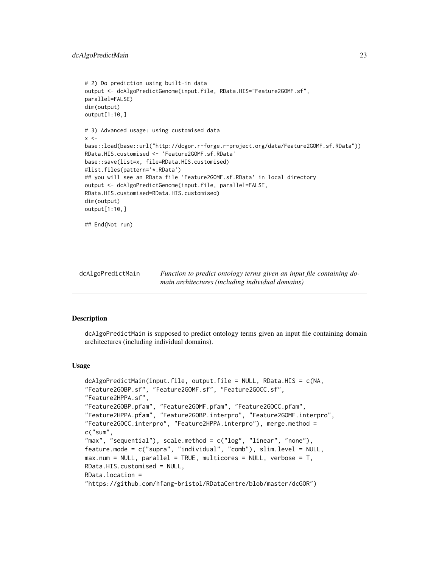```
# 2) Do prediction using built-in data
output <- dcAlgoPredictGenome(input.file, RData.HIS="Feature2GOMF.sf",
parallel=FALSE)
dim(output)
output[1:10,]
# 3) Advanced usage: using customised data
x < -base::load(base::url("http://dcgor.r-forge.r-project.org/data/Feature2GOMF.sf.RData"))
RData.HIS.customised <- 'Feature2GOMF.sf.RData'
base::save(list=x, file=RData.HIS.customised)
#list.files(pattern='*.RData')
## you will see an RData file 'Feature2GOMF.sf.RData' in local directory
output <- dcAlgoPredictGenome(input.file, parallel=FALSE,
RData.HIS.customised=RData.HIS.customised)
dim(output)
output[1:10,]
## End(Not run)
```
<span id="page-22-1"></span>dcAlgoPredictMain *Function to predict ontology terms given an input file containing domain architectures (including individual domains)*

# **Description**

dcAlgoPredictMain is supposed to predict ontology terms given an input file containing domain architectures (including individual domains).

# Usage

```
dcAlgoPredictMain(input.file, output.file = NULL, RData.HIS = c(NA,
"Feature2GOBP.sf", "Feature2GOMF.sf", "Feature2GOCC.sf",
"Feature2HPPA.sf",
"Feature2GOBP.pfam", "Feature2GOMF.pfam", "Feature2GOCC.pfam",
"Feature2HPPA.pfam", "Feature2GOBP.interpro", "Feature2GOMF.interpro",
"Feature2GOCC.interpro", "Feature2HPPA.interpro"), merge.method =
c("sum",
"max", "sequential"), scale.method = c("log", "linear", "none"),
feature.mode = c("supra", "individual", "comb"), slim.level = NULL,
max.num = NULL, parallel = TRUE, multicores = NULL, verbose = T,
RData.HIS.customised = NULL,
RData.location =
"https://github.com/hfang-bristol/RDataCentre/blob/master/dcGOR")
```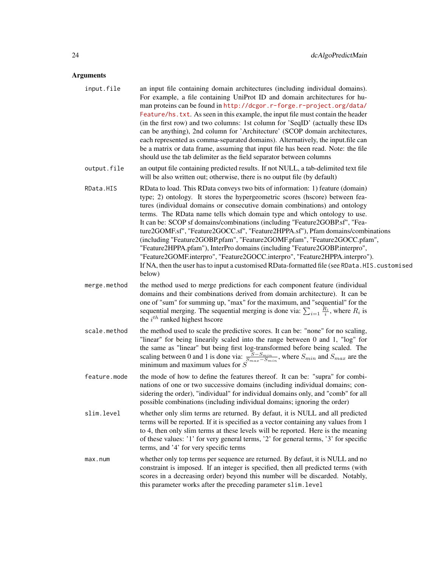# Arguments

- input.file an input file containing domain architectures (including individual domains). For example, a file containing UniProt ID and domain architectures for human proteins can be found in [http://dcgor.r-forge.r-project.org/data/](http://dcgor.r-forge.r-project.org/data/Feature/hs.txt) [Feature/hs.txt](http://dcgor.r-forge.r-project.org/data/Feature/hs.txt). As seen in this example, the input file must contain the header (in the first row) and two columns: 1st column for 'SeqID' (actually these IDs can be anything), 2nd column for 'Architecture' (SCOP domain architectures, each represented as comma-separated domains). Alternatively, the input.file can be a matrix or data frame, assuming that input file has been read. Note: the file should use the tab delimiter as the field separator between columns
- output.file an output file containing predicted results. If not NULL, a tab-delimited text file will be also written out; otherwise, there is no output file (by default)
- RData.HIS RData to load. This RData conveys two bits of information: 1) feature (domain) type; 2) ontology. It stores the hypergeometric scores (hscore) between features (individual domains or consecutive domain combinations) and ontology terms. The RData name tells which domain type and which ontology to use. It can be: SCOP sf domains/combinations (including "Feature2GOBP.sf", "Feature2GOMF.sf", "Feature2GOCC.sf", "Feature2HPPA.sf"), Pfam domains/combinations (including "Feature2GOBP.pfam", "Feature2GOMF.pfam", "Feature2GOCC.pfam", "Feature2HPPA.pfam"), InterPro domains (including "Feature2GOBP.interpro", "Feature2GOMF.interpro", "Feature2GOCC.interpro", "Feature2HPPA.interpro"). If NA, then the user has to input a customised RData-formatted file (see RData.HIS.customised below)
- merge.method the method used to merge predictions for each component feature (individual domains and their combinations derived from domain architecture). It can be one of "sum" for summing up, "max" for the maximum, and "sequential" for the sequential merging. The sequential merging is done via:  $\sum_{i=1} \frac{R_i}{i}$ , where  $R_i$  is the  $i^{th}$  ranked highest hscore
- scale.method the method used to scale the predictive scores. It can be: "none" for no scaling, "linear" for being linearily scaled into the range between 0 and 1, "log" for the same as "linear" but being first log-transformed before being scaled. The scaling between 0 and 1 is done via:  $\frac{S-S_{min}}{S_{max}-S_{min}}$ , where  $S_{min}$  and  $S_{max}$  are the minimum and maximum values for  $S$
- feature.mode the mode of how to define the features thereof. It can be: "supra" for combinations of one or two successive domains (including individual domains; considering the order), "individual" for individual domains only, and "comb" for all possible combinations (including individual domains; ignoring the order)
- slim.level whether only slim terms are returned. By defaut, it is NULL and all predicted terms will be reported. If it is specified as a vector containing any values from 1 to 4, then only slim terms at these levels will be reported. Here is the meaning of these values: '1' for very general terms, '2' for general terms, '3' for specific terms, and '4' for very specific terms
- max.num whether only top terms per sequence are returned. By defaut, it is NULL and no constraint is imposed. If an integer is specified, then all predicted terms (with scores in a decreasing order) beyond this number will be discarded. Notably, this parameter works after the preceding parameter slim.level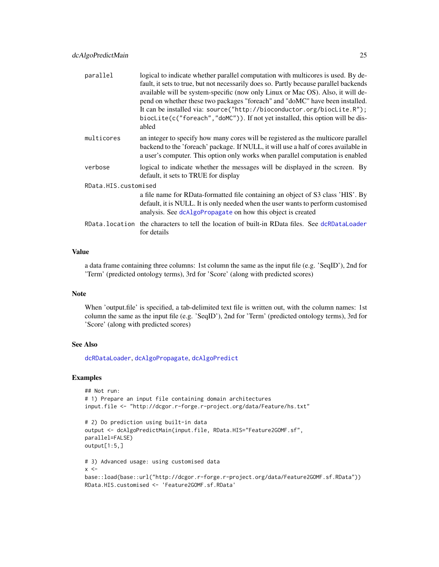| parallel             | logical to indicate whether parallel computation with multicores is used. By de-<br>fault, it sets to true, but not necessarily does so. Partly because parallel backends<br>available will be system-specific (now only Linux or Mac OS). Also, it will de-<br>pend on whether these two packages "foreach" and "doMC" have been installed.<br>It can be installed via: source("http://bioconductor.org/biocLite.R");<br>biocLite(c("foreach","doMC")). If not yet installed, this option will be dis-<br>abled |  |  |
|----------------------|------------------------------------------------------------------------------------------------------------------------------------------------------------------------------------------------------------------------------------------------------------------------------------------------------------------------------------------------------------------------------------------------------------------------------------------------------------------------------------------------------------------|--|--|
| multicores           | an integer to specify how many cores will be registered as the multicore parallel<br>backend to the 'foreach' package. If NULL, it will use a half of cores available in<br>a user's computer. This option only works when parallel computation is enabled                                                                                                                                                                                                                                                       |  |  |
| verbose              | logical to indicate whether the messages will be displayed in the screen. By<br>default, it sets to TRUE for display                                                                                                                                                                                                                                                                                                                                                                                             |  |  |
| RData.HIS.customised |                                                                                                                                                                                                                                                                                                                                                                                                                                                                                                                  |  |  |
|                      | a file name for RData-formatted file containing an object of S3 class 'HIS'. By<br>default, it is NULL. It is only needed when the user wants to perform customised<br>analysis. See dcAlgoPropagate on how this object is created                                                                                                                                                                                                                                                                               |  |  |
|                      | RData. location the characters to tell the location of built-in RData files. See dcRDataLoader<br>for details                                                                                                                                                                                                                                                                                                                                                                                                    |  |  |
|                      |                                                                                                                                                                                                                                                                                                                                                                                                                                                                                                                  |  |  |

# Value

a data frame containing three columns: 1st column the same as the input file (e.g. 'SeqID'), 2nd for 'Term' (predicted ontology terms), 3rd for 'Score' (along with predicted scores)

# Note

When 'output.file' is specified, a tab-delimited text file is written out, with the column names: 1st column the same as the input file (e.g. 'SeqID'), 2nd for 'Term' (predicted ontology terms), 3rd for 'Score' (along with predicted scores)

## See Also

[dcRDataLoader](#page-57-1), [dcAlgoPropagate](#page-27-1), [dcAlgoPredict](#page-16-1)

```
## Not run:
# 1) Prepare an input file containing domain architectures
input.file <- "http://dcgor.r-forge.r-project.org/data/Feature/hs.txt"
# 2) Do prediction using built-in data
output <- dcAlgoPredictMain(input.file, RData.HIS="Feature2GOMF.sf",
parallel=FALSE)
output[1:5,]
# 3) Advanced usage: using customised data
x < -base::load(base::url("http://dcgor.r-forge.r-project.org/data/Feature2GOMF.sf.RData"))
RData.HIS.customised <- 'Feature2GOMF.sf.RData'
```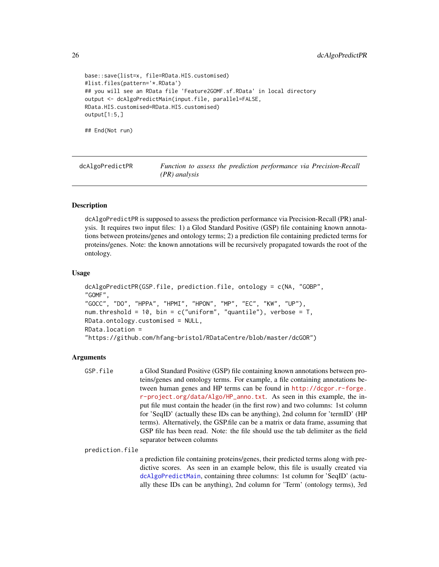```
base::save(list=x, file=RData.HIS.customised)
#list.files(pattern='*.RData')
## you will see an RData file 'Feature2GOMF.sf.RData' in local directory
output <- dcAlgoPredictMain(input.file, parallel=FALSE,
RData.HIS.customised=RData.HIS.customised)
output[1:5,]
## End(Not run)
```
dcAlgoPredictPR *Function to assess the prediction performance via Precision-Recall (PR) analysis*

# **Description**

dcAlgoPredictPR is supposed to assess the prediction performance via Precision-Recall (PR) analysis. It requires two input files: 1) a Glod Standard Positive (GSP) file containing known annotations between proteins/genes and ontology terms; 2) a prediction file containing predicted terms for proteins/genes. Note: the known annotations will be recursively propagated towards the root of the ontology.

#### Usage

```
dcAlgoPredictPR(GSP.file, prediction.file, ontology = c(NA, "GOBP",
"GOMF",
"GOCC", "DO", "HPPA", "HPMI", "HPON", "MP", "EC", "KW", "UP"),
num.threshold = 10, bin = c("uniform", "quantile"), verbose = T,RData.ontology.customised = NULL,
RData.location =
"https://github.com/hfang-bristol/RDataCentre/blob/master/dcGOR")
```
## Arguments

```
GSP.file a Glod Standard Positive (GSP) file containing known annotations between pro-
                  teins/genes and ontology terms. For example, a file containing annotations be-
                  tween human genes and HP terms can be found in http://dcgor.r-forge.
                  r-project.org/data/Algo/HP_anno.txt. As seen in this example, the in-
                  put file must contain the header (in the first row) and two columns: 1st column
                  for 'SeqID' (actually these IDs can be anything), 2nd column for 'termID' (HP
                  terms). Alternatively, the GSP.file can be a matrix or data frame, assuming that
                  GSP file has been read. Note: the file should use the tab delimiter as the field
                  separator between columns
```
prediction.file

a prediction file containing proteins/genes, their predicted terms along with predictive scores. As seen in an example below, this file is usually created via [dcAlgoPredictMain](#page-22-1), containing three columns: 1st column for 'SeqID' (actually these IDs can be anything), 2nd column for 'Term' (ontology terms), 3rd

<span id="page-25-0"></span>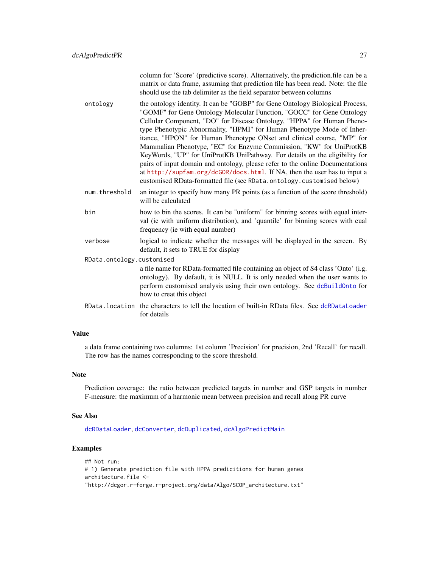column for 'Score' (predictive score). Alternatively, the prediction.file can be a matrix or data frame, assuming that prediction file has been read. Note: the file should use the tab delimiter as the field separator between columns

- ontology the ontology identity. It can be "GOBP" for Gene Ontology Biological Process, "GOMF" for Gene Ontology Molecular Function, "GOCC" for Gene Ontology Cellular Component, "DO" for Disease Ontology, "HPPA" for Human Phenotype Phenotypic Abnormality, "HPMI" for Human Phenotype Mode of Inheritance, "HPON" for Human Phenotype ONset and clinical course, "MP" for Mammalian Phenotype, "EC" for Enzyme Commission, "KW" for UniProtKB KeyWords, "UP" for UniProtKB UniPathway. For details on the eligibility for pairs of input domain and ontology, please refer to the online Documentations at <http://supfam.org/dcGOR/docs.html>. If NA, then the user has to input a customised RData-formatted file (see RData.ontology.customised below)
- num.threshold an integer to specify how many PR points (as a function of the score threshold) will be calculated
- bin how to bin the scores. It can be "uniform" for binning scores with equal interval (ie with uniform distribution), and 'quantile' for binning scores with eual frequency (ie with equal number)
- verbose logical to indicate whether the messages will be displayed in the screen. By default, it sets to TRUE for display
- RData.ontology.customised a file name for RData-formatted file containing an object of S4 class 'Onto' (i.g. ontology). By default, it is NULL. It is only needed when the user wants to perform customised analysis using their own ontology. See [dcBuildOnto](#page-36-1) for how to creat this object
- RData.location the characters to tell the location of built-in RData files. See [dcRDataLoader](#page-57-1) for details

## Value

a data frame containing two columns: 1st column 'Precision' for precision, 2nd 'Recall' for recall. The row has the names corresponding to the score threshold.

#### Note

Prediction coverage: the ratio between predicted targets in number and GSP targets in number F-measure: the maximum of a harmonic mean between precision and recall along PR curve

#### See Also

[dcRDataLoader](#page-57-1), [dcConverter](#page-38-1), [dcDuplicated](#page-45-1), [dcAlgoPredictMain](#page-22-1)

```
## Not run:
# 1) Generate prediction file with HPPA predicitions for human genes
architecture.file <-
"http://dcgor.r-forge.r-project.org/data/Algo/SCOP_architecture.txt"
```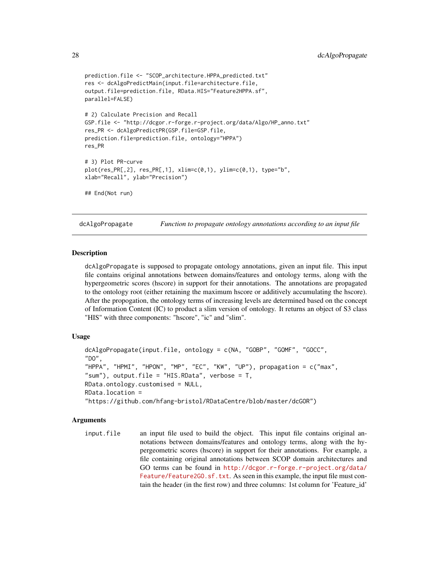```
prediction.file <- "SCOP_architecture.HPPA_predicted.txt"
res <- dcAlgoPredictMain(input.file=architecture.file,
output.file=prediction.file, RData.HIS="Feature2HPPA.sf",
parallel=FALSE)
# 2) Calculate Precision and Recall
GSP.file <- "http://dcgor.r-forge.r-project.org/data/Algo/HP_anno.txt"
res_PR <- dcAlgoPredictPR(GSP.file=GSP.file,
prediction.file=prediction.file, ontology="HPPA")
res_PR
# 3) Plot PR-curve
plot(res_PR[,2], res_PR[,1], xlim=c(0,1), ylim=c(0,1), type="b",
xlab="Recall", ylab="Precision")
## End(Not run)
```
<span id="page-27-1"></span>dcAlgoPropagate *Function to propagate ontology annotations according to an input file*

## **Description**

dcAlgoPropagate is supposed to propagate ontology annotations, given an input file. This input file contains original annotations between domains/features and ontology terms, along with the hypergeometric scores (hscore) in support for their annotations. The annotations are propagated to the ontology root (either retaining the maximum hscore or additively accumulating the hscore). After the propogation, the ontology terms of increasing levels are determined based on the concept of Information Content (IC) to product a slim version of ontology. It returns an object of S3 class "HIS" with three components: "hscore", "ic" and "slim".

# Usage

```
dcAlgoPropagate(input.file, ontology = c(NA, "GOBP", "GOMF", "GOCC",
"DO",
"HPPA", "HPMI", "HPON", "MP", "EC", "KW", "UP"), propagation = c("max",
"sum"), output.file = "HIS.RData", verbose = T,
RData.ontology.customised = NULL,
RData.location =
"https://github.com/hfang-bristol/RDataCentre/blob/master/dcGOR")
```
## Arguments

input. file an input file used to build the object. This input file contains original annotations between domains/features and ontology terms, along with the hypergeometric scores (hscore) in support for their annotations. For example, a file containing original annotations between SCOP domain architectures and GO terms can be found in [http://dcgor.r-forge.r-project.org/data/](http://dcgor.r-forge.r-project.org/data/Feature/Feature2GO.sf.txt) [Feature/Feature2GO.sf.txt](http://dcgor.r-forge.r-project.org/data/Feature/Feature2GO.sf.txt). As seen in this example, the input file must contain the header (in the first row) and three columns: 1st column for 'Feature\_id'

<span id="page-27-0"></span>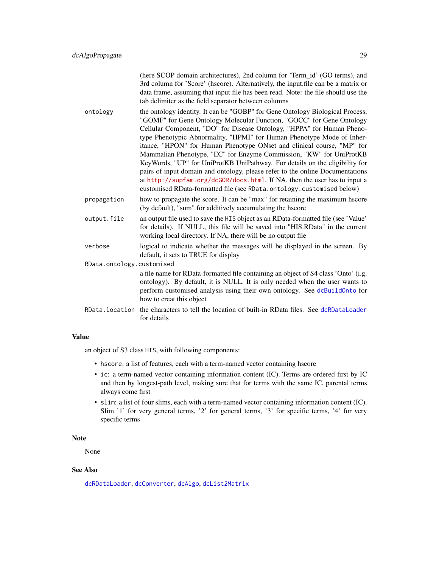(here SCOP domain architectures), 2nd column for 'Term\_id' (GO terms), and 3rd column for 'Score' (hscore). Alternatively, the input.file can be a matrix or data frame, assuming that input file has been read. Note: the file should use the tab delimiter as the field separator between columns

- ontology the ontology identity. It can be "GOBP" for Gene Ontology Biological Process, "GOMF" for Gene Ontology Molecular Function, "GOCC" for Gene Ontology Cellular Component, "DO" for Disease Ontology, "HPPA" for Human Phenotype Phenotypic Abnormality, "HPMI" for Human Phenotype Mode of Inheritance, "HPON" for Human Phenotype ONset and clinical course, "MP" for Mammalian Phenotype, "EC" for Enzyme Commission, "KW" for UniProtKB KeyWords, "UP" for UniProtKB UniPathway. For details on the eligibility for pairs of input domain and ontology, please refer to the online Documentations at <http://supfam.org/dcGOR/docs.html>. If NA, then the user has to input a customised RData-formatted file (see RData.ontology.customised below)
- propagation how to propagate the score. It can be "max" for retaining the maximum hscore (by default), "sum" for additively accumulating the hscore
- output.file an output file used to save the HIS object as an RData-formatted file (see 'Value' for details). If NULL, this file will be saved into "HIS.RData" in the current working local directory. If NA, there will be no output file
- verbose logical to indicate whether the messages will be displayed in the screen. By default, it sets to TRUE for display

RData.ontology.customised

a file name for RData-formatted file containing an object of S4 class 'Onto' (i.g. ontology). By default, it is NULL. It is only needed when the user wants to perform customised analysis using their own ontology. See [dcBuildOnto](#page-36-1) for how to creat this object

RData.location the characters to tell the location of built-in RData files. See [dcRDataLoader](#page-57-1) for details

## Value

an object of S3 class HIS, with following components:

- hscore: a list of features, each with a term-named vector containing hscore
- ic: a term-named vector containing information content (IC). Terms are ordered first by IC and then by longest-path level, making sure that for terms with the same IC, parental terms always come first
- slim: a list of four slims, each with a term-named vector containing information content (IC). Slim '1' for very general terms, '2' for general terms, '3' for specific terms, '4' for very specific terms

## Note

None

## See Also

[dcRDataLoader](#page-57-1), [dcConverter](#page-38-1), [dcAlgo](#page-14-1), [dcList2Matrix](#page-54-1)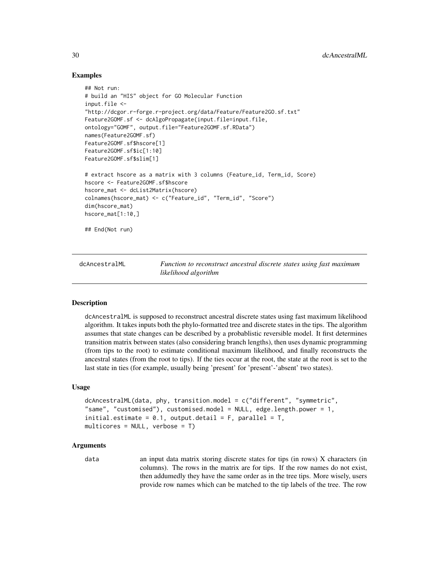# Examples

```
## Not run:
# build an "HIS" object for GO Molecular Function
input.file <-
"http://dcgor.r-forge.r-project.org/data/Feature/Feature2GO.sf.txt"
Feature2GOMF.sf <- dcAlgoPropagate(input.file=input.file,
ontology="GOMF", output.file="Feature2GOMF.sf.RData")
names(Feature2GOMF.sf)
Feature2GOMF.sf$hscore[1]
Feature2GOMF.sf$ic[1:10]
Feature2GOMF.sf$slim[1]
# extract hscore as a matrix with 3 columns (Feature_id, Term_id, Score)
hscore <- Feature2GOMF.sf$hscore
hscore_mat <- dcList2Matrix(hscore)
colnames(hscore_mat) <- c("Feature_id", "Term_id", "Score")
dim(hscore_mat)
hscore_mat[1:10,]
## End(Not run)
```
<span id="page-29-1"></span>

dcAncestralML *Function to reconstruct ancestral discrete states using fast maximum likelihood algorithm*

# **Description**

dcAncestralML is supposed to reconstruct ancestral discrete states using fast maximum likelihood algorithm. It takes inputs both the phylo-formatted tree and discrete states in the tips. The algorithm assumes that state changes can be described by a probablistic reversible model. It first determines transition matrix between states (also considering branch lengths), then uses dynamic programming (from tips to the root) to estimate conditional maximum likelihood, and finally reconstructs the ancestral states (from the root to tips). If the ties occur at the root, the state at the root is set to the last state in ties (for example, usually being 'present' for 'present'-'absent' two states).

## Usage

```
dcAncestralML(data, phy, transition.model = c("different", "symmetric",
"same", "customised"), customised.model = NULL, edge.length.power = 1,
initial.estimate = 0.1, output.detail = F, parallel = T,
multicores = NULL, verbose = T)
```
#### Arguments

data an input data matrix storing discrete states for tips (in rows) X characters (in columns). The rows in the matrix are for tips. If the row names do not exist, then addumedly they have the same order as in the tree tips. More wisely, users provide row names which can be matched to the tip labels of the tree. The row

<span id="page-29-0"></span>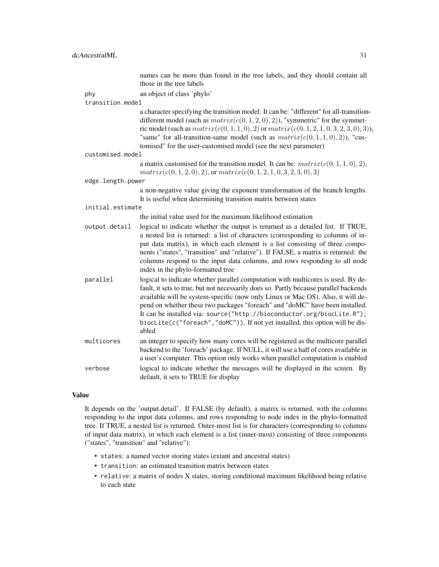|                   | names can be more than found in the tree labels, and they should contain all<br>those in the tree labels                                                                                                                                                                                                                                                                                                                                                                                                         |  |
|-------------------|------------------------------------------------------------------------------------------------------------------------------------------------------------------------------------------------------------------------------------------------------------------------------------------------------------------------------------------------------------------------------------------------------------------------------------------------------------------------------------------------------------------|--|
| phy               | an object of class 'phylo'                                                                                                                                                                                                                                                                                                                                                                                                                                                                                       |  |
| transition.model  |                                                                                                                                                                                                                                                                                                                                                                                                                                                                                                                  |  |
|                   | a character specifying the transition model. It can be: "different" for all-transition-<br>different model (such as $matrix(c(0,1,2,0),2))$ , "symmetric" for the symmet-<br>ric model (such as $matrix(c(0, 1, 1, 0), 2)$ or $matrix(c(0, 1, 2, 1, 0, 3, 2, 3, 0), 3))$ ,<br>"same" for all-transition-same model (such as $matrix(c(0,1,1,0),2))$ , "cus-<br>tomised" for the user-customised model (see the next parameter)                                                                                   |  |
| customised.model  |                                                                                                                                                                                                                                                                                                                                                                                                                                                                                                                  |  |
|                   | a matrix customised for the transition model. It can be: $matrix(c(0, 1, 1, 0), 2)$ ,<br>$matrix(c(0, 1, 2, 0), 2)$ , or $matrix(c(0, 1, 2, 1, 0, 3, 2, 3, 0), 3)$                                                                                                                                                                                                                                                                                                                                               |  |
| edge.length.power |                                                                                                                                                                                                                                                                                                                                                                                                                                                                                                                  |  |
|                   | a non-negative value giving the exponent transformation of the branch lengths.<br>It is useful when determining transition matrix between states                                                                                                                                                                                                                                                                                                                                                                 |  |
|                   | initial.estimate                                                                                                                                                                                                                                                                                                                                                                                                                                                                                                 |  |
|                   | the initial value used for the maximum likelihood estimation                                                                                                                                                                                                                                                                                                                                                                                                                                                     |  |
| output.detail     | logical to indicate whether the output is returned as a detailed list. If TRUE,<br>a nested list is returned: a list of characters (corresponding to columns of in-<br>put data matrix), in which each element is a list consisting of three compo-<br>nents ("states", "transition" and "relative"). If FALSE, a matrix is returned: the<br>columns respond to the input data columns, and rows responding to all node<br>index in the phylo-formatted tree                                                     |  |
| parallel          | logical to indicate whether parallel computation with multicores is used. By de-<br>fault, it sets to true, but not necessarily does so. Partly because parallel backends<br>available will be system-specific (now only Linux or Mac OS). Also, it will de-<br>pend on whether these two packages "foreach" and "doMC" have been installed.<br>It can be installed via: source("http://bioconductor.org/biocLite.R");<br>biocLite(c("foreach","doMC")). If not yet installed, this option will be dis-<br>abled |  |
| multicores        | an integer to specify how many cores will be registered as the multicore parallel<br>backend to the 'foreach' package. If NULL, it will use a half of cores available in<br>a user's computer. This option only works when parallel computation is enabled                                                                                                                                                                                                                                                       |  |
| verbose           | logical to indicate whether the messages will be displayed in the screen. By<br>default, it sets to TRUE for display                                                                                                                                                                                                                                                                                                                                                                                             |  |

# Value

It depends on the 'output.detail'. If FALSE (by default), a matrix is returned, with the columns responding to the input data columns, and rows responding to node index in the phylo-formatted tree. If TRUE, a nested list is returned. Outer-most list is for characters (corresponding to columns of input data matrix), in which each elemenl is a list (inner-most) consisting of three components ("states", "transition" and "relative"):

- states: a named vector storing states (extant and ancestral states)
- transition: an estimated transition matrix between states
- relative: a matrix of nodes X states, storing conditional maximum likelihood being relative to each state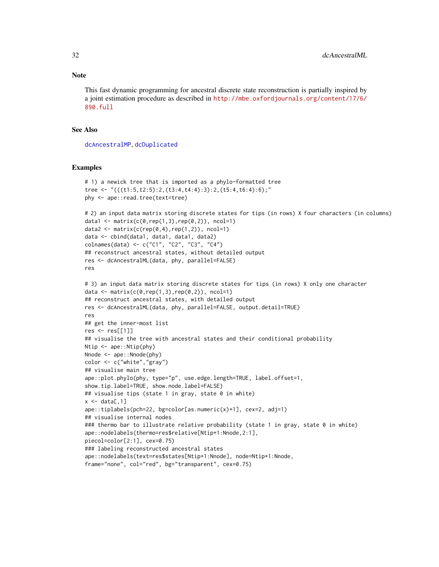#### **Note**

This fast dynamic programming for ancestral discrete state reconstruction is partially inspired by a joint estimation procedure as described in [http://mbe.oxfordjournals.org/content/17/6/](http://mbe.oxfordjournals.org/content/17/6/890.full) [890.full](http://mbe.oxfordjournals.org/content/17/6/890.full)

## See Also

[dcAncestralMP](#page-32-1), [dcDuplicated](#page-45-1)

```
# 1) a newick tree that is imported as a phylo-formatted tree
tree <- "(((t1:5,t2:5):2,(t3:4,t4:4):3):2,(t5:4,t6:4):6);"
phy <- ape::read.tree(text=tree)
# 2) an input data matrix storing discrete states for tips (in rows) X four characters (in columns)
data1 <- matrix(c(0, rep(1,3), rep(0,2)), ncol=1)
data2 <- matrix(c(rep(0,4),rep(1,2)), ncol=1)
data <- cbind(data1, data1, data1, data2)
colnames(data) <- c("C1", "C2", "C3", "C4")
## reconstruct ancestral states, without detailed output
res <- dcAncestralML(data, phy, parallel=FALSE)
res
# 3) an input data matrix storing discrete states for tips (in rows) X only one character
data <- matrix(c(0, rep(1,3), rep(0,2)), ncol=1)
## reconstruct ancestral states, with detailed output
res <- dcAncestralML(data, phy, parallel=FALSE, output.detail=TRUE)
res
## get the inner-most list
res <- res[[1]]
## visualise the tree with ancestral states and their conditional probability
Ntip <- ape::Ntip(phy)
Nnode <- ape:: Nnode(phy)
color <- c("white","gray")
## visualise main tree
ape::plot.phylo(phy, type="p", use.edge.length=TRUE, label.offset=1,
show.tip.label=TRUE, show.node.label=FALSE)
## visualise tips (state 1 in gray, state 0 in white)
x \leftarrow \text{data}[, 1]ape::tiplabels(pch=22, bg=color[as.numeric(x)+1], cex=2, adj=1)
## visualise internal nodes
### thermo bar to illustrate relative probability (state 1 in gray, state 0 in white)
ape::nodelabels(thermo=res$relative[Ntip+1:Nnode,2:1],
piecol=color[2:1], cex=0.75)
### labeling reconstructed ancestral states
ape::nodelabels(text=res$states[Ntip+1:Nnode], node=Ntip+1:Nnode,
frame="none", col="red", bg="transparent", cex=0.75)
```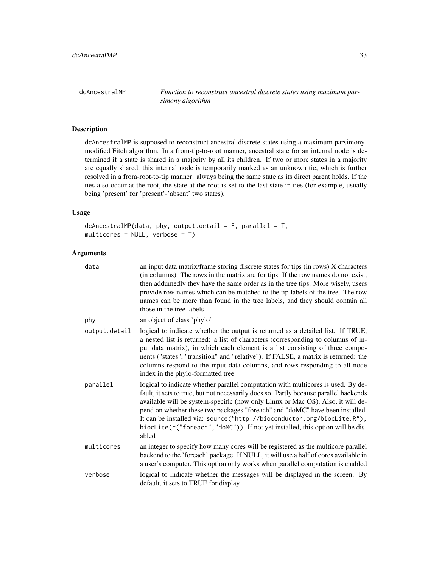<span id="page-32-1"></span><span id="page-32-0"></span>dcAncestralMP *Function to reconstruct ancestral discrete states using maximum parsimony algorithm*

# Description

dcAncestralMP is supposed to reconstruct ancestral discrete states using a maximum parsimonymodified Fitch algorithm. In a from-tip-to-root manner, ancestral state for an internal node is determined if a state is shared in a majority by all its children. If two or more states in a majority are equally shared, this internal node is temporarily marked as an unknown tie, which is further resolved in a from-root-to-tip manner: always being the same state as its direct parent holds. If the ties also occur at the root, the state at the root is set to the last state in ties (for example, usually being 'present' for 'present'-'absent' two states).

# Usage

 $dcAncestralMP(data, phy, output. detail = F, parallel = T,$ multicores = NULL, verbose = T)

# Arguments

| data          | an input data matrix/frame storing discrete states for tips (in rows) X characters<br>(in columns). The rows in the matrix are for tips. If the row names do not exist,<br>then addumedly they have the same order as in the tree tips. More wisely, users<br>provide row names which can be matched to the tip labels of the tree. The row<br>names can be more than found in the tree labels, and they should contain all<br>those in the tree labels                                                          |
|---------------|------------------------------------------------------------------------------------------------------------------------------------------------------------------------------------------------------------------------------------------------------------------------------------------------------------------------------------------------------------------------------------------------------------------------------------------------------------------------------------------------------------------|
| phy           | an object of class 'phylo'                                                                                                                                                                                                                                                                                                                                                                                                                                                                                       |
| output.detail | logical to indicate whether the output is returned as a detailed list. If TRUE,<br>a nested list is returned: a list of characters (corresponding to columns of in-<br>put data matrix), in which each element is a list consisting of three compo-<br>nents ("states", "transition" and "relative"). If FALSE, a matrix is returned: the<br>columns respond to the input data columns, and rows responding to all node<br>index in the phylo-formatted tree                                                     |
| parallel      | logical to indicate whether parallel computation with multicores is used. By de-<br>fault, it sets to true, but not necessarily does so. Partly because parallel backends<br>available will be system-specific (now only Linux or Mac OS). Also, it will de-<br>pend on whether these two packages "foreach" and "doMC" have been installed.<br>It can be installed via: source("http://bioconductor.org/biocLite.R");<br>biocLite(c("foreach","doMC")). If not yet installed, this option will be dis-<br>abled |
| multicores    | an integer to specify how many cores will be registered as the multicore parallel<br>backend to the 'foreach' package. If NULL, it will use a half of cores available in<br>a user's computer. This option only works when parallel computation is enabled                                                                                                                                                                                                                                                       |
| verbose       | logical to indicate whether the messages will be displayed in the screen. By<br>default, it sets to TRUE for display                                                                                                                                                                                                                                                                                                                                                                                             |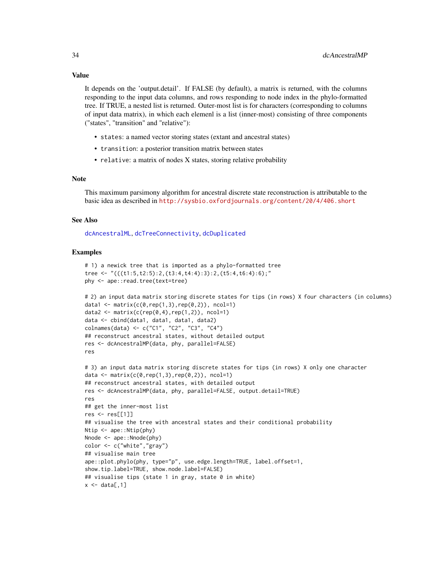## Value

It depends on the 'output.detail'. If FALSE (by default), a matrix is returned, with the columns responding to the input data columns, and rows responding to node index in the phylo-formatted tree. If TRUE, a nested list is returned. Outer-most list is for characters (corresponding to columns of input data matrix), in which each elemenl is a list (inner-most) consisting of three components ("states", "transition" and "relative"):

- states: a named vector storing states (extant and ancestral states)
- transition: a posterior transition matrix between states
- relative: a matrix of nodes X states, storing relative probability

#### Note

This maximum parsimony algorithm for ancestral discrete state reconstruction is attributable to the basic idea as described in <http://sysbio.oxfordjournals.org/content/20/4/406.short>

# See Also

[dcAncestralML](#page-29-1), [dcTreeConnectivity](#page-71-1), [dcDuplicated](#page-45-1)

```
# 1) a newick tree that is imported as a phylo-formatted tree
tree <- "(((t1:5,t2:5):2,(t3:4,t4:4):3):2,(t5:4,t6:4):6);"
phy <- ape::read.tree(text=tree)
# 2) an input data matrix storing discrete states for tips (in rows) X four characters (in columns)
data1 <- matrix(c(0, rep(1,3), rep(0,2)), ncol=1)
data2 <- matrix(c(rep(0,4),rep(1,2)), ncol=1)
data <- cbind(data1, data1, data1, data2)
colnames(data) <- c("C1", "C2", "C3", "C4")
## reconstruct ancestral states, without detailed output
res <- dcAncestralMP(data, phy, parallel=FALSE)
res
# 3) an input data matrix storing discrete states for tips (in rows) X only one character
data \leq matrix(c(0,rep(1,3),rep(0,2)), ncol=1)
## reconstruct ancestral states, with detailed output
res <- dcAncestralMP(data, phy, parallel=FALSE, output.detail=TRUE)
res
## get the inner-most list
res <- res[[1]]
## visualise the tree with ancestral states and their conditional probability
Ntip <- ape::Ntip(phy)
Nnode <- ape:: Nnode(phy)
color <- c("white","gray")
## visualise main tree
ape::plot.phylo(phy, type="p", use.edge.length=TRUE, label.offset=1,
show.tip.label=TRUE, show.node.label=FALSE)
## visualise tips (state 1 in gray, state 0 in white)
x \leftarrow \text{data}[, 1]
```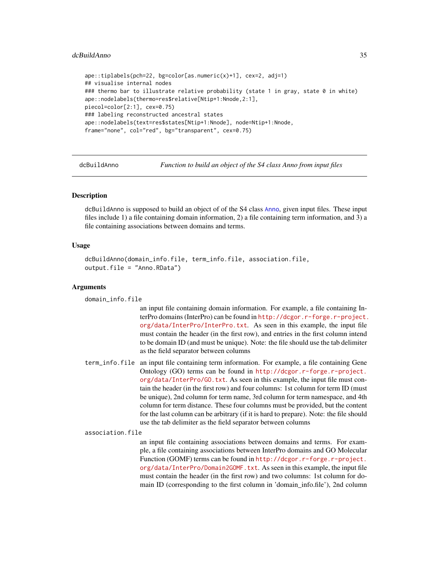#### <span id="page-34-0"></span>dcBuildAnno 35

```
ape::tiplabels(pch=22, bg=color[as.numeric(x)+1], cex=2, adj=1)
## visualise internal nodes
### thermo bar to illustrate relative probability (state 1 in gray, state 0 in white)
ape::nodelabels(thermo=res$relative[Ntip+1:Nnode,2:1],
piecol=color[2:1], cex=0.75)
### labeling reconstructed ancestral states
ape::nodelabels(text=res$states[Ntip+1:Nnode], node=Ntip+1:Nnode,
frame="none", col="red", bg="transparent", cex=0.75)
```
dcBuildAnno *Function to build an object of the S4 class Anno from input files*

# Description

dcBuildAnno is supposed to build an object of of the S4 class [Anno](#page-4-1), given input files. These input files include 1) a file containing domain information, 2) a file containing term information, and 3) a file containing associations between domains and terms.

# Usage

```
dcBuildAnno(domain_info.file, term_info.file, association.file,
output.file = "Anno.RData")
```
## Arguments

domain\_info.file

an input file containing domain information. For example, a file containing InterPro domains (InterPro) can be found in [http://dcgor.r-forge.r-project.](http://dcgor.r-forge.r-project.org/data/InterPro/InterPro.txt) [org/data/InterPro/InterPro.txt](http://dcgor.r-forge.r-project.org/data/InterPro/InterPro.txt). As seen in this example, the input file must contain the header (in the first row), and entries in the first column intend to be domain ID (and must be unique). Note: the file should use the tab delimiter as the field separator between columns

term\_info.file an input file containing term information. For example, a file containing Gene Ontology (GO) terms can be found in [http://dcgor.r-forge.r-project.](http://dcgor.r-forge.r-project.org/data/InterPro/GO.txt) [org/data/InterPro/GO.txt](http://dcgor.r-forge.r-project.org/data/InterPro/GO.txt). As seen in this example, the input file must contain the header (in the first row) and four columns: 1st column for term ID (must be unique), 2nd column for term name, 3rd column for term namespace, and 4th column for term distance. These four columns must be provided, but the content for the last column can be arbitrary (if it is hard to prepare). Note: the file should use the tab delimiter as the field separator between columns

association.file

an input file containing associations between domains and terms. For example, a file containing associations between InterPro domains and GO Molecular Function (GOMF) terms can be found in [http://dcgor.r-forge.r-project.](http://dcgor.r-forge.r-project.org/data/InterPro/Domain2GOMF.txt) [org/data/InterPro/Domain2GOMF.txt](http://dcgor.r-forge.r-project.org/data/InterPro/Domain2GOMF.txt). As seen in this example, the input file must contain the header (in the first row) and two columns: 1st column for domain ID (corresponding to the first column in 'domain\_info.file'), 2nd column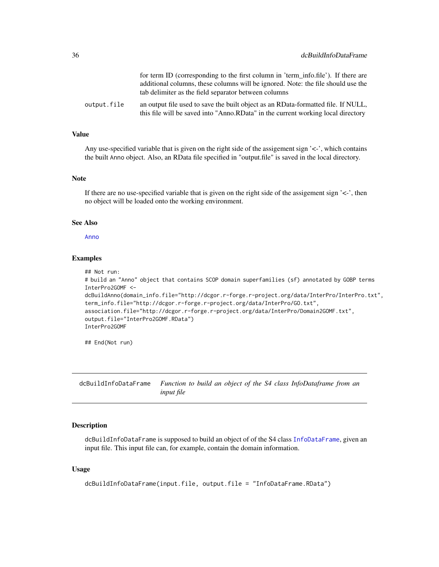<span id="page-35-0"></span>

|             | for term ID (corresponding to the first column in 'term_info.file'). If there are                                                                                     |
|-------------|-----------------------------------------------------------------------------------------------------------------------------------------------------------------------|
|             | additional columns, these columns will be ignored. Note: the file should use the                                                                                      |
|             | tab delimiter as the field separator between columns                                                                                                                  |
| output.file | an output file used to save the built object as an RData-formatted file. If NULL,<br>this file will be saved into "Anno.RData" in the current working local directory |

# Value

Any use-specified variable that is given on the right side of the assigement sign '<-', which contains the built Anno object. Also, an RData file specified in "output.file" is saved in the local directory.

# Note

If there are no use-specified variable that is given on the right side of the assigement sign  $\leq$ -', then no object will be loaded onto the working environment.

#### See Also

[Anno](#page-4-1)

## Examples

```
## Not run:
# build an "Anno" object that contains SCOP domain superfamilies (sf) annotated by GOBP terms
InterPro2GOMF <-
dcBuildAnno(domain_info.file="http://dcgor.r-forge.r-project.org/data/InterPro/InterPro.txt",
term_info.file="http://dcgor.r-forge.r-project.org/data/InterPro/GO.txt",
association.file="http://dcgor.r-forge.r-project.org/data/InterPro/Domain2GOMF.txt",
output.file="InterPro2GOMF.RData")
InterPro2GOMF
```
## End(Not run)

dcBuildInfoDataFrame *Function to build an object of the S4 class InfoDataframe from an input file*

# Description

dcBuildInfoDataFrame is supposed to build an object of of the S4 class [InfoDataFrame](#page-80-1), given an input file. This input file can, for example, contain the domain information.

# Usage

```
dcBuildInfoDataFrame(input.file, output.file = "InfoDataFrame.RData")
```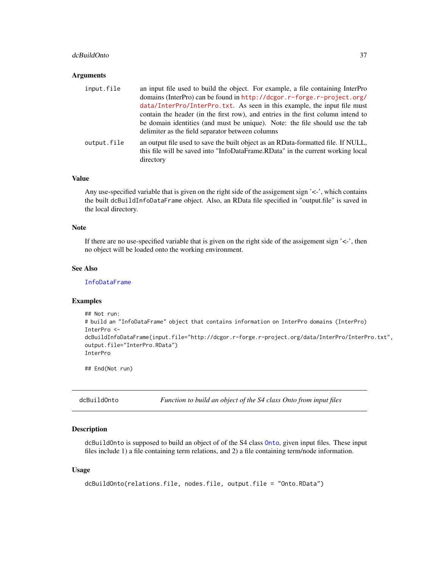#### dcBuildOnto 37

#### Arguments

| input.file  | an input file used to build the object. For example, a file containing InterPro                                                                                                   |
|-------------|-----------------------------------------------------------------------------------------------------------------------------------------------------------------------------------|
|             | domains (InterPro) can be found in http://dcgor.r-forge.r-project.org/                                                                                                            |
|             | data/InterPro/InterPro.txt. As seen in this example, the input file must                                                                                                          |
|             | contain the header (in the first row), and entries in the first column intend to                                                                                                  |
|             | be domain identities (and must be unique). Note: the file should use the tab<br>delimiter as the field separator between columns                                                  |
| output.file | an output file used to save the built object as an RData-formatted file. If NULL,<br>this file will be saved into "InfoDataFrame.RData" in the current working local<br>directory |

### Value

Any use-specified variable that is given on the right side of the assigement sign '<-', which contains the built dcBuildInfoDataFrame object. Also, an RData file specified in "output.file" is saved in the local directory.

## Note

If there are no use-specified variable that is given on the right side of the assigement sign  $\leq$ -', then no object will be loaded onto the working environment.

## See Also

[InfoDataFrame](#page-80-0)

# Examples

```
## Not run:
# build an "InfoDataFrame" object that contains information on InterPro domains (InterPro)
InterPro <-
dcBuildInfoDataFrame(input.file="http://dcgor.r-forge.r-project.org/data/InterPro/InterPro.txt",
output.file="InterPro.RData")
InterPro
```
## End(Not run)

<span id="page-36-0"></span>dcBuildOnto *Function to build an object of the S4 class Onto from input files*

## Description

dcBuildOnto is supposed to build an object of of the S4 class [Onto](#page-87-0), given input files. These input files include 1) a file containing term relations, and 2) a file containing term/node information.

#### Usage

```
dcBuildOnto(relations.file, nodes.file, output.file = "Onto.RData")
```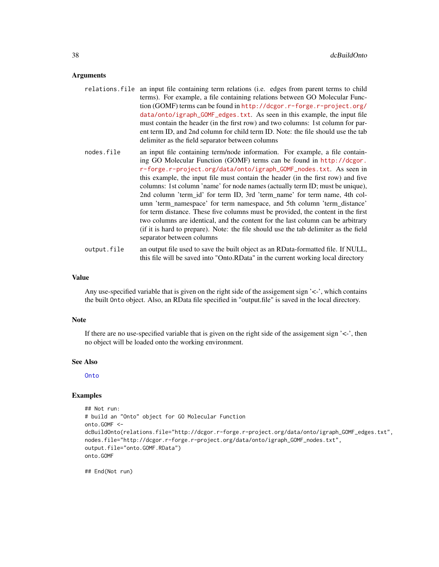#### Arguments

- relations.file an input file containing term relations (i.e. edges from parent terms to child terms). For example, a file containing relations between GO Molecular Function (GOMF) terms can be found in [http://dcgor.r-forge.r-project.org/](http://dcgor.r-forge.r-project.org/data/onto/igraph_GOMF_edges.txt) [data/onto/igraph\\_GOMF\\_edges.txt](http://dcgor.r-forge.r-project.org/data/onto/igraph_GOMF_edges.txt). As seen in this example, the input file must contain the header (in the first row) and two columns: 1st column for parent term ID, and 2nd column for child term ID. Note: the file should use the tab delimiter as the field separator between columns
- nodes.file an input file containing term/node information. For example, a file containing GO Molecular Function (GOMF) terms can be found in [http://dcgor.](http://dcgor.r-forge.r-project.org/data/onto/igraph_GOMF_nodes.txt) [r-forge.r-project.org/data/onto/igraph\\_GOMF\\_nodes.txt](http://dcgor.r-forge.r-project.org/data/onto/igraph_GOMF_nodes.txt). As seen in this example, the input file must contain the header (in the first row) and five columns: 1st column 'name' for node names (actually term ID; must be unique), 2nd column 'term\_id' for term ID, 3rd 'term\_name' for term name, 4th column 'term\_namespace' for term namespace, and 5th column 'term\_distance' for term distance. These five columns must be provided, the content in the first two columns are identical, and the content for the last column can be arbitrary (if it is hard to prepare). Note: the file should use the tab delimiter as the field separator between columns
- output.file an output file used to save the built object as an RData-formatted file. If NULL, this file will be saved into "Onto.RData" in the current working local directory

#### Value

Any use-specified variable that is given on the right side of the assigement sign '<-', which contains the built Onto object. Also, an RData file specified in "output.file" is saved in the local directory.

#### **Note**

If there are no use-specified variable that is given on the right side of the assigement sign  $\leq$ -', then no object will be loaded onto the working environment.

### See Also

#### **[Onto](#page-87-0)**

### Examples

```
## Not run:
# build an "Onto" object for GO Molecular Function
onto.GOMF <-
dcBuildOnto(relations.file="http://dcgor.r-forge.r-project.org/data/onto/igraph_GOMF_edges.txt",
nodes.file="http://dcgor.r-forge.r-project.org/data/onto/igraph_GOMF_nodes.txt",
output.file="onto.GOMF.RData")
onto.GOMF
```
## End(Not run)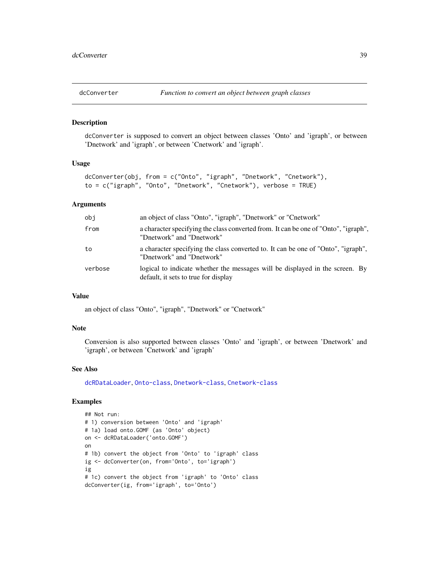<span id="page-38-0"></span>

dcConverter is supposed to convert an object between classes 'Onto' and 'igraph', or between 'Dnetwork' and 'igraph', or between 'Cnetwork' and 'igraph'.

# Usage

```
dcConverter(obj, from = c("Onto", "igraph", "Dnetwork", "Cnetwork"),
to = c("igraph", "Onto", "Dnetwork", "Cnetwork"), verbose = TRUE)
```
# Arguments

| obi     | an object of class "Onto", "igraph", "Dnetwork" or "Cnetwork"                                                        |
|---------|----------------------------------------------------------------------------------------------------------------------|
| from    | a character specifying the class converted from. It can be one of "Onto", "igraph",<br>"Dnetwork" and "Dnetwork"     |
| to      | a character specifying the class converted to. It can be one of "Onto", "igraph",<br>"Dnetwork" and "Dnetwork"       |
| verbose | logical to indicate whether the messages will be displayed in the screen. By<br>default, it sets to true for display |

#### Value

an object of class "Onto", "igraph", "Dnetwork" or "Cnetwork"

#### Note

Conversion is also supported between classes 'Onto' and 'igraph', or between 'Dnetwork' and 'igraph', or between 'Cnetwork' and 'igraph'

# See Also

[dcRDataLoader](#page-57-0), [Onto-class](#page-87-1), [Dnetwork-class](#page-72-0), [Cnetwork-class](#page-8-0)

```
## Not run:
# 1) conversion between 'Onto' and 'igraph'
# 1a) load onto.GOMF (as 'Onto' object)
on <- dcRDataLoader('onto.GOMF')
on
# 1b) convert the object from 'Onto' to 'igraph' class
ig <- dcConverter(on, from='Onto', to='igraph')
ig
# 1c) convert the object from 'igraph' to 'Onto' class
dcConverter(ig, from='igraph', to='Onto')
```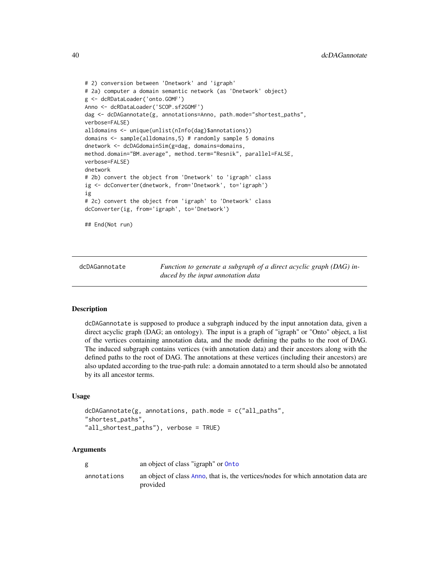```
# 2) conversion between 'Dnetwork' and 'igraph'
# 2a) computer a domain semantic network (as 'Dnetwork' object)
g <- dcRDataLoader('onto.GOMF')
Anno <- dcRDataLoader('SCOP.sf2GOMF')
dag <- dcDAGannotate(g, annotations=Anno, path.mode="shortest_paths",
verbose=FALSE)
alldomains <- unique(unlist(nInfo(dag)$annotations))
domains <- sample(alldomains,5) # randomly sample 5 domains
dnetwork <- dcDAGdomainSim(g=dag, domains=domains,
method.domain="BM.average", method.term="Resnik", parallel=FALSE,
verbose=FALSE)
dnetwork
# 2b) convert the object from 'Dnetwork' to 'igraph' class
ig <- dcConverter(dnetwork, from='Dnetwork', to='igraph')
ig
# 2c) convert the object from 'igraph' to 'Dnetwork' class
dcConverter(ig, from='igraph', to='Dnetwork')
## End(Not run)
```
<span id="page-39-0"></span>dcDAGannotate *Function to generate a subgraph of a direct acyclic graph (DAG) induced by the input annotation data*

### Description

dcDAGannotate is supposed to produce a subgraph induced by the input annotation data, given a direct acyclic graph (DAG; an ontology). The input is a graph of "igraph" or "Onto" object, a list of the vertices containing annotation data, and the mode defining the paths to the root of DAG. The induced subgraph contains vertices (with annotation data) and their ancestors along with the defined paths to the root of DAG. The annotations at these vertices (including their ancestors) are also updated according to the true-path rule: a domain annotated to a term should also be annotated by its all ancestor terms.

#### Usage

```
dcDAGannotate(g, annotations, path.mode = c("all_paths",
"shortest_paths",
"all_shortest_paths"), verbose = TRUE)
```
### Arguments

| g           | an object of class "igraph" or <b>Onto</b>                                                     |
|-------------|------------------------------------------------------------------------------------------------|
| annotations | an object of class Anno, that is, the vertices/nodes for which annotation data are<br>provided |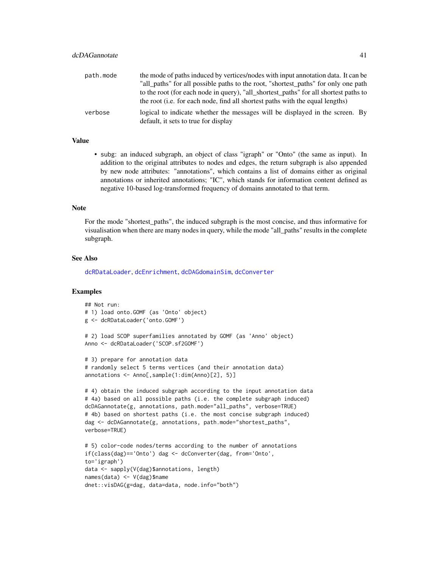| path.mode | the mode of paths induced by vertices/nodes with input annotation data. It can be                                                                                             |
|-----------|-------------------------------------------------------------------------------------------------------------------------------------------------------------------------------|
|           | "all paths" for all possible paths to the root, "shortest paths" for only one path                                                                                            |
|           | to the root (for each node in query), "all_shortest_paths" for all shortest paths to<br>the root ( <i>i.e.</i> for each node, find all shortest paths with the equal lengths) |
| verbose   | logical to indicate whether the messages will be displayed in the screen. By<br>default, it sets to true for display                                                          |

## Value

• subg: an induced subgraph, an object of class "igraph" or "Onto" (the same as input). In addition to the original attributes to nodes and edges, the return subgraph is also appended by new node attributes: "annotations", which contains a list of domains either as original annotations or inherited annotations; "IC", which stands for information content defined as negative 10-based log-transformed frequency of domains annotated to that term.

## Note

For the mode "shortest\_paths", the induced subgraph is the most concise, and thus informative for visualisation when there are many nodes in query, while the mode "all\_paths" results in the complete subgraph.

#### See Also

[dcRDataLoader](#page-57-0), [dcEnrichment](#page-47-0), [dcDAGdomainSim](#page-41-0), [dcConverter](#page-38-0)

```
## Not run:
# 1) load onto.GOMF (as 'Onto' object)
g <- dcRDataLoader('onto.GOMF')
# 2) load SCOP superfamilies annotated by GOMF (as 'Anno' object)
Anno <- dcRDataLoader('SCOP.sf2GOMF')
# 3) prepare for annotation data
# randomly select 5 terms vertices (and their annotation data)
annotations <- Anno[,sample(1:dim(Anno)[2], 5)]
# 4) obtain the induced subgraph according to the input annotation data
# 4a) based on all possible paths (i.e. the complete subgraph induced)
dcDAGannotate(g, annotations, path.mode="all_paths", verbose=TRUE)
# 4b) based on shortest paths (i.e. the most concise subgraph induced)
dag <- dcDAGannotate(g, annotations, path.mode="shortest_paths",
verbose=TRUE)
# 5) color-code nodes/terms according to the number of annotations
if(class(dag)=='Onto') dag <- dcConverter(dag, from='Onto',
to='igraph')
data <- sapply(V(dag)$annotations, length)
names(data) <- V(dag)$name
dnet::visDAG(g=dag, data=data, node.info="both")
```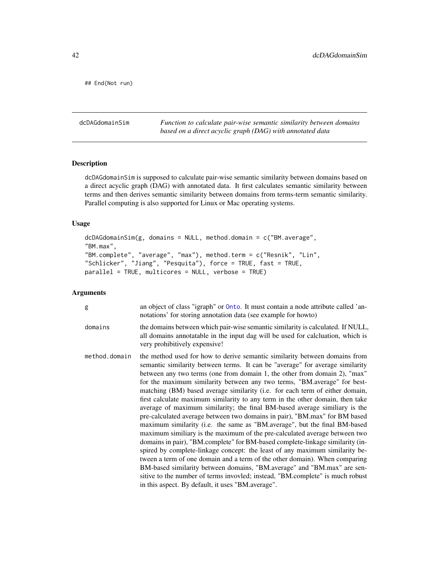## End(Not run)

<span id="page-41-0"></span>dcDAGdomainSim *Function to calculate pair-wise semantic similarity between domains based on a direct acyclic graph (DAG) with annotated data*

# Description

dcDAGdomainSim is supposed to calculate pair-wise semantic similarity between domains based on a direct acyclic graph (DAG) with annotated data. It first calculates semantic similarity between terms and then derives semantic similarity between domains from terms-term semantic similarity. Parallel computing is also supported for Linux or Mac operating systems.

# Usage

```
dcDAGdomainSim(g, domains = NULL, method.domain = c("BM.average",
"BM.max",
"BM.complete", "average", "max"), method.term = c("Resnik", "Lin",
"Schlicker", "Jiang", "Pesquita"), force = TRUE, fast = TRUE,
parallel = TRUE, multicores = NULL, verbose = TRUE)
```
# Arguments

| g             | an object of class "igraph" or Onto. It must contain a node attribute called 'an-<br>notations' for storing annotation data (see example for howto)                                                                                                                                                                                                                                                                                                                                                                                                                                                                                                                                                                                                                                                                                                                                                                                                                                                                                                                                                                                                                                                                                                                         |
|---------------|-----------------------------------------------------------------------------------------------------------------------------------------------------------------------------------------------------------------------------------------------------------------------------------------------------------------------------------------------------------------------------------------------------------------------------------------------------------------------------------------------------------------------------------------------------------------------------------------------------------------------------------------------------------------------------------------------------------------------------------------------------------------------------------------------------------------------------------------------------------------------------------------------------------------------------------------------------------------------------------------------------------------------------------------------------------------------------------------------------------------------------------------------------------------------------------------------------------------------------------------------------------------------------|
| domains       | the domains between which pair-wise semantic similarity is calculated. If NULL,<br>all domains annotatable in the input dag will be used for calcluation, which is<br>very prohibitively expensive!                                                                                                                                                                                                                                                                                                                                                                                                                                                                                                                                                                                                                                                                                                                                                                                                                                                                                                                                                                                                                                                                         |
| method.domain | the method used for how to derive semantic similarity between domains from<br>semantic similarity between terms. It can be "average" for average similarity<br>between any two terms (one from domain 1, the other from domain 2), "max"<br>for the maximum similarity between any two terms, "BM average" for best-<br>matching (BM) based average similarity (i.e. for each term of either domain,<br>first calculate maximum similarity to any term in the other domain, then take<br>average of maximum similarity; the final BM-based average similiary is the<br>pre-calculated average between two domains in pair), "BM max" for BM based<br>maximum similarity (i.e. the same as "BM.average", but the final BM-based<br>maximum similiary is the maximum of the pre-calculated average between two<br>domains in pair), "BM.complete" for BM-based complete-linkage similarity (in-<br>spired by complete-linkage concept: the least of any maximum similarity be-<br>tween a term of one domain and a term of the other domain). When comparing<br>BM-based similarity between domains, "BM average" and "BM max" are sen-<br>sitive to the number of terms invovled; instead, "BM.complete" is much robust<br>in this aspect. By default, it uses "BM average". |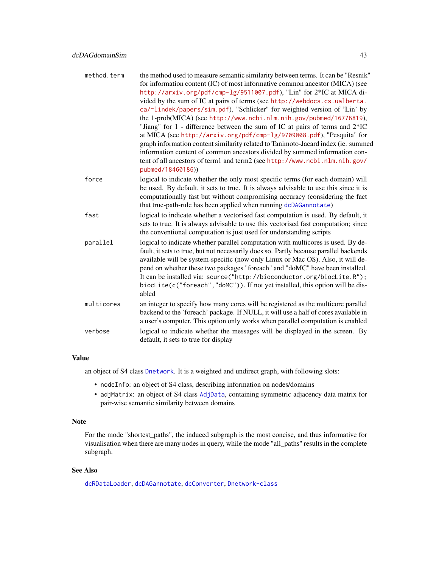| method.term | the method used to measure semantic similarity between terms. It can be "Resnik"                                                                                                                                                                |
|-------------|-------------------------------------------------------------------------------------------------------------------------------------------------------------------------------------------------------------------------------------------------|
|             | for information content (IC) of most informative common ancestor (MICA) (see                                                                                                                                                                    |
|             | http://arxiv.org/pdf/cmp-1g/9511007.pdf), "Lin" for 2*IC at MICA di-<br>vided by the sum of IC at pairs of terms (see http://webdocs.cs.ualberta.                                                                                               |
|             | ca/~lindek/papers/sim.pdf), "Schlicker" for weighted version of 'Lin' by                                                                                                                                                                        |
|             | the 1-prob(MICA) (see http://www.ncbi.nlm.nih.gov/pubmed/16776819),                                                                                                                                                                             |
|             | "Jiang" for 1 - difference between the sum of IC at pairs of terms and 2*IC                                                                                                                                                                     |
|             | at MICA (see http://arxiv.org/pdf/cmp-1g/9709008.pdf), "Pesquita" for                                                                                                                                                                           |
|             | graph information content similarity related to Tanimoto-Jacard index (ie. summed                                                                                                                                                               |
|             | information content of common ancestors divided by summed information con-                                                                                                                                                                      |
|             | tent of all ancestors of term1 and term2 (see http://www.ncbi.nlm.nih.gov/<br>pubmed/18460186))                                                                                                                                                 |
| force       | logical to indicate whether the only most specific terms (for each domain) will                                                                                                                                                                 |
|             | be used. By default, it sets to true. It is always advisable to use this since it is                                                                                                                                                            |
|             | computationally fast but without compromising accuracy (considering the fact                                                                                                                                                                    |
|             | that true-path-rule has been applied when running dcDAGannotate)                                                                                                                                                                                |
| fast        | logical to indicate whether a vectorised fast computation is used. By default, it<br>sets to true. It is always advisable to use this vectorised fast computation; since<br>the conventional computation is just used for understanding scripts |
| parallel    | logical to indicate whether parallel computation with multicores is used. By de-                                                                                                                                                                |
|             | fault, it sets to true, but not necessarily does so. Partly because parallel backends                                                                                                                                                           |
|             | available will be system-specific (now only Linux or Mac OS). Also, it will de-                                                                                                                                                                 |
|             | pend on whether these two packages "foreach" and "doMC" have been installed.                                                                                                                                                                    |
|             | It can be installed via: source("http://bioconductor.org/biocLite.R");                                                                                                                                                                          |
|             | biocLite(c("foreach","doMC")). If not yet installed, this option will be dis-                                                                                                                                                                   |
|             | abled                                                                                                                                                                                                                                           |
| multicores  | an integer to specify how many cores will be registered as the multicore parallel                                                                                                                                                               |
|             | backend to the 'foreach' package. If NULL, it will use a half of cores available in<br>a user's computer. This option only works when parallel computation is enabled                                                                           |
| verbose     | logical to indicate whether the messages will be displayed in the screen. By<br>default, it sets to true for display                                                                                                                            |

## Value

an object of S4 class [Dnetwork](#page-72-1). It is a weighted and undirect graph, with following slots:

- nodeInfo: an object of S4 class, describing information on nodes/domains
- adjMatrix: an object of S4 class [AdjData](#page-3-0), containing symmetric adjacency data matrix for pair-wise semantic similarity between domains

## Note

For the mode "shortest\_paths", the induced subgraph is the most concise, and thus informative for visualisation when there are many nodes in query, while the mode "all\_paths" results in the complete subgraph.

## See Also

[dcRDataLoader](#page-57-0), [dcDAGannotate](#page-39-0), [dcConverter](#page-38-0), [Dnetwork-class](#page-72-0)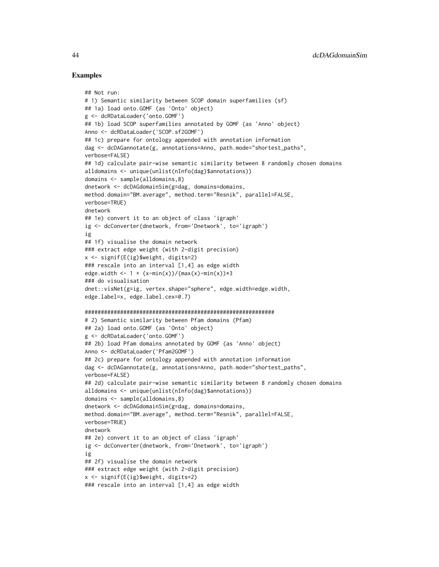```
## Not run:
# 1) Semantic similarity between SCOP domain superfamilies (sf)
## 1a) load onto.GOMF (as 'Onto' object)
g <- dcRDataLoader('onto.GOMF')
## 1b) load SCOP superfamilies annotated by GOMF (as 'Anno' object)
Anno <- dcRDataLoader('SCOP.sf2GOMF')
## 1c) prepare for ontology appended with annotation information
dag <- dcDAGannotate(g, annotations=Anno, path.mode="shortest_paths",
verbose=FALSE)
## 1d) calculate pair-wise semantic similarity between 8 randomly chosen domains
alldomains <- unique(unlist(nInfo(dag)$annotations))
domains <- sample(alldomains,8)
dnetwork <- dcDAGdomainSim(g=dag, domains=domains,
method.domain="BM.average", method.term="Resnik", parallel=FALSE,
verbose=TRUE)
dnetwork
## 1e) convert it to an object of class 'igraph'
ig <- dcConverter(dnetwork, from='Dnetwork', to='igraph')
ig
## 1f) visualise the domain network
### extract edge weight (with 2-digit precision)
x <- signif(E(ig)$weight, digits=2)
### rescale into an interval [1,4] as edge width
edge.width <- 1 + (x-min(x))/(max(x)-min(x))*3### do visualisation
dnet::visNet(g=ig, vertex.shape="sphere", edge.width=edge.width,
edge.label=x, edge.label.cex=0.7)
###########################################################
# 2) Semantic similarity between Pfam domains (Pfam)
## 2a) load onto.GOMF (as 'Onto' object)
g <- dcRDataLoader('onto.GOMF')
## 2b) load Pfam domains annotated by GOMF (as 'Anno' object)
Anno <- dcRDataLoader('Pfam2GOMF')
## 2c) prepare for ontology appended with annotation information
dag <- dcDAGannotate(g, annotations=Anno, path.mode="shortest_paths",
verbose=FALSE)
## 2d) calculate pair-wise semantic similarity between 8 randomly chosen domains
alldomains <- unique(unlist(nInfo(dag)$annotations))
domains <- sample(alldomains,8)
dnetwork <- dcDAGdomainSim(g=dag, domains=domains,
method.domain="BM.average", method.term="Resnik", parallel=FALSE,
verbose=TRUE)
dnetwork
## 2e) convert it to an object of class 'igraph'
ig <- dcConverter(dnetwork, from='Dnetwork', to='igraph')
ig
## 2f) visualise the domain network
### extract edge weight (with 2-digit precision)
x <- signif(E(ig)$weight, digits=2)
### rescale into an interval [1,4] as edge width
```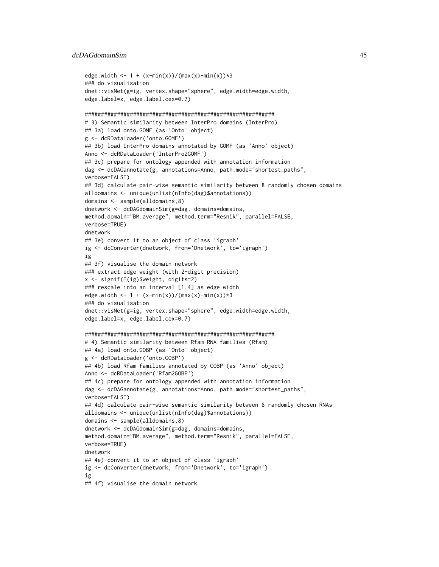### dcDAGdomainSim 45

```
edge.width <- 1 + (x-min(x))/(max(x)-min(x))### do visualisation
dnet::visNet(g=ig, vertex.shape="sphere", edge.width=edge.width,
edge.label=x, edge.label.cex=0.7)
###########################################################
# 3) Semantic similarity between InterPro domains (InterPro)
## 3a) load onto.GOMF (as 'Onto' object)
g <- dcRDataLoader('onto.GOMF')
## 3b) load InterPro domains annotated by GOMF (as 'Anno' object)
Anno <- dcRDataLoader('InterPro2GOMF')
## 3c) prepare for ontology appended with annotation information
dag <- dcDAGannotate(g, annotations=Anno, path.mode="shortest_paths",
verbose=FALSE)
## 3d) calculate pair-wise semantic similarity between 8 randomly chosen domains
alldomains <- unique(unlist(nInfo(dag)$annotations))
domains <- sample(alldomains,8)
dnetwork <- dcDAGdomainSim(g=dag, domains=domains,
method.domain="BM.average", method.term="Resnik", parallel=FALSE,
verbose=TRUE)
dnetwork
## 3e) convert it to an object of class 'igraph'
ig <- dcConverter(dnetwork, from='Dnetwork', to='igraph')
ig
## 3f) visualise the domain network
### extract edge weight (with 2-digit precision)
x <- signif(E(ig)$weight, digits=2)
### rescale into an interval [1,4] as edge width
edge.width <- 1 + (x-min(x))/(max(x)-min(x))*3### do visualisation
dnet::visNet(g=ig, vertex.shape="sphere", edge.width=edge.width,
edge.label=x, edge.label.cex=0.7)
###########################################################
# 4) Semantic similarity between Rfam RNA families (Rfam)
## 4a) load onto.GOBP (as 'Onto' object)
g <- dcRDataLoader('onto.GOBP')
## 4b) load Rfam families annotated by GOBP (as 'Anno' object)
Anno <- dcRDataLoader('Rfam2GOBP')
## 4c) prepare for ontology appended with annotation information
dag <- dcDAGannotate(g, annotations=Anno, path.mode="shortest_paths",
verbose=FALSE)
## 4d) calculate pair-wise semantic similarity between 8 randomly chosen RNAs
alldomains <- unique(unlist(nInfo(dag)$annotations))
domains <- sample(alldomains,8)
dnetwork <- dcDAGdomainSim(g=dag, domains=domains,
method.domain="BM.average", method.term="Resnik", parallel=FALSE,
verbose=TRUE)
dnetwork
## 4e) convert it to an object of class 'igraph'
ig <- dcConverter(dnetwork, from='Dnetwork', to='igraph')
ig
## 4f) visualise the domain network
```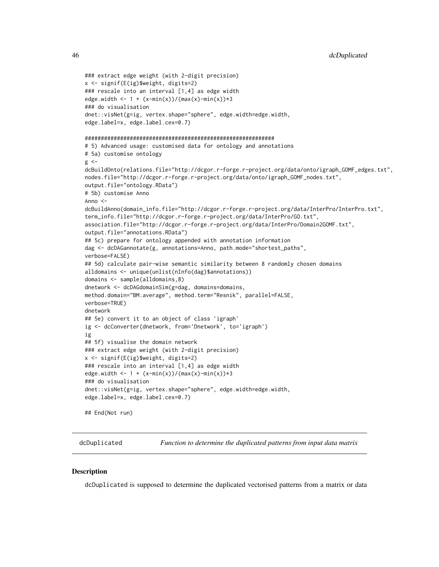```
### extract edge weight (with 2-digit precision)
x <- signif(E(ig)$weight, digits=2)
### rescale into an interval [1,4] as edge width
edge.width <- 1 + (x-min(x))/(max(x)-min(x))*3### do visualisation
dnet::visNet(g=ig, vertex.shape="sphere", edge.width=edge.width,
edge.label=x, edge.label.cex=0.7)
###########################################################
# 5) Advanced usage: customised data for ontology and annotations
# 5a) customise ontology
g \leftarrowdcBuildOnto(relations.file="http://dcgor.r-forge.r-project.org/data/onto/igraph_GOMF_edges.txt",
nodes.file="http://dcgor.r-forge.r-project.org/data/onto/igraph_GOMF_nodes.txt",
output.file="ontology.RData")
# 5b) customise Anno
Anno \leqdcBuildAnno(domain_info.file="http://dcgor.r-forge.r-project.org/data/InterPro/InterPro.txt",
term_info.file="http://dcgor.r-forge.r-project.org/data/InterPro/GO.txt",
association.file="http://dcgor.r-forge.r-project.org/data/InterPro/Domain2GOMF.txt",
output.file="annotations.RData")
## 5c) prepare for ontology appended with annotation information
dag <- dcDAGannotate(g, annotations=Anno, path.mode="shortest_paths",
verbose=FALSE)
## 5d) calculate pair-wise semantic similarity between 8 randomly chosen domains
alldomains <- unique(unlist(nInfo(dag)$annotations))
domains <- sample(alldomains,8)
dnetwork <- dcDAGdomainSim(g=dag, domains=domains,
method.domain="BM.average", method.term="Resnik", parallel=FALSE,
verbose=TRUE)
dnetwork
## 5e) convert it to an object of class 'igraph'
ig <- dcConverter(dnetwork, from='Dnetwork', to='igraph')
ig
## 5f) visualise the domain network
### extract edge weight (with 2-digit precision)
x <- signif(E(ig)$weight, digits=2)
### rescale into an interval [1,4] as edge width
edge.width <- 1 + (x-min(x))/(max(x)-min(x))*3### do visualisation
dnet::visNet(g=ig, vertex.shape="sphere", edge.width=edge.width,
edge.label=x, edge.label.cex=0.7)
## End(Not run)
```
dcDuplicated *Function to determine the duplicated patterns from input data matrix*

## **Description**

dcDuplicated is supposed to determine the duplicated vectorised patterns from a matrix or data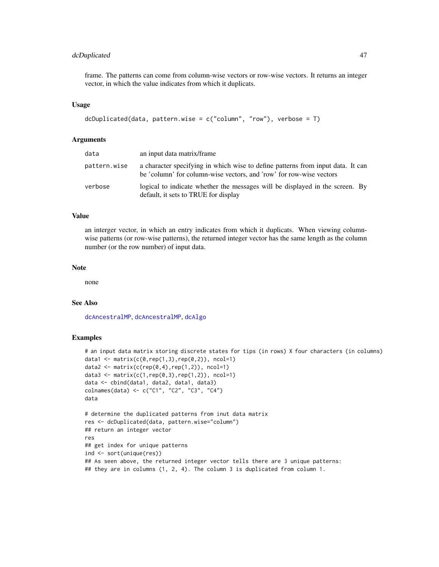# dcDuplicated 47

frame. The patterns can come from column-wise vectors or row-wise vectors. It returns an integer vector, in which the value indicates from which it duplicats.

### Usage

```
dcDuplicated(data, pattern.wise = c("column", "row"), verbose = T)
```
### Arguments

| data         | an input data matrix/frame                                                                                                                             |
|--------------|--------------------------------------------------------------------------------------------------------------------------------------------------------|
| pattern.wise | a character specifying in which wise to define patterns from input data. It can<br>be 'column' for column-wise vectors, and 'row' for row-wise vectors |
| verbose      | logical to indicate whether the messages will be displayed in the screen. By<br>default, it sets to TRUE for display                                   |

### Value

an interger vector, in which an entry indicates from which it duplicats. When viewing columnwise patterns (or row-wise patterns), the returned integer vector has the same length as the column number (or the row number) of input data.

## Note

none

# See Also

[dcAncestralMP](#page-32-0), [dcAncestralMP](#page-32-0), [dcAlgo](#page-14-0)

```
# an input data matrix storing discrete states for tips (in rows) X four characters (in columns)
data1 <- matrix(c(0, rep(1,3), rep(0,2)), ncol=1)
data2 <- matrix(c(rep(0,4),rep(1,2)), ncol=1)
data3 <- matrix(c(1, rep(0,3), rep(1,2)), ncol=1)
data <- cbind(data1, data2, data1, data3)
colnames(data) <- c("C1", "C2", "C3", "C4")
data
# determine the duplicated patterns from inut data matrix
res <- dcDuplicated(data, pattern.wise="column")
## return an integer vector
res
## get index for unique patterns
ind <- sort(unique(res))
## As seen above, the returned integer vector tells there are 3 unique patterns:
## they are in columns (1, 2, 4). The column 3 is duplicated from column 1.
```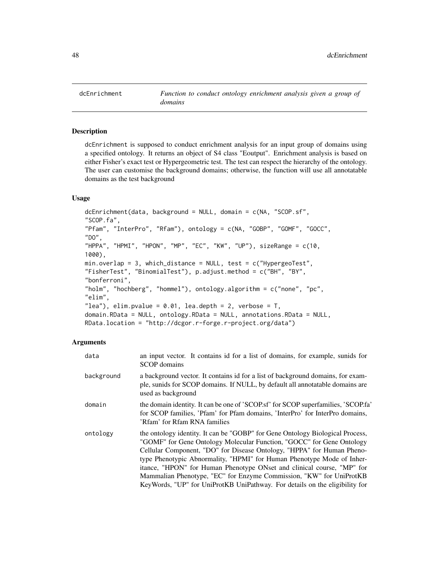<span id="page-47-0"></span>

dcEnrichment is supposed to conduct enrichment analysis for an input group of domains using a specified ontology. It returns an object of S4 class "Eoutput". Enrichment analysis is based on either Fisher's exact test or Hypergeometric test. The test can respect the hierarchy of the ontology. The user can customise the background domains; otherwise, the function will use all annotatable domains as the test background

## Usage

dcEnrichment(data, background = NULL, domain = c(NA, "SCOP.sf", "SCOP.fa", "Pfam", "InterPro", "Rfam"), ontology = c(NA, "GOBP", "GOMF", "GOCC", "DO", "HPPA", "HPMI", "HPON", "MP", "EC", "KW", "UP"), sizeRange =  $c(10, 10)$ 1000), min.overlap = 3, which\_distance = NULL, test = c("HypergeoTest", "FisherTest", "BinomialTest"), p.adjust.method = c("BH", "BY", "bonferroni", "holm", "hochberg", "hommel"), ontology.algorithm =  $c("none", "pc",$ "elim", "lea"), elim.pvalue =  $0.01$ , lea.depth = 2, verbose = T, domain.RData = NULL, ontology.RData = NULL, annotations.RData = NULL, RData.location = "http://dcgor.r-forge.r-project.org/data")

# Arguments

| data       | an input vector. It contains id for a list of domains, for example, sunids for<br><b>SCOP</b> domains                                                                                                                                                                                                                                                                                                                                                                                                                                      |
|------------|--------------------------------------------------------------------------------------------------------------------------------------------------------------------------------------------------------------------------------------------------------------------------------------------------------------------------------------------------------------------------------------------------------------------------------------------------------------------------------------------------------------------------------------------|
| background | a background vector. It contains id for a list of background domains, for exam-<br>ple, sunids for SCOP domains. If NULL, by default all annotatable domains are<br>used as background                                                                                                                                                                                                                                                                                                                                                     |
| domain     | the domain identity. It can be one of 'SCOP.sf' for SCOP superfamilies, 'SCOP.fa'<br>for SCOP families, 'Pfam' for Pfam domains, 'InterPro' for InterPro domains,<br>'Rfam' for Rfam RNA families                                                                                                                                                                                                                                                                                                                                          |
| ontology   | the ontology identity. It can be "GOBP" for Gene Ontology Biological Process,<br>"GOMF" for Gene Ontology Molecular Function, "GOCC" for Gene Ontology<br>Cellular Component, "DO" for Disease Ontology, "HPPA" for Human Pheno-<br>type Phenotypic Abnormality, "HPMI" for Human Phenotype Mode of Inher-<br>itance, "HPON" for Human Phenotype ONset and clinical course, "MP" for<br>Mammalian Phenotype, "EC" for Enzyme Commission, "KW" for UniProtKB<br>KeyWords, "UP" for UniProtKB UniPathway. For details on the eligibility for |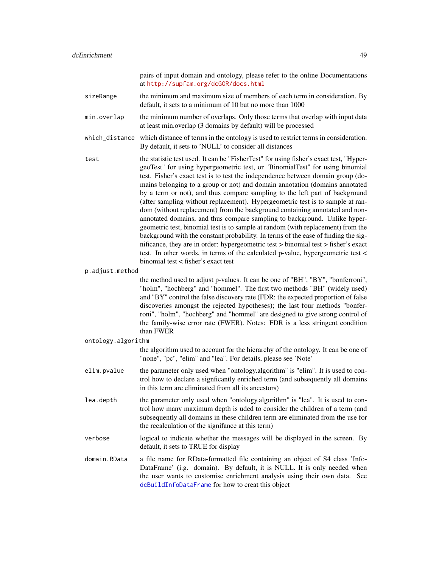|                    | pairs of input domain and ontology, please refer to the online Documentations<br>at http://supfam.org/dcGOR/docs.html                                                                                                                                                                                                                                                                                                                                                                                                                                                                                                                                                                                                                                                                                                                                                                                                                                                                                                                                           |
|--------------------|-----------------------------------------------------------------------------------------------------------------------------------------------------------------------------------------------------------------------------------------------------------------------------------------------------------------------------------------------------------------------------------------------------------------------------------------------------------------------------------------------------------------------------------------------------------------------------------------------------------------------------------------------------------------------------------------------------------------------------------------------------------------------------------------------------------------------------------------------------------------------------------------------------------------------------------------------------------------------------------------------------------------------------------------------------------------|
| sizeRange          | the minimum and maximum size of members of each term in consideration. By<br>default, it sets to a minimum of 10 but no more than 1000                                                                                                                                                                                                                                                                                                                                                                                                                                                                                                                                                                                                                                                                                                                                                                                                                                                                                                                          |
| min.overlap        | the minimum number of overlaps. Only those terms that overlap with input data<br>at least min.overlap (3 domains by default) will be processed                                                                                                                                                                                                                                                                                                                                                                                                                                                                                                                                                                                                                                                                                                                                                                                                                                                                                                                  |
| which_distance     | which distance of terms in the ontology is used to restrict terms in consideration.<br>By default, it sets to 'NULL' to consider all distances                                                                                                                                                                                                                                                                                                                                                                                                                                                                                                                                                                                                                                                                                                                                                                                                                                                                                                                  |
| test               | the statistic test used. It can be "FisherTest" for using fisher's exact test, "Hyper-<br>geoTest" for using hypergeometric test, or "BinomialTest" for using binomial<br>test. Fisher's exact test is to test the independence between domain group (do-<br>mains belonging to a group or not) and domain annotation (domains annotated<br>by a term or not), and thus compare sampling to the left part of background<br>(after sampling without replacement). Hypergeometric test is to sample at ran-<br>dom (without replacement) from the background containing annotated and non-<br>annotated domains, and thus compare sampling to background. Unlike hyper-<br>geometric test, binomial test is to sample at random (with replacement) from the<br>background with the constant probability. In terms of the ease of finding the sig-<br>nificance, they are in order: hypergeometric test > binomial test > fisher's exact<br>test. In other words, in terms of the calculated p-value, hypergeometric test <<br>binomial test < fisher's exact test |
| p.adjust.method    |                                                                                                                                                                                                                                                                                                                                                                                                                                                                                                                                                                                                                                                                                                                                                                                                                                                                                                                                                                                                                                                                 |
|                    | the method used to adjust p-values. It can be one of "BH", "BY", "bonferroni",<br>"holm", "hochberg" and "hommel". The first two methods "BH" (widely used)<br>and "BY" control the false discovery rate (FDR: the expected proportion of false<br>discoveries amongst the rejected hypotheses); the last four methods "bonfer-<br>roni", "holm", "hochberg" and "hommel" are designed to give strong control of<br>the family-wise error rate (FWER). Notes: FDR is a less stringent condition<br>than FWER                                                                                                                                                                                                                                                                                                                                                                                                                                                                                                                                                    |
| ontology.algorithm |                                                                                                                                                                                                                                                                                                                                                                                                                                                                                                                                                                                                                                                                                                                                                                                                                                                                                                                                                                                                                                                                 |
|                    | the algorithm used to account for the hierarchy of the ontology. It can be one of<br>"none", "pc", "elim" and "lea". For details, please see 'Note'                                                                                                                                                                                                                                                                                                                                                                                                                                                                                                                                                                                                                                                                                                                                                                                                                                                                                                             |
| elim.pvalue        | the parameter only used when "ontology.algorithm" is "elim". It is used to con-<br>trol how to declare a signficantly enriched term (and subsequently all domains<br>in this term are eliminated from all its ancestors)                                                                                                                                                                                                                                                                                                                                                                                                                                                                                                                                                                                                                                                                                                                                                                                                                                        |
| lea.depth          | the parameter only used when "ontology.algorithm" is "lea". It is used to con-<br>trol how many maximum depth is uded to consider the children of a term (and<br>subsequently all domains in these children term are eliminated from the use for<br>the recalculation of the signifance at this term)                                                                                                                                                                                                                                                                                                                                                                                                                                                                                                                                                                                                                                                                                                                                                           |
| verbose            | logical to indicate whether the messages will be displayed in the screen. By<br>default, it sets to TRUE for display                                                                                                                                                                                                                                                                                                                                                                                                                                                                                                                                                                                                                                                                                                                                                                                                                                                                                                                                            |
| domain.RData       | a file name for RData-formatted file containing an object of S4 class 'Info-<br>DataFrame' (i.g. domain). By default, it is NULL. It is only needed when<br>the user wants to customise enrichment analysis using their own data. See<br>dcBuildInfoDataFrame for how to creat this object                                                                                                                                                                                                                                                                                                                                                                                                                                                                                                                                                                                                                                                                                                                                                                      |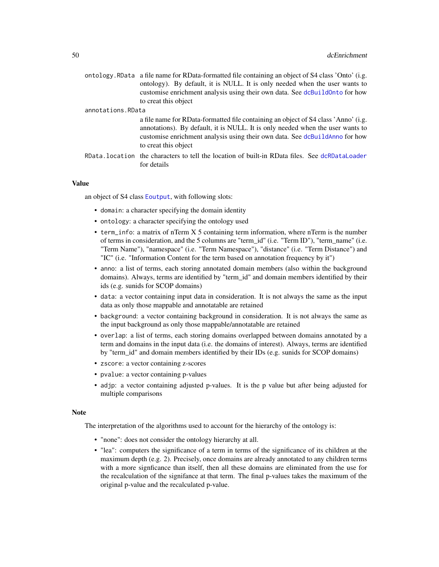|                   | ontology. RData a file name for RData-formatted file containing an object of S4 class 'Onto' (i.g.<br>ontology). By default, it is NULL. It is only needed when the user wants to<br>customise enrichment analysis using their own data. See dcBuildOnto for how<br>to creat this object |
|-------------------|------------------------------------------------------------------------------------------------------------------------------------------------------------------------------------------------------------------------------------------------------------------------------------------|
| annotations.RData |                                                                                                                                                                                                                                                                                          |
|                   | a file name for RData-formatted file containing an object of S4 class 'Anno' (i.g.<br>annotations). By default, it is NULL. It is only needed when the user wants to<br>customise enrichment analysis using their own data. See dcBuildAnno for how<br>to creat this object              |
|                   | RData, location the characters to tell the location of built-in RData files. See dcRDataLoader<br>for details                                                                                                                                                                            |

## Value

an object of S4 class [Eoutput](#page-75-0), with following slots:

- domain: a character specifying the domain identity
- ontology: a character specifying the ontology used
- term\_info: a matrix of nTerm X 5 containing term information, where nTerm is the number of terms in consideration, and the 5 columns are "term\_id" (i.e. "Term ID"), "term\_name" (i.e. "Term Name"), "namespace" (i.e. "Term Namespace"), "distance" (i.e. "Term Distance") and "IC" (i.e. "Information Content for the term based on annotation frequency by it")
- anno: a list of terms, each storing annotated domain members (also within the background domains). Always, terms are identified by "term\_id" and domain members identified by their ids (e.g. sunids for SCOP domains)
- data: a vector containing input data in consideration. It is not always the same as the input data as only those mappable and annotatable are retained
- background: a vector containing background in consideration. It is not always the same as the input background as only those mappable/annotatable are retained
- overlap: a list of terms, each storing domains overlapped between domains annotated by a term and domains in the input data (i.e. the domains of interest). Always, terms are identified by "term\_id" and domain members identified by their IDs (e.g. sunids for SCOP domains)
- zscore: a vector containing z-scores
- pvalue: a vector containing p-values
- adjp: a vector containing adjusted p-values. It is the p value but after being adjusted for multiple comparisons

## **Note**

The interpretation of the algorithms used to account for the hierarchy of the ontology is:

- "none": does not consider the ontology hierarchy at all.
- "lea": computers the significance of a term in terms of the significance of its children at the maximum depth (e.g. 2). Precisely, once domains are already annotated to any children terms with a more signficance than itself, then all these domains are eliminated from the use for the recalculation of the signifance at that term. The final p-values takes the maximum of the original p-value and the recalculated p-value.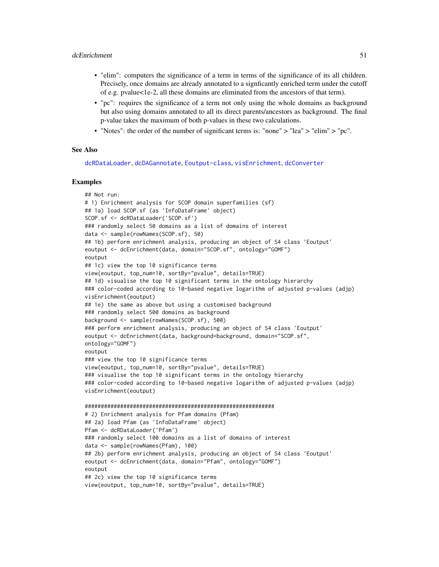- "elim": computers the significance of a term in terms of the significance of its all children. Precisely, once domains are already annotated to a signficantly enriched term under the cutoff of e.g. pvalue<1e-2, all these domains are eliminated from the ancestors of that term).
- "pc": requires the significance of a term not only using the whole domains as background but also using domains annotated to all its direct parents/ancestors as background. The final p-value takes the maximum of both p-values in these two calculations.
- "Notes": the order of the number of significant terms is: "none" > "lea" > "elim" > "pc".

### See Also

[dcRDataLoader](#page-57-0), [dcDAGannotate](#page-39-0), [Eoutput-class](#page-75-1), [visEnrichment](#page-122-0), [dcConverter](#page-38-0)

```
## Not run:
# 1) Enrichment analysis for SCOP domain superfamilies (sf)
## 1a) load SCOP.sf (as 'InfoDataFrame' object)
SCOP.sf <- dcRDataLoader('SCOP.sf')
### randomly select 50 domains as a list of domains of interest
data <- sample(rowNames(SCOP.sf), 50)
## 1b) perform enrichment analysis, producing an object of S4 class 'Eoutput'
eoutput <- dcEnrichment(data, domain="SCOP.sf", ontology="GOMF")
eoutput
## 1c) view the top 10 significance terms
view(eoutput, top_num=10, sortBy="pvalue", details=TRUE)
## 1d) visualise the top 10 significant terms in the ontology hierarchy
### color-coded according to 10-based negative logarithm of adjusted p-values (adjp)
visEnrichment(eoutput)
## 1e) the same as above but using a customised background
### randomly select 500 domains as background
background <- sample(rowNames(SCOP.sf), 500)
### perform enrichment analysis, producing an object of S4 class 'Eoutput'
eoutput <- dcEnrichment(data, background=background, domain="SCOP.sf",
ontology="GOMF")
eoutput
### view the top 10 significance terms
view(eoutput, top_num=10, sortBy="pvalue", details=TRUE)
### visualise the top 10 significant terms in the ontology hierarchy
### color-coded according to 10-based negative logarithm of adjusted p-values (adjp)
visEnrichment(eoutput)
###########################################################
# 2) Enrichment analysis for Pfam domains (Pfam)
## 2a) load Pfam (as 'InfoDataFrame' object)
Pfam <- dcRDataLoader('Pfam')
### randomly select 100 domains as a list of domains of interest
data <- sample(rowNames(Pfam), 100)
## 2b) perform enrichment analysis, producing an object of S4 class 'Eoutput'
eoutput <- dcEnrichment(data, domain="Pfam", ontology="GOMF")
eoutput
## 2c) view the top 10 significance terms
view(eoutput, top_num=10, sortBy="pvalue", details=TRUE)
```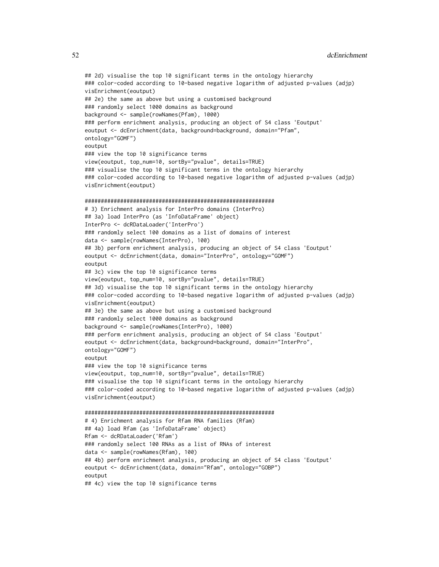## 2d) visualise the top 10 significant terms in the ontology hierarchy ### color-coded according to 10-based negative logarithm of adjusted p-values (adjp) visEnrichment(eoutput) ## 2e) the same as above but using a customised background ### randomly select 1000 domains as background background <- sample(rowNames(Pfam), 1000) ### perform enrichment analysis, producing an object of S4 class 'Eoutput' eoutput <- dcEnrichment(data, background=background, domain="Pfam", ontology="GOMF") eoutput ### view the top 10 significance terms view(eoutput, top\_num=10, sortBy="pvalue", details=TRUE) ### visualise the top 10 significant terms in the ontology hierarchy ### color-coded according to 10-based negative logarithm of adjusted p-values (adjp) visEnrichment(eoutput) ########################################################### # 3) Enrichment analysis for InterPro domains (InterPro) ## 3a) load InterPro (as 'InfoDataFrame' object) InterPro <- dcRDataLoader('InterPro') ### randomly select 100 domains as a list of domains of interest data <- sample(rowNames(InterPro), 100) ## 3b) perform enrichment analysis, producing an object of S4 class 'Eoutput' eoutput <- dcEnrichment(data, domain="InterPro", ontology="GOMF") eoutput ## 3c) view the top 10 significance terms view(eoutput, top\_num=10, sortBy="pvalue", details=TRUE) ## 3d) visualise the top 10 significant terms in the ontology hierarchy ### color-coded according to 10-based negative logarithm of adjusted p-values (adjp) visEnrichment(eoutput) ## 3e) the same as above but using a customised background ### randomly select 1000 domains as background background <- sample(rowNames(InterPro), 1000) ### perform enrichment analysis, producing an object of S4 class 'Eoutput' eoutput <- dcEnrichment(data, background=background, domain="InterPro", ontology="GOMF") eoutput ### view the top 10 significance terms view(eoutput, top\_num=10, sortBy="pvalue", details=TRUE) ### visualise the top 10 significant terms in the ontology hierarchy ### color-coded according to 10-based negative logarithm of adjusted p-values (adjp) visEnrichment(eoutput) ########################################################### # 4) Enrichment analysis for Rfam RNA families (Rfam) ## 4a) load Rfam (as 'InfoDataFrame' object) Rfam <- dcRDataLoader('Rfam') ### randomly select 100 RNAs as a list of RNAs of interest data <- sample(rowNames(Rfam), 100) ## 4b) perform enrichment analysis, producing an object of S4 class 'Eoutput' eoutput <- dcEnrichment(data, domain="Rfam", ontology="GOBP") eoutput ## 4c) view the top 10 significance terms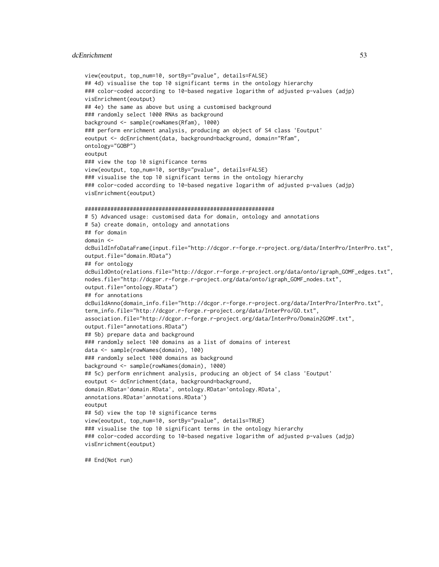### dcEnrichment 53

```
view(eoutput, top_num=10, sortBy="pvalue", details=FALSE)
## 4d) visualise the top 10 significant terms in the ontology hierarchy
### color-coded according to 10-based negative logarithm of adjusted p-values (adjp)
visEnrichment(eoutput)
## 4e) the same as above but using a customised background
### randomly select 1000 RNAs as background
background <- sample(rowNames(Rfam), 1000)
### perform enrichment analysis, producing an object of S4 class 'Eoutput'
eoutput <- dcEnrichment(data, background=background, domain="Rfam",
ontology="GOBP")
eoutput
### view the top 10 significance terms
view(eoutput, top_num=10, sortBy="pvalue", details=FALSE)
### visualise the top 10 significant terms in the ontology hierarchy
### color-coded according to 10-based negative logarithm of adjusted p-values (adjp)
visEnrichment(eoutput)
###########################################################
# 5) Advanced usage: customised data for domain, ontology and annotations
# 5a) create domain, ontology and annotations
## for domain
domain <-
dcBuildInfoDataFrame(input.file="http://dcgor.r-forge.r-project.org/data/InterPro/InterPro.txt",
output.file="domain.RData")
## for ontology
dcBuildOnto(relations.file="http://dcgor.r-forge.r-project.org/data/onto/igraph_GOMF_edges.txt",
nodes.file="http://dcgor.r-forge.r-project.org/data/onto/igraph_GOMF_nodes.txt",
output.file="ontology.RData")
## for annotations
dcBuildAnno(domain_info.file="http://dcgor.r-forge.r-project.org/data/InterPro/InterPro.txt",
term_info.file="http://dcgor.r-forge.r-project.org/data/InterPro/GO.txt",
association.file="http://dcgor.r-forge.r-project.org/data/InterPro/Domain2GOMF.txt",
output.file="annotations.RData")
## 5b) prepare data and background
### randomly select 100 domains as a list of domains of interest
data <- sample(rowNames(domain), 100)
### randomly select 1000 domains as background
background <- sample(rowNames(domain), 1000)
## 5c) perform enrichment analysis, producing an object of S4 class 'Eoutput'
eoutput <- dcEnrichment(data, background=background,
domain.RData='domain.RData', ontology.RData='ontology.RData',
annotations.RData='annotations.RData')
eoutput
## 5d) view the top 10 significance terms
view(eoutput, top_num=10, sortBy="pvalue", details=TRUE)
### visualise the top 10 significant terms in the ontology hierarchy
### color-coded according to 10-based negative logarithm of adjusted p-values (adjp)
visEnrichment(eoutput)
```
## End(Not run)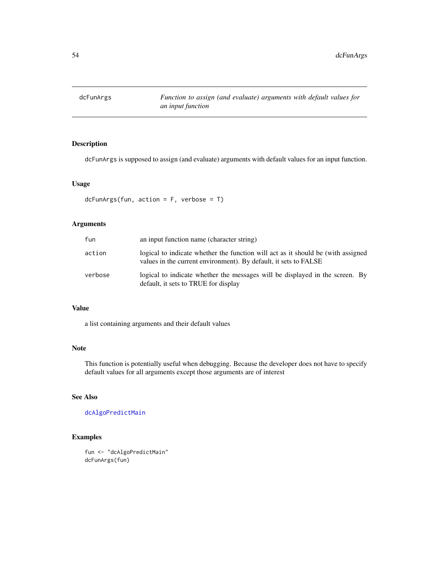dcFunArgs is supposed to assign (and evaluate) arguments with default values for an input function.

## Usage

```
dcFunArgs(fun, action = F, verbose = T)
```
# Arguments

| fun     | an input function name (character string)                                                                                                            |
|---------|------------------------------------------------------------------------------------------------------------------------------------------------------|
| action  | logical to indicate whether the function will act as it should be (with assigned<br>values in the current environment). By default, it sets to FALSE |
| verbose | logical to indicate whether the messages will be displayed in the screen. By<br>default, it sets to TRUE for display                                 |

## Value

a list containing arguments and their default values

# Note

This function is potentially useful when debugging. Because the developer does not have to specify default values for all arguments except those arguments are of interest

# See Also

[dcAlgoPredictMain](#page-22-0)

```
fun <- "dcAlgoPredictMain"
dcFunArgs(fun)
```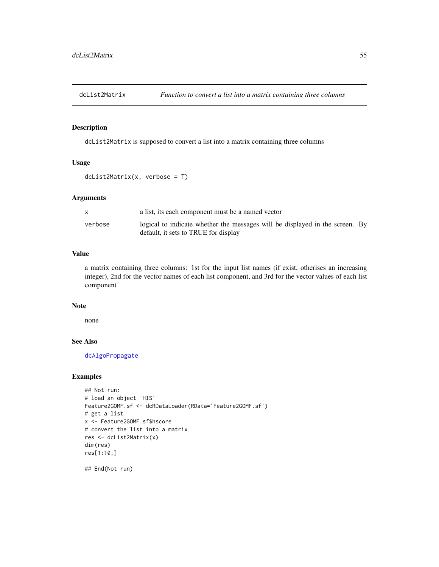<span id="page-54-0"></span>

dcList2Matrix is supposed to convert a list into a matrix containing three columns

### Usage

dcList2Matrix(x, verbose = T)

### Arguments

|         | a list, its each component must be a named vector                                                                    |  |
|---------|----------------------------------------------------------------------------------------------------------------------|--|
| verbose | logical to indicate whether the messages will be displayed in the screen. By<br>default, it sets to TRUE for display |  |

# Value

a matrix containing three columns: 1st for the input list names (if exist, otherises an increasing integer), 2nd for the vector names of each list component, and 3rd for the vector values of each list component

## Note

none

## See Also

[dcAlgoPropagate](#page-27-0)

# Examples

```
## Not run:
# load an object 'HIS'
Feature2GOMF.sf <- dcRDataLoader(RData='Feature2GOMF.sf')
# get a list
x <- Feature2GOMF.sf$hscore
# convert the list into a matrix
res <- dcList2Matrix(x)
dim(res)
res[1:10,]
```
## End(Not run)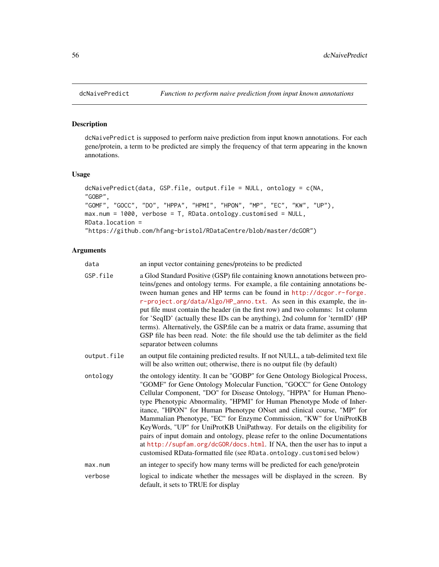dcNaivePredict is supposed to perform naive prediction from input known annotations. For each gene/protein, a term to be predicted are simply the frequency of that term appearing in the known annotations.

## Usage

```
dcNaivePredict(data, GSP.file, output.file = NULL, ontology = c(NA,
"GOBP",
"GOMF", "GOCC", "DO", "HPPA", "HPMI", "HPON", "MP", "EC", "KW", "UP"),
max.num = 1000, verbose = T, RData.ontology.customised = NULL,
RData.location =
"https://github.com/hfang-bristol/RDataCentre/blob/master/dcGOR")
```
# Arguments

| data        | an input vector containing genes/proteins to be predicted                                                                                                                                                                                                                                                                                                                                                                                                                                                                                                                                                                                                                                                                                                                         |
|-------------|-----------------------------------------------------------------------------------------------------------------------------------------------------------------------------------------------------------------------------------------------------------------------------------------------------------------------------------------------------------------------------------------------------------------------------------------------------------------------------------------------------------------------------------------------------------------------------------------------------------------------------------------------------------------------------------------------------------------------------------------------------------------------------------|
| GSP.file    | a Glod Standard Positive (GSP) file containing known annotations between pro-<br>teins/genes and ontology terms. For example, a file containing annotations be-<br>tween human genes and HP terms can be found in http://dcgor.r-forge.<br>r-project.org/data/Algo/HP_anno.txt. As seen in this example, the in-<br>put file must contain the header (in the first row) and two columns: 1st column<br>for 'SeqID' (actually these IDs can be anything), 2nd column for 'termID' (HP<br>terms). Alternatively, the GSP.file can be a matrix or data frame, assuming that<br>GSP file has been read. Note: the file should use the tab delimiter as the field<br>separator between columns                                                                                         |
| output.file | an output file containing predicted results. If not NULL, a tab-delimited text file<br>will be also written out; otherwise, there is no output file (by default)                                                                                                                                                                                                                                                                                                                                                                                                                                                                                                                                                                                                                  |
| ontology    | the ontology identity. It can be "GOBP" for Gene Ontology Biological Process,<br>"GOMF" for Gene Ontology Molecular Function, "GOCC" for Gene Ontology<br>Cellular Component, "DO" for Disease Ontology, "HPPA" for Human Pheno-<br>type Phenotypic Abnormality, "HPMI" for Human Phenotype Mode of Inher-<br>itance, "HPON" for Human Phenotype ONset and clinical course, "MP" for<br>Mammalian Phenotype, "EC" for Enzyme Commission, "KW" for UniProtKB<br>KeyWords, "UP" for UniProtKB UniPathway. For details on the eligibility for<br>pairs of input domain and ontology, please refer to the online Documentations<br>at http://supfam.org/dcGOR/docs.html. If NA, then the user has to input a<br>customised RData-formatted file (see RData.ontology.customised below) |
| max.num     | an integer to specify how many terms will be predicted for each gene/protein                                                                                                                                                                                                                                                                                                                                                                                                                                                                                                                                                                                                                                                                                                      |
| verbose     | logical to indicate whether the messages will be displayed in the screen. By<br>default, it sets to TRUE for display                                                                                                                                                                                                                                                                                                                                                                                                                                                                                                                                                                                                                                                              |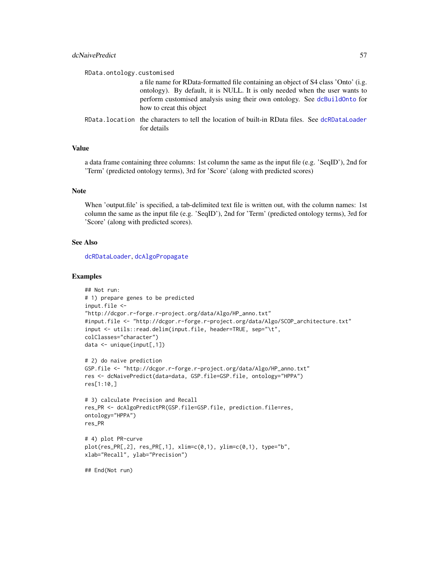## dcNaivePredict 57

| RData.ontology.customised |                                                                                                                                                                                                                                                                            |
|---------------------------|----------------------------------------------------------------------------------------------------------------------------------------------------------------------------------------------------------------------------------------------------------------------------|
|                           | a file name for RData-formatted file containing an object of S4 class 'Onto' (i.g.<br>ontology). By default, it is NULL. It is only needed when the user wants to<br>perform customised analysis using their own ontology. See dcBuildOnto for<br>how to creat this object |
|                           | RData. location the characters to tell the location of built-in RData files. See dcRDataLoader<br>for details                                                                                                                                                              |

### Value

a data frame containing three columns: 1st column the same as the input file (e.g. 'SeqID'), 2nd for 'Term' (predicted ontology terms), 3rd for 'Score' (along with predicted scores)

## **Note**

When 'output.file' is specified, a tab-delimited text file is written out, with the column names: 1st column the same as the input file (e.g. 'SeqID'), 2nd for 'Term' (predicted ontology terms), 3rd for 'Score' (along with predicted scores).

## See Also

[dcRDataLoader](#page-57-0), [dcAlgoPropagate](#page-27-0)

```
## Not run:
# 1) prepare genes to be predicted
input.file <-
"http://dcgor.r-forge.r-project.org/data/Algo/HP_anno.txt"
#input.file <- "http://dcgor.r-forge.r-project.org/data/Algo/SCOP_architecture.txt"
input <- utils::read.delim(input.file, header=TRUE, sep="\t",
colClasses="character")
data <- unique(input[,1])
# 2) do naive prediction
GSP.file <- "http://dcgor.r-forge.r-project.org/data/Algo/HP_anno.txt"
res <- dcNaivePredict(data=data, GSP.file=GSP.file, ontology="HPPA")
res[1:10,]
# 3) calculate Precision and Recall
res_PR <- dcAlgoPredictPR(GSP.file=GSP.file, prediction.file=res,
ontology="HPPA")
res_PR
# 4) plot PR-curve
plot(res_PR[,2], res_PR[,1], xlim=c(0,1), ylim=c(0,1), type="b",
xlab="Recall", ylab="Precision")
## End(Not run)
```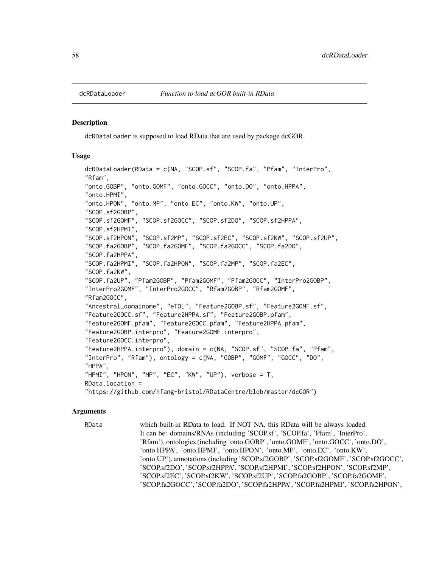<span id="page-57-0"></span>

dcRDataLoader is supposed to load RData that are used by package dcGOR.

#### Usage

```
dcRDataLoader(RData = c(NA, "SCOP.sf", "SCOP.fa", "Pfam", "InterPro",
"Rfam",
"onto.GOBP", "onto.GOMF", "onto.GOCC", "onto.DO", "onto.HPPA",
"onto.HPMI",
"onto.HPON", "onto.MP", "onto.EC", "onto.KW", "onto.UP",
"SCOP.sf2GOBP",
"SCOP.sf2GOMF", "SCOP.sf2GOCC", "SCOP.sf2DO", "SCOP.sf2HPPA",
"SCOP.sf2HPMI",
"SCOP.sf2HPON", "SCOP.sf2MP", "SCOP.sf2EC", "SCOP.sf2KW", "SCOP.sf2UP",
"SCOP.fa2GOBP", "SCOP.fa2GOMF", "SCOP.fa2GOCC", "SCOP.fa2DO",
"SCOP.fa2HPPA",
"SCOP.fa2HPMI", "SCOP.fa2HPON", "SCOP.fa2MP", "SCOP.fa2EC",
"SCOP.fa2KW",
"SCOP.fa2UP", "Pfam2GOBP", "Pfam2GOMF", "Pfam2GOCC", "InterPro2GOBP",
"InterPro2GOMF", "InterPro2GOCC", "Rfam2GOBP", "Rfam2GOMF",
"Rfam2GOCC",
"Ancestral_domainome", "eTOL", "Feature2GOBP.sf", "Feature2GOMF.sf",
"Feature2GOCC.sf", "Feature2HPPA.sf", "Feature2GOBP.pfam",
"Feature2GOMF.pfam", "Feature2GOCC.pfam", "Feature2HPPA.pfam",
"Feature2GOBP.interpro", "Feature2GOMF.interpro",
"Feature2GOCC.interpro",
"Feature2HPPA.interpro"), domain = c(NA, "SCOP.sf", "SCOP.fa", "Pfam",
"InterPro", "Rfam"), ontology = c(NA, "GOBP", "GOMF", "GOCC", "DO",
"HPPA",
"HPMI", "HPON", "MP", "EC", "KW", "UP"), verbose = T,
RData.location =
"https://github.com/hfang-bristol/RDataCentre/blob/master/dcGOR")
```
#### Arguments

RData which built-in RData to load. If NOT NA, this RData will be always loaded. It can be: domains/RNAs (including 'SCOP.sf', 'SCOP.fa', 'Pfam', 'InterPro', 'Rfam'), ontologies (including 'onto.GOBP', 'onto.GOMF', 'onto.GOCC', 'onto.DO', 'onto.HPPA', 'onto.HPMI', 'onto.HPON', 'onto.MP', 'onto.EC', 'onto.KW', 'onto.UP'), annotations (including 'SCOP.sf2GOBP', 'SCOP.sf2GOMF', 'SCOP.sf2GOCC', 'SCOP.sf2DO', 'SCOP.sf2HPPA', 'SCOP.sf2HPMI', 'SCOP.sf2HPON', 'SCOP.sf2MP', 'SCOP.sf2EC', 'SCOP.sf2KW', 'SCOP.sf2UP', 'SCOP.fa2GOBP', 'SCOP.fa2GOMF', 'SCOP.fa2GOCC', 'SCOP.fa2DO', 'SCOP.fa2HPPA', 'SCOP.fa2HPMI', 'SCOP.fa2HPON',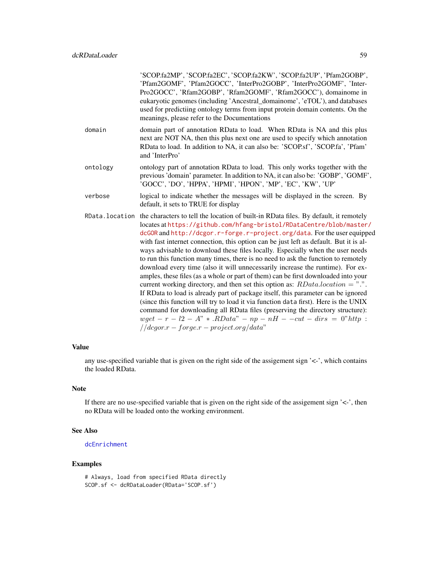'SCOP.fa2MP', 'SCOP.fa2EC', 'SCOP.fa2KW', 'SCOP.fa2UP', 'Pfam2GOBP', 'Pfam2GOMF', 'Pfam2GOCC', 'InterPro2GOBP', 'InterPro2GOMF', 'Inter-Pro2GOCC', 'Rfam2GOBP', 'Rfam2GOMF', 'Rfam2GOCC'), domainome in eukaryotic genomes (including 'Ancestral\_domainome', 'eTOL'), and databases used for predictiing ontology terms from input protein domain contents. On the meanings, please refer to the Documentations

- domain domain part of annotation RData to load. When RData is NA and this plus next are NOT NA, then this plus next one are used to specify which annotation RData to load. In addition to NA, it can also be: 'SCOP.sf', 'SCOP.fa', 'Pfam' and 'InterPro'
- ontology ontology part of annotation RData to load. This only works together with the previous 'domain' parameter. In addition to NA, it can also be: 'GOBP', 'GOMF', 'GOCC', 'DO', 'HPPA', 'HPMI', 'HPON', 'MP', 'EC', 'KW', 'UP'
- verbose logical to indicate whether the messages will be displayed in the screen. By default, it sets to TRUE for display
- RData.location the characters to tell the location of built-in RData files. By default, it remotely locates at [https://github.com/hfang-bristol/RDataCentre/blob/master](https://github.com/hfang-bristol/RDataCentre/blob/master/dcGOR)/ [dcGOR](https://github.com/hfang-bristol/RDataCentre/blob/master/dcGOR) and <http://dcgor.r-forge.r-project.org/data>. For the user equipped with fast internet connection, this option can be just left as default. But it is always advisable to download these files locally. Especially when the user needs to run this function many times, there is no need to ask the function to remotely download every time (also it will unnecessarily increase the runtime). For examples, these files (as a whole or part of them) can be first downloaded into your current working directory, and then set this option as:  $RDatalocation = "."$ . If RData to load is already part of package itself, this parameter can be ignored (since this function will try to load it via function data first). Here is the UNIX command for downloading all RData files (preserving the directory structure): wget –  $r - l2 - A'' * RData'' - np - nH - -cut - dirs = 0" http:$  $// *deqorr* - *forge.r* - *project.org*/*data*"$

#### Value

any use-specified variable that is given on the right side of the assigement sign '<-', which contains the loaded RData.

### **Note**

If there are no use-specified variable that is given on the right side of the assigement sign  $\leq$ -', then no RData will be loaded onto the working environment.

#### See Also

#### [dcEnrichment](#page-47-0)

### Examples

# Always, load from specified RData directly SCOP.sf <- dcRDataLoader(RData='SCOP.sf')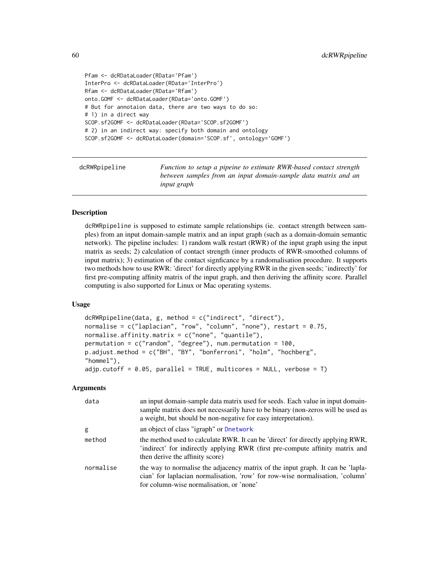```
Pfam <- dcRDataLoader(RData='Pfam')
InterPro <- dcRDataLoader(RData='InterPro')
Rfam <- dcRDataLoader(RData='Rfam')
onto.GOMF <- dcRDataLoader(RData='onto.GOMF')
# But for annotaion data, there are two ways to do so:
# 1) in a direct way
SCOP.sf2GOMF <- dcRDataLoader(RData='SCOP.sf2GOMF')
# 2) in an indirect way: specify both domain and ontology
SCOP.sf2GOMF <- dcRDataLoader(domain='SCOP.sf', ontology='GOMF')
```

| dcRWRpipeline | Function to setup a pipeine to estimate RWR-based contact strength |
|---------------|--------------------------------------------------------------------|
|               | between samples from an input domain-sample data matrix and an     |
|               | <i>input graph</i>                                                 |

dcRWRpipeline is supposed to estimate sample relationships (ie. contact strength between samples) from an input domain-sample matrix and an input graph (such as a domain-domain semantic network). The pipeline includes: 1) random walk restart (RWR) of the input graph using the input matrix as seeds; 2) calculation of contact strength (inner products of RWR-smoothed columns of input matrix); 3) estimation of the contact signficance by a randomalisation procedure. It supports two methods how to use RWR: 'direct' for directly applying RWR in the given seeds; 'indirectly' for first pre-computing affinity matrix of the input graph, and then deriving the affinity score. Parallel computing is also supported for Linux or Mac operating systems.

#### Usage

```
dcRWRpipeline(data, g, method = c("indirect", "direct"),
normalise = c("laplacian", "row", "column", "none"), restart = <math>0.75</math>,normalise.affinity.matrix = c("none", "quantile"),
permutation = c("random", "degree"), num.permutation = 100,
p.adjust.method = c("BH", "BY", "bonferroni", "holm", "hochberg",
"hommel"),
adjp.cutoff = 0.05, parallel = TRUE, multicores = NULL, verbose = T)
```
## Arguments

| data      | an input domain-sample data matrix used for seeds. Each value in input domain-<br>sample matrix does not necessarily have to be binary (non-zeros will be used as<br>a weight, but should be non-negative for easy interpretation). |
|-----------|-------------------------------------------------------------------------------------------------------------------------------------------------------------------------------------------------------------------------------------|
| g         | an object of class "igraph" or Dnetwork                                                                                                                                                                                             |
| method    | the method used to calculate RWR. It can be 'direct' for directly applying RWR,<br>'indirect' for indirectly applying RWR (first pre-compute affinity matrix and<br>then derive the affinity score)                                 |
| normalise | the way to normalise the adjacency matrix of the input graph. It can be 'lapla-<br>cian' for laplacian normalisation, 'row' for row-wise normalisation, 'column'<br>for column-wise normalisation, or 'none'                        |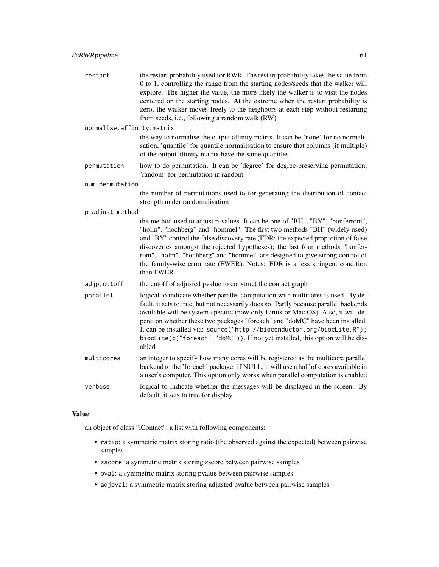| restart | the restart probability used for RWR. The restart probability takes the value from |
|---------|------------------------------------------------------------------------------------|
|         | 0 to 1, controlling the range from the starting nodes/seeds that the walker will   |
|         | explore. The higher the value, the more likely the walker is to visit the nodes    |
|         | centered on the starting nodes. At the extreme when the restart probability is     |
|         | zero, the walker moves freely to the neighbors at each step without restarting     |
|         | from seeds, i.e., following a random walk (RW)                                     |

normalise.affinity.matrix

the way to normalise the output affinity matrix. It can be 'none' for no normalisation, 'quantile' for quantile normalisation to ensure that columns (if multiple) of the output affinity matrix have the same quantiles

permutation how to do permutation. It can be 'degree' for degree-preserving permutation, 'random' for permutation in random

num.permutation

the number of permutations used to for generating the distribution of contact strength under randomalisation

p.adjust.method

the method used to adjust p-values. It can be one of "BH", "BY", "bonferroni", "holm", "hochberg" and "hommel". The first two methods "BH" (widely used) and "BY" control the false discovery rate (FDR: the expected proportion of false discoveries amongst the rejected hypotheses); the last four methods "bonferroni", "holm", "hochberg" and "hommel" are designed to give strong control of the family-wise error rate (FWER). Notes: FDR is a less stringent condition than FWER

adjp.cutoff the cutoff of adjusted pvalue to construct the contact graph

parallel logical to indicate whether parallel computation with multicores is used. By default, it sets to true, but not necessarily does so. Partly because parallel backends available will be system-specific (now only Linux or Mac OS). Also, it will depend on whether these two packages "foreach" and "doMC" have been installed. It can be installed via: source("http://bioconductor.org/biocLite.R"); biocLite(c("foreach","doMC")). If not yet installed, this option will be disabled

- multicores an integer to specify how many cores will be registered as the multicore parallel backend to the 'foreach' package. If NULL, it will use a half of cores available in a user's computer. This option only works when parallel computation is enabled
- verbose logical to indicate whether the messages will be displayed in the screen. By default, it sets to true for display

# Value

an object of class "iContact", a list with following components:

- ratio: a symmetric matrix storing ratio (the observed against the expected) between pairwise samples
- zscore: a symmetric matrix storing zscore between pairwise samples
- pval: a symmetric matrix storing pvalue between pairwise samples
- adjpval: a symmetric matrix storing adjusted pvalue between pairwise samples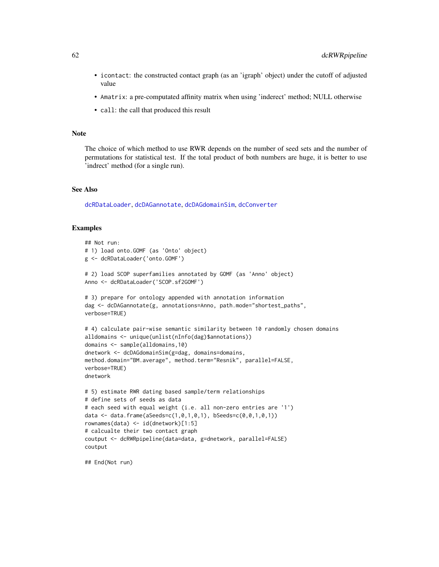- icontact: the constructed contact graph (as an 'igraph' object) under the cutoff of adjusted value
- Amatrix: a pre-computated affinity matrix when using 'inderect' method; NULL otherwise
- call: the call that produced this result

## Note

The choice of which method to use RWR depends on the number of seed sets and the number of permutations for statistical test. If the total product of both numbers are huge, it is better to use 'indrect' method (for a single run).

## See Also

[dcRDataLoader](#page-57-0), [dcDAGannotate](#page-39-0), [dcDAGdomainSim](#page-41-0), [dcConverter](#page-38-0)

### Examples

```
## Not run:
# 1) load onto.GOMF (as 'Onto' object)
g <- dcRDataLoader('onto.GOMF')
# 2) load SCOP superfamilies annotated by GOMF (as 'Anno' object)
Anno <- dcRDataLoader('SCOP.sf2GOMF')
# 3) prepare for ontology appended with annotation information
dag <- dcDAGannotate(g, annotations=Anno, path.mode="shortest_paths",
verbose=TRUE)
# 4) calculate pair-wise semantic similarity between 10 randomly chosen domains
alldomains <- unique(unlist(nInfo(dag)$annotations))
domains <- sample(alldomains,10)
dnetwork <- dcDAGdomainSim(g=dag, domains=domains,
method.domain="BM.average", method.term="Resnik", parallel=FALSE,
verbose=TRUE)
dnetwork
# 5) estimate RWR dating based sample/term relationships
# define sets of seeds as data
# each seed with equal weight (i.e. all non-zero entries are '1')
data <- data.frame(aSeeds=c(1,0,1,0,1), bSeeds=c(0,0,1,0,1))
rownames(data) <- id(dnetwork)[1:5]
# calcualte their two contact graph
coutput <- dcRWRpipeline(data=data, g=dnetwork, parallel=FALSE)
coutput
```
## End(Not run)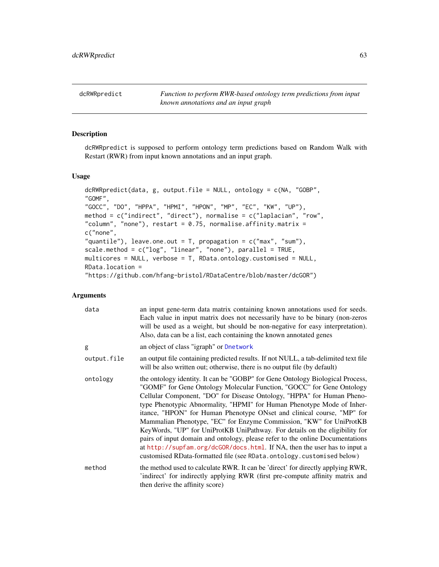dcRWRpredict *Function to perform RWR-based ontology term predictions from input known annotations and an input graph*

# Description

dcRWRpredict is supposed to perform ontology term predictions based on Random Walk with Restart (RWR) from input known annotations and an input graph.

## Usage

```
dcRWRpredict(data, g, output.file = NULL, ontology = c(NA, "GOBP",
"GOMF",
"GOCC", "DO", "HPPA", "HPMI", "HPON", "MP", "EC", "KW", "UP"),
method = c("indirect", "direct"), normalise = c("laplacian", "row",
"column", "none"), restart = 0.75, normalise.affinity.matrix =
c("none",
"quantile"), leave.one.out = T, propagation = c("max", "sum"),
scale.method = c("log", "linear", "none"), parallel = TRUE,
multicores = NULL, verbose = T, RData.ontology.customised = NULL,
RData.location =
"https://github.com/hfang-bristol/RDataCentre/blob/master/dcGOR")
```
# Arguments

| data        | an input gene-term data matrix containing known annotations used for seeds.<br>Each value in input matrix does not necessarily have to be binary (non-zeros<br>will be used as a weight, but should be non-negative for easy interpretation).<br>Also, data can be a list, each containing the known annotated genes                                                                                                                                                                                                                                                                                                                                                                                                                                                              |
|-------------|-----------------------------------------------------------------------------------------------------------------------------------------------------------------------------------------------------------------------------------------------------------------------------------------------------------------------------------------------------------------------------------------------------------------------------------------------------------------------------------------------------------------------------------------------------------------------------------------------------------------------------------------------------------------------------------------------------------------------------------------------------------------------------------|
| g           | an object of class "igraph" or Dnetwork                                                                                                                                                                                                                                                                                                                                                                                                                                                                                                                                                                                                                                                                                                                                           |
| output.file | an output file containing predicted results. If not NULL, a tab-delimited text file<br>will be also written out; otherwise, there is no output file (by default)                                                                                                                                                                                                                                                                                                                                                                                                                                                                                                                                                                                                                  |
| ontology    | the ontology identity. It can be "GOBP" for Gene Ontology Biological Process,<br>"GOMF" for Gene Ontology Molecular Function, "GOCC" for Gene Ontology<br>Cellular Component, "DO" for Disease Ontology, "HPPA" for Human Pheno-<br>type Phenotypic Abnormality, "HPMI" for Human Phenotype Mode of Inher-<br>itance, "HPON" for Human Phenotype ONset and clinical course, "MP" for<br>Mammalian Phenotype, "EC" for Enzyme Commission, "KW" for UniProtKB<br>KeyWords, "UP" for UniProtKB UniPathway. For details on the eligibility for<br>pairs of input domain and ontology, please refer to the online Documentations<br>at http://supfam.org/dcGOR/docs.html. If NA, then the user has to input a<br>customised RData-formatted file (see RData.ontology.customised below) |
| method      | the method used to calculate RWR. It can be 'direct' for directly applying RWR,<br>'indirect' for indirectly applying RWR (first pre-compute affinity matrix and<br>then derive the affinity score)                                                                                                                                                                                                                                                                                                                                                                                                                                                                                                                                                                               |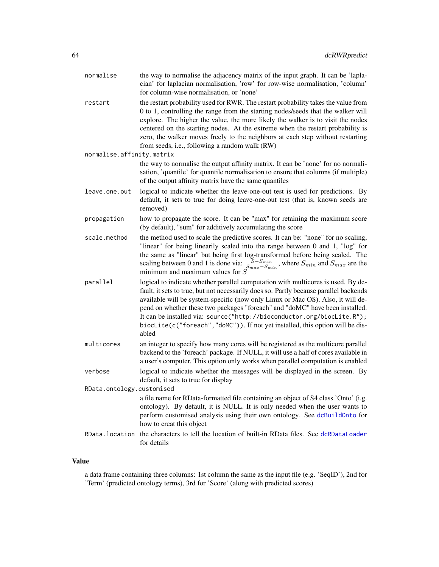| normalise                 | the way to normalise the adjacency matrix of the input graph. It can be 'lapla-<br>cian' for laplacian normalisation, 'row' for row-wise normalisation, 'column'<br>for column-wise normalisation, or 'none'                                                                                                                                                                                                                                                                                                     |
|---------------------------|------------------------------------------------------------------------------------------------------------------------------------------------------------------------------------------------------------------------------------------------------------------------------------------------------------------------------------------------------------------------------------------------------------------------------------------------------------------------------------------------------------------|
| restart                   | the restart probability used for RWR. The restart probability takes the value from<br>0 to 1, controlling the range from the starting nodes/seeds that the walker will<br>explore. The higher the value, the more likely the walker is to visit the nodes<br>centered on the starting nodes. At the extreme when the restart probability is<br>zero, the walker moves freely to the neighbors at each step without restarting<br>from seeds, i.e., following a random walk (RW)                                  |
| normalise.affinity.matrix |                                                                                                                                                                                                                                                                                                                                                                                                                                                                                                                  |
|                           | the way to normalise the output affinity matrix. It can be 'none' for no normali-<br>sation, 'quantile' for quantile normalisation to ensure that columns (if multiple)<br>of the output affinity matrix have the same quantiles                                                                                                                                                                                                                                                                                 |
| leave.one.out             | logical to indicate whether the leave-one-out test is used for predictions. By<br>default, it sets to true for doing leave-one-out test (that is, known seeds are<br>removed)                                                                                                                                                                                                                                                                                                                                    |
| propagation               | how to propagate the score. It can be "max" for retaining the maximum score<br>(by default), "sum" for additively accumulating the score                                                                                                                                                                                                                                                                                                                                                                         |
| scale.method              | the method used to scale the predictive scores. It can be: "none" for no scaling,<br>"linear" for being linearily scaled into the range between 0 and 1, "log" for<br>the same as "linear" but being first log-transformed before being scaled. The<br>scaling between 0 and 1 is done via: $\frac{S-S_{min}}{S_{max}-S_{min}}$ , where $S_{min}$ and $S_{max}$ are the<br>minimum and maximum values for $\vec{S}$                                                                                              |
| parallel                  | logical to indicate whether parallel computation with multicores is used. By de-<br>fault, it sets to true, but not necessarily does so. Partly because parallel backends<br>available will be system-specific (now only Linux or Mac OS). Also, it will de-<br>pend on whether these two packages "foreach" and "doMC" have been installed.<br>It can be installed via: source("http://bioconductor.org/biocLite.R");<br>biocLite(c("foreach","doMC")). If not yet installed, this option will be dis-<br>abled |
| multicores                | an integer to specify how many cores will be registered as the multicore parallel<br>backend to the 'foreach' package. If NULL, it will use a half of cores available in<br>a user's computer. This option only works when parallel computation is enabled                                                                                                                                                                                                                                                       |
| verbose                   | logical to indicate whether the messages will be displayed in the screen. By<br>default, it sets to true for display                                                                                                                                                                                                                                                                                                                                                                                             |
| RData.ontology.customised |                                                                                                                                                                                                                                                                                                                                                                                                                                                                                                                  |
|                           | a file name for RData-formatted file containing an object of S4 class 'Onto' (i.g.<br>ontology). By default, it is NULL. It is only needed when the user wants to<br>perform customised analysis using their own ontology. See dcBuildOnto for<br>how to creat this object                                                                                                                                                                                                                                       |
| RData.location            | the characters to tell the location of built-in RData files. See dcRDataLoader<br>for details                                                                                                                                                                                                                                                                                                                                                                                                                    |

# Value

a data frame containing three columns: 1st column the same as the input file (e.g. 'SeqID'), 2nd for 'Term' (predicted ontology terms), 3rd for 'Score' (along with predicted scores)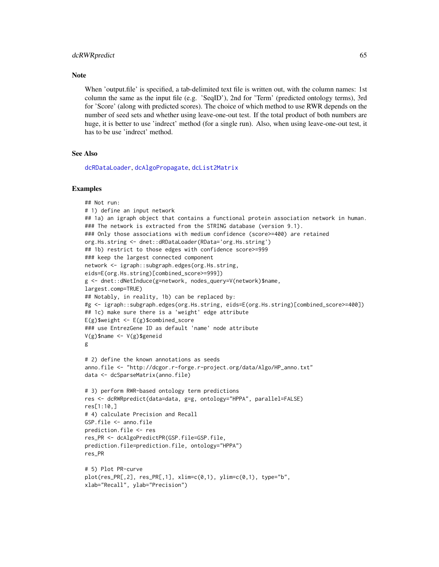#### dcRWRpredict 65

#### **Note**

When 'output.file' is specified, a tab-delimited text file is written out, with the column names: 1st column the same as the input file (e.g. 'SeqID'), 2nd for 'Term' (predicted ontology terms), 3rd for 'Score' (along with predicted scores). The choice of which method to use RWR depends on the number of seed sets and whether using leave-one-out test. If the total product of both numbers are huge, it is better to use 'indrect' method (for a single run). Also, when using leave-one-out test, it has to be use 'indrect' method.

# See Also

[dcRDataLoader](#page-57-0), [dcAlgoPropagate](#page-27-0), [dcList2Matrix](#page-54-0)

```
## Not run:
# 1) define an input network
## 1a) an igraph object that contains a functional protein association network in human.
### The network is extracted from the STRING database (version 9.1).
### Only those associations with medium confidence (score>=400) are retained
org.Hs.string <- dnet::dRDataLoader(RData='org.Hs.string')
## 1b) restrict to those edges with confidence score>=999
### keep the largest connected component
network <- igraph::subgraph.edges(org.Hs.string,
eids=E(org.Hs.string)[combined_score>=999])
g <- dnet::dNetInduce(g=network, nodes_query=V(network)$name,
largest.comp=TRUE)
## Notably, in reality, 1b) can be replaced by:
#g <- igraph::subgraph.edges(org.Hs.string, eids=E(org.Hs.string)[combined_score>=400])
## 1c) make sure there is a 'weight' edge attribute
E(g)$weight <- E(g)$combined_score
### use EntrezGene ID as default 'name' node attribute
V(g)$name <- V(g)$geneid
g
# 2) define the known annotations as seeds
anno.file <- "http://dcgor.r-forge.r-project.org/data/Algo/HP_anno.txt"
data <- dcSparseMatrix(anno.file)
# 3) perform RWR-based ontology term predictions
res <- dcRWRpredict(data=data, g=g, ontology="HPPA", parallel=FALSE)
res[1:10,]
# 4) calculate Precision and Recall
GSP.file <- anno.file
prediction.file <- res
res_PR <- dcAlgoPredictPR(GSP.file=GSP.file,
prediction.file=prediction.file, ontology="HPPA")
res_PR
# 5) Plot PR-curve
plot(res\_PR[, 2], res\_PR[, 1], xlim=c(0,1), ylim=c(0,1), type="b",xlab="Recall", ylab="Precision")
```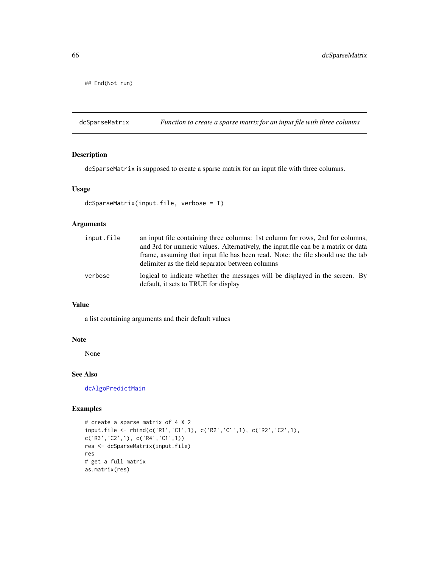## End(Not run)

dcSparseMatrix *Function to create a sparse matrix for an input file with three columns*

## Description

dcSparseMatrix is supposed to create a sparse matrix for an input file with three columns.

## Usage

```
dcSparseMatrix(input.file, verbose = T)
```
# Arguments

| input.file | an input file containing three columns: 1st column for rows, 2nd for columns,<br>and 3rd for numeric values. Alternatively, the input file can be a matrix or data |
|------------|--------------------------------------------------------------------------------------------------------------------------------------------------------------------|
|            | frame, assuming that input file has been read. Note: the file should use the tab<br>delimiter as the field separator between columns                               |
| verbose    | logical to indicate whether the messages will be displayed in the screen. By<br>default, it sets to TRUE for display                                               |

## Value

a list containing arguments and their default values

# Note

None

# See Also

[dcAlgoPredictMain](#page-22-0)

```
# create a sparse matrix of 4 X 2
input.file <- rbind(c('R1','C1',1), c('R2','C1',1), c('R2','C2',1),
c('R3','C2',1), c('R4','C1',1))
res <- dcSparseMatrix(input.file)
res
# get a full matrix
as.matrix(res)
```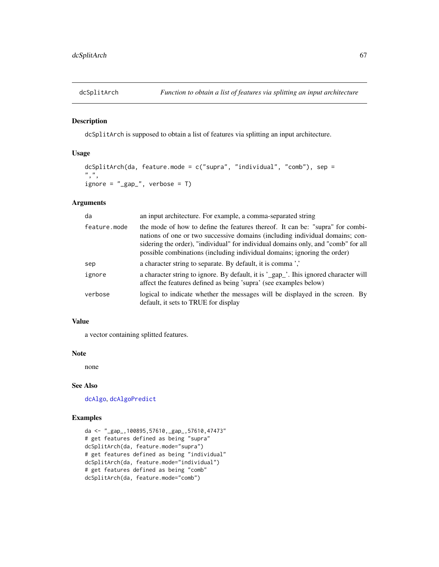dcSplitArch is supposed to obtain a list of features via splitting an input architecture.

# Usage

```
dcSplitArch(da, feature.mode = c("supra", "individual", "comb"), sep =
", ",
ignore = "\_gap", verbose = T)
```
# Arguments

| da           | an input architecture. For example, a comma-separated string                                                                                                                                                                                                                                                                   |
|--------------|--------------------------------------------------------------------------------------------------------------------------------------------------------------------------------------------------------------------------------------------------------------------------------------------------------------------------------|
| feature.mode | the mode of how to define the features thereof. It can be: "supra" for combi-<br>nations of one or two successive domains (including individual domains; con-<br>sidering the order), "individual" for individual domains only, and "comb" for all<br>possible combinations (including individual domains; ignoring the order) |
| sep          | a character string to separate. By default, it is comma'.                                                                                                                                                                                                                                                                      |
| ignore       | a character string to ignore. By default, it is '_gap_'. Ihis ignored character will<br>affect the features defined as being 'supra' (see examples below)                                                                                                                                                                      |
| verbose      | logical to indicate whether the messages will be displayed in the screen. By<br>default, it sets to TRUE for display                                                                                                                                                                                                           |

## Value

a vector containing splitted features.

## Note

none

# See Also

[dcAlgo](#page-14-0), [dcAlgoPredict](#page-16-0)

# Examples

da <- "\_gap\_,100895,57610,\_gap\_,57610,47473" # get features defined as being "supra" dcSplitArch(da, feature.mode="supra") # get features defined as being "individual" dcSplitArch(da, feature.mode="individual") # get features defined as being "comb" dcSplitArch(da, feature.mode="comb")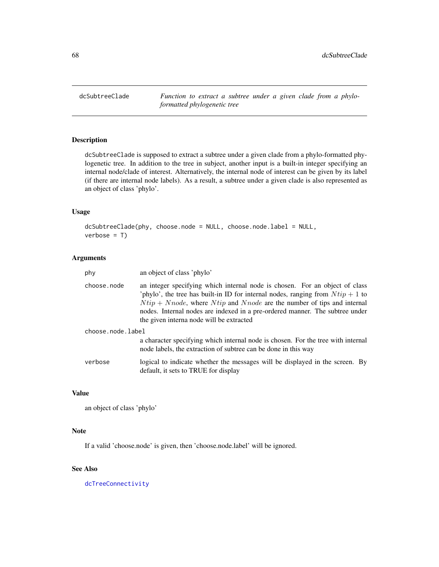<span id="page-67-0"></span>dcSubtreeClade *Function to extract a subtree under a given clade from a phyloformatted phylogenetic tree*

# Description

dcSubtreeClade is supposed to extract a subtree under a given clade from a phylo-formatted phylogenetic tree. In addition to the tree in subject, another input is a built-in integer specifying an internal node/clade of interest. Alternatively, the internal node of interest can be given by its label (if there are internal node labels). As a result, a subtree under a given clade is also represented as an object of class 'phylo'.

## Usage

```
dcSubtreeClade(phy, choose.node = NULL, choose.node.label = NULL,
verbose = T)
```
## Arguments

| phy               | an object of class 'phylo'                                                                                                                                                                                                                                                                                                                                                   |
|-------------------|------------------------------------------------------------------------------------------------------------------------------------------------------------------------------------------------------------------------------------------------------------------------------------------------------------------------------------------------------------------------------|
| choose.node       | an integer specifying which internal node is chosen. For an object of class<br>'phylo', the tree has built-in ID for internal nodes, ranging from $Ntip + 1$ to<br>$Ntip + Nnode$ , where $Ntip$ and $Nnode$ are the number of tips and internal<br>nodes. Internal nodes are indexed in a pre-ordered manner. The subtree under<br>the given interna node will be extracted |
| choose.node.label |                                                                                                                                                                                                                                                                                                                                                                              |
|                   | a character specifying which internal node is chosen. For the tree with internal<br>node labels, the extraction of subtree can be done in this way                                                                                                                                                                                                                           |
| verbose           | logical to indicate whether the messages will be displayed in the screen. By<br>default, it sets to TRUE for display                                                                                                                                                                                                                                                         |

## Value

```
an object of class 'phylo'
```
## Note

If a valid 'choose.node' is given, then 'choose.node.label' will be ignored.

# See Also

[dcTreeConnectivity](#page-71-0)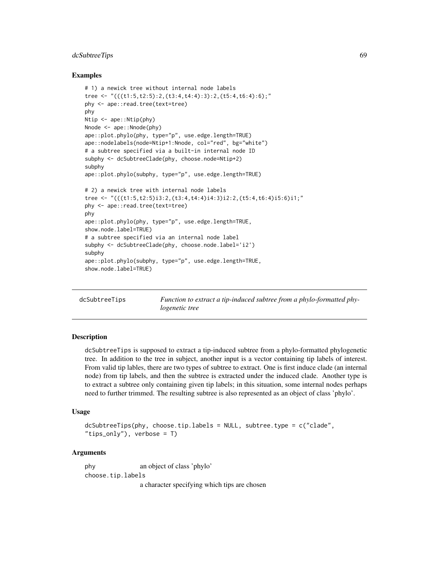## dcSubtreeTips 69

### Examples

```
# 1) a newick tree without internal node labels
tree <- "(((t1:5,t2:5):2,(t3:4,t4:4):3):2,(t5:4,t6:4):6);"
phy <- ape::read.tree(text=tree)
phy
Ntip <- ape::Ntip(phy)
Nnode <- ape:: Nnode(phy)
ape::plot.phylo(phy, type="p", use.edge.length=TRUE)
ape::nodelabels(node=Ntip+1:Nnode, col="red", bg="white")
# a subtree specified via a built-in internal node ID
subphy <- dcSubtreeClade(phy, choose.node=Ntip+2)
subphy
ape::plot.phylo(subphy, type="p", use.edge.length=TRUE)
# 2) a newick tree with internal node labels
tree <- "(((t1:5,t2:5)i3:2,(t3:4,t4:4)i4:3)i2:2,(t5:4,t6:4)i5:6)i1;"
phy <- ape::read.tree(text=tree)
phy
ape::plot.phylo(phy, type="p", use.edge.length=TRUE,
show.node.label=TRUE)
# a subtree specified via an internal node label
subphy <- dcSubtreeClade(phy, choose.node.label='i2')
subphy
ape::plot.phylo(subphy, type="p", use.edge.length=TRUE,
show.node.label=TRUE)
```
dcSubtreeTips *Function to extract a tip-induced subtree from a phylo-formatted phylogenetic tree*

## **Description**

dcSubtreeTips is supposed to extract a tip-induced subtree from a phylo-formatted phylogenetic tree. In addition to the tree in subject, another input is a vector containing tip labels of interest. From valid tip lables, there are two types of subtree to extract. One is first induce clade (an internal node) from tip labels, and then the subtree is extracted under the induced clade. Another type is to extract a subtree only containing given tip labels; in this situation, some internal nodes perhaps need to further trimmed. The resulting subtree is also represented as an object of class 'phylo'.

#### Usage

```
dcSubtreeTips(phy, choose.tip.labels = NULL, subtree.type = c("clade",
"tips_only"), verbose = T)
```
### Arguments

phy an object of class 'phylo' choose.tip.labels

a character specifying which tips are chosen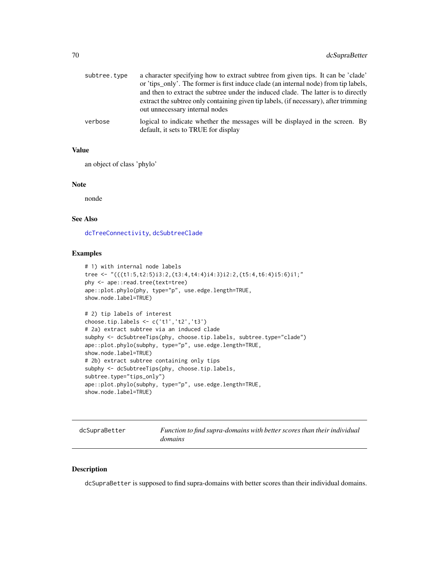| subtree.type | a character specifying how to extract subtree from given tips. It can be 'clade'<br>or 'tips_only'. The former is first induce clade (an internal node) from tip labels,<br>and then to extract the subtree under the induced clade. The latter is to directly<br>extract the subtree only containing given tip labels, (if necessary), after trimming<br>out unnecessary internal nodes |
|--------------|------------------------------------------------------------------------------------------------------------------------------------------------------------------------------------------------------------------------------------------------------------------------------------------------------------------------------------------------------------------------------------------|
| verbose      | logical to indicate whether the messages will be displayed in the screen. By<br>default, it sets to TRUE for display                                                                                                                                                                                                                                                                     |

# Value

an object of class 'phylo'

## Note

nonde

## See Also

[dcTreeConnectivity](#page-71-0), [dcSubtreeClade](#page-67-0)

### Examples

```
# 1) with internal node labels
tree <- "(((t1:5,t2:5)i3:2,(t3:4,t4:4)i4:3)i2:2,(t5:4,t6:4)i5:6)i1;"
phy <- ape::read.tree(text=tree)
ape::plot.phylo(phy, type="p", use.edge.length=TRUE,
show.node.label=TRUE)
# 2) tip labels of interest
choose.tip.labels <- c('t1','t2','t3')
# 2a) extract subtree via an induced clade
subphy <- dcSubtreeTips(phy, choose.tip.labels, subtree.type="clade")
ape::plot.phylo(subphy, type="p", use.edge.length=TRUE,
show.node.label=TRUE)
# 2b) extract subtree containing only tips
```

```
subphy <- dcSubtreeTips(phy, choose.tip.labels,
subtree.type="tips_only")
ape::plot.phylo(subphy, type="p", use.edge.length=TRUE,
show.node.label=TRUE)
```
dcSupraBetter *Function to find supra-domains with better scores than their individual domains*

# Description

dcSupraBetter is supposed to find supra-domains with better scores than their individual domains.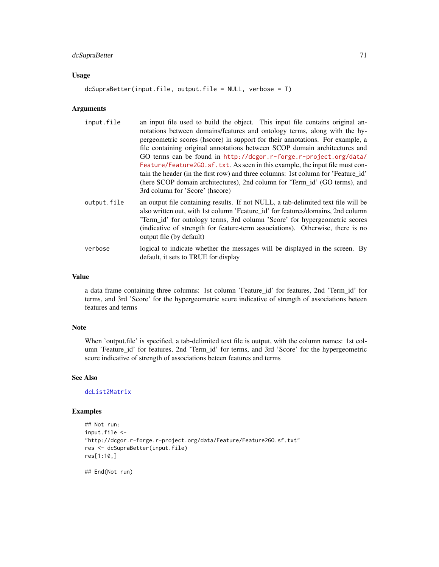# dcSupraBetter 71

# Usage

```
dcSupraBetter(input.file, output.file = NULL, verbose = T)
```
## Arguments

| input.file  | an input file used to build the object. This input file contains original an-<br>notations between domains/features and ontology terms, along with the hy-<br>pergeometric scores (hscore) in support for their annotations. For example, a<br>file containing original annotations between SCOP domain architectures and<br>GO terms can be found in http://dcgor.r-forge.r-project.org/data/<br>Feature/Feature2G0.sf.txt. As seen in this example, the input file must con-<br>tain the header (in the first row) and three columns: 1st column for 'Feature id'<br>(here SCOP domain architectures), 2nd column for 'Term_id' (GO terms), and<br>3rd column for 'Score' (hscore) |
|-------------|--------------------------------------------------------------------------------------------------------------------------------------------------------------------------------------------------------------------------------------------------------------------------------------------------------------------------------------------------------------------------------------------------------------------------------------------------------------------------------------------------------------------------------------------------------------------------------------------------------------------------------------------------------------------------------------|
| output.file | an output file containing results. If not NULL, a tab-delimited text file will be<br>also written out, with 1st column 'Feature_id' for features/domains, 2nd column<br>Term_id' for ontology terms, 3rd column 'Score' for hypergeometric scores<br>(indicative of strength for feature-term associations). Otherwise, there is no<br>output file (by default)                                                                                                                                                                                                                                                                                                                      |
| verbose     | logical to indicate whether the messages will be displayed in the screen. By<br>default, it sets to TRUE for display                                                                                                                                                                                                                                                                                                                                                                                                                                                                                                                                                                 |

# Value

a data frame containing three columns: 1st column 'Feature\_id' for features, 2nd 'Term\_id' for terms, and 3rd 'Score' for the hypergeometric score indicative of strength of associations beteen features and terms

## Note

When 'output.file' is specified, a tab-delimited text file is output, with the column names: 1st column 'Feature\_id' for features, 2nd 'Term\_id' for terms, and 3rd 'Score' for the hypergeometric score indicative of strength of associations beteen features and terms

## See Also

# [dcList2Matrix](#page-54-0)

```
## Not run:
input.file <-
"http://dcgor.r-forge.r-project.org/data/Feature/Feature2GO.sf.txt"
res <- dcSupraBetter(input.file)
res[1:10,]
```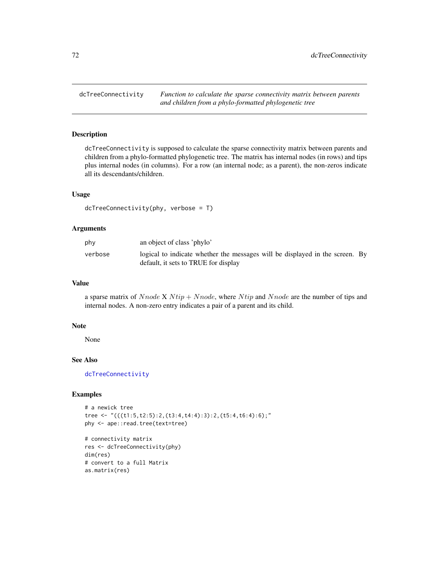<span id="page-71-0"></span>dcTreeConnectivity *Function to calculate the sparse connectivity matrix between parents and children from a phylo-formatted phylogenetic tree*

# Description

dcTreeConnectivity is supposed to calculate the sparse connectivity matrix between parents and children from a phylo-formatted phylogenetic tree. The matrix has internal nodes (in rows) and tips plus internal nodes (in columns). For a row (an internal node; as a parent), the non-zeros indicate all its descendants/children.

### Usage

```
dcTreeConnectivity(phy, verbose = T)
```
## Arguments

| phy     | an object of class 'phylo'                                                                                           |  |
|---------|----------------------------------------------------------------------------------------------------------------------|--|
| verbose | logical to indicate whether the messages will be displayed in the screen. By<br>default, it sets to TRUE for display |  |

### Value

a sparse matrix of Nnode X N tip + Nnode, where N tip and Nnode are the number of tips and internal nodes. A non-zero entry indicates a pair of a parent and its child.

### Note

None

# See Also

[dcTreeConnectivity](#page-71-0)

```
# a newick tree
tree <- "(((t1:5,t2:5):2,(t3:4,t4:4):3):2,(t5:4,t6:4):6);"
phy <- ape::read.tree(text=tree)
```

```
# connectivity matrix
res <- dcTreeConnectivity(phy)
dim(res)
# convert to a full Matrix
as.matrix(res)
```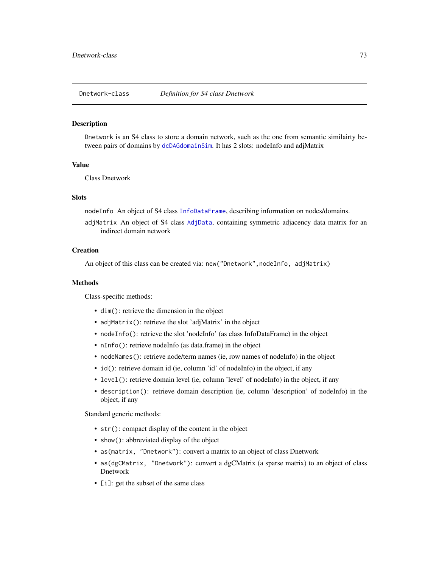<span id="page-72-0"></span>

Dnetwork is an S4 class to store a domain network, such as the one from semantic similairty between pairs of domains by [dcDAGdomainSim](#page-41-0). It has 2 slots: nodeInfo and adjMatrix

## Value

Class Dnetwork

# **Slots**

nodeInfo An object of S4 class [InfoDataFrame](#page-80-0), describing information on nodes/domains.

adjMatrix An object of S4 class [AdjData](#page-3-0), containing symmetric adjacency data matrix for an indirect domain network

# **Creation**

An object of this class can be created via: new("Dnetwork", nodeInfo, adjMatrix)

#### Methods

Class-specific methods:

- dim(): retrieve the dimension in the object
- adjMatrix(): retrieve the slot 'adjMatrix' in the object
- nodeInfo(): retrieve the slot 'nodeInfo' (as class InfoDataFrame) in the object
- nInfo(): retrieve nodeInfo (as data.frame) in the object
- nodeNames(): retrieve node/term names (ie, row names of nodeInfo) in the object
- id(): retrieve domain id (ie, column 'id' of nodeInfo) in the object, if any
- level(): retrieve domain level (ie, column 'level' of nodeInfo) in the object, if any
- description(): retrieve domain description (ie, column 'description' of nodeInfo) in the object, if any

Standard generic methods:

- str(): compact display of the content in the object
- show(): abbreviated display of the object
- as(matrix, "Dnetwork"): convert a matrix to an object of class Dnetwork
- as(dgCMatrix, "Dnetwork"): convert a dgCMatrix (a sparse matrix) to an object of class Dnetwork
- [i]: get the subset of the same class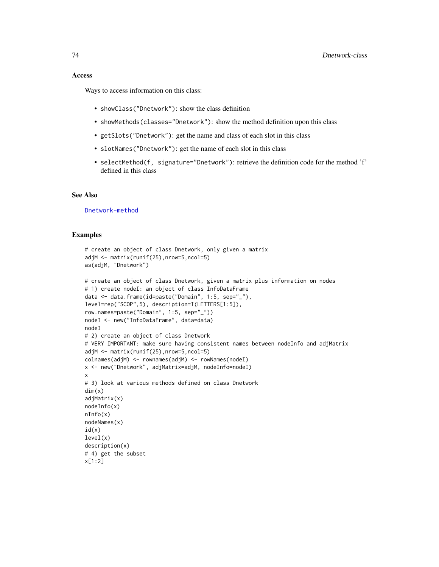#### Access

Ways to access information on this class:

- showClass("Dnetwork"): show the class definition
- showMethods(classes="Dnetwork"): show the method definition upon this class
- getSlots("Dnetwork"): get the name and class of each slot in this class
- slotNames("Dnetwork"): get the name of each slot in this class
- selectMethod(f, signature="Dnetwork"): retrieve the definition code for the method  $f'$ defined in this class

## See Also

[Dnetwork-method](#page-74-0)

```
# create an object of class Dnetwork, only given a matrix
adjM <- matrix(runif(25),nrow=5,ncol=5)
as(adjM, "Dnetwork")
# create an object of class Dnetwork, given a matrix plus information on nodes
# 1) create nodeI: an object of class InfoDataFrame
data <- data.frame(id=paste("Domain", 1:5, sep="_"),
level=rep("SCOP",5), description=I(LETTERS[1:5]),
row.names=paste("Domain", 1:5, sep="_"))
nodeI <- new("InfoDataFrame", data=data)
nodeI
# 2) create an object of class Dnetwork
# VERY IMPORTANT: make sure having consistent names between nodeInfo and adjMatrix
adjM <- matrix(runif(25),nrow=5,ncol=5)
colnames(adjM) <- rownames(adjM) <- rowNames(nodeI)
x <- new("Dnetwork", adjMatrix=adjM, nodeInfo=nodeI)
x
# 3) look at various methods defined on class Dnetwork
dim(x)
adjMatrix(x)
nodeInfo(x)
nInfo(x)
nodeNames(x)
id(x)level(x)
description(x)
# 4) get the subset
x[1:2]
```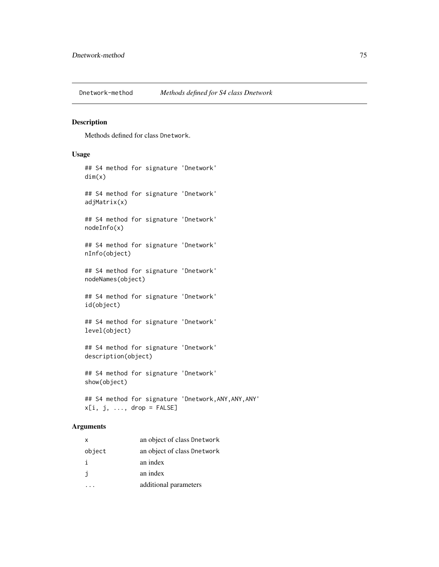<span id="page-74-0"></span>

Methods defined for class Dnetwork.

# Usage

```
## S4 method for signature 'Dnetwork'
dim(x)
## S4 method for signature 'Dnetwork'
adjMatrix(x)
## S4 method for signature 'Dnetwork'
nodeInfo(x)
## S4 method for signature 'Dnetwork'
nInfo(object)
## S4 method for signature 'Dnetwork'
nodeNames(object)
## S4 method for signature 'Dnetwork'
id(object)
## S4 method for signature 'Dnetwork'
level(object)
## S4 method for signature 'Dnetwork'
description(object)
## S4 method for signature 'Dnetwork'
show(object)
## S4 method for signature 'Dnetwork,ANY,ANY,ANY'
x[i, j, \ldots, drop = FALSE]
```
#### Arguments

| X      | an object of class Dnetwork |
|--------|-----------------------------|
| object | an object of class Dnetwork |
| i      | an index                    |
| j      | an index                    |
|        | additional parameters       |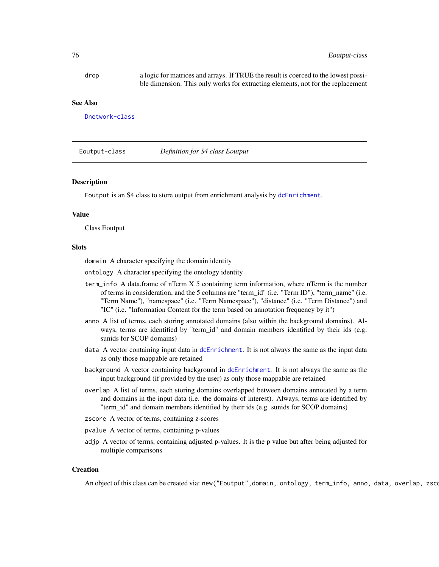drop a logic for matrices and arrays. If TRUE the result is coerced to the lowest possible dimension. This only works for extracting elements, not for the replacement

#### See Also

[Dnetwork-class](#page-72-0)

<span id="page-75-0"></span>

Eoutput-class *Definition for S4 class Eoutput*

#### Description

Eoutput is an S4 class to store output from enrichment analysis by [dcEnrichment](#page-47-0).

#### Value

Class Eoutput

### **Slots**

domain A character specifying the domain identity

ontology A character specifying the ontology identity

- term\_info A data.frame of nTerm X 5 containing term information, where nTerm is the number of terms in consideration, and the 5 columns are "term\_id" (i.e. "Term ID"), "term\_name" (i.e. "Term Name"), "namespace" (i.e. "Term Namespace"), "distance" (i.e. "Term Distance") and "IC" (i.e. "Information Content for the term based on annotation frequency by it")
- anno A list of terms, each storing annotated domains (also within the background domains). Always, terms are identified by "term\_id" and domain members identified by their ids (e.g. sunids for SCOP domains)
- data A vector containing input data in [dcEnrichment](#page-47-0). It is not always the same as the input data as only those mappable are retained
- background A vector containing background in [dcEnrichment](#page-47-0). It is not always the same as the input background (if provided by the user) as only those mappable are retained
- overlap A list of terms, each storing domains overlapped between domains annotated by a term and domains in the input data (i.e. the domains of interest). Always, terms are identified by "term\_id" and domain members identified by their ids (e.g. sunids for SCOP domains)
- zscore A vector of terms, containing z-scores
- pvalue A vector of terms, containing p-values
- adjp A vector of terms, containing adjusted p-values. It is the p value but after being adjusted for multiple comparisons

# **Creation**

An object of this class can be created via: new("Eoutput",domain, ontology, term\_info, anno, data, overlap, zsco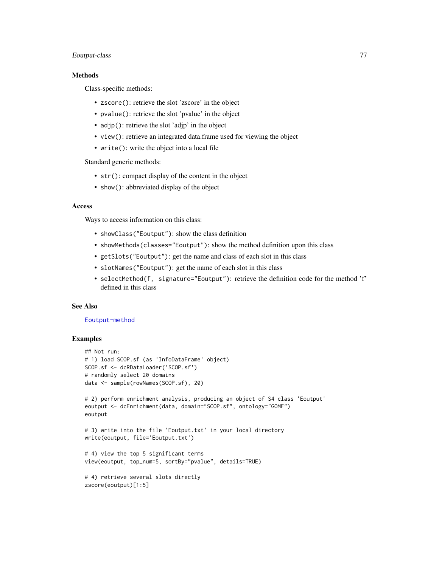# Eoutput-class 77

# Methods

Class-specific methods:

- zscore(): retrieve the slot 'zscore' in the object
- pvalue(): retrieve the slot 'pvalue' in the object
- adjp(): retrieve the slot 'adjp' in the object
- view(): retrieve an integrated data.frame used for viewing the object
- write(): write the object into a local file

Standard generic methods:

- str(): compact display of the content in the object
- show(): abbreviated display of the object

## Access

Ways to access information on this class:

- showClass("Eoutput"): show the class definition
- showMethods(classes="Eoutput"): show the method definition upon this class
- getSlots("Eoutput"): get the name and class of each slot in this class
- slotNames("Eoutput"): get the name of each slot in this class
- selectMethod(f, signature="Eoutput"): retrieve the definition code for the method 'f' defined in this class

## See Also

## [Eoutput-method](#page-77-0)

```
## Not run:
# 1) load SCOP.sf (as 'InfoDataFrame' object)
SCOP.sf <- dcRDataLoader('SCOP.sf')
# randomly select 20 domains
data <- sample(rowNames(SCOP.sf), 20)
# 2) perform enrichment analysis, producing an object of S4 class 'Eoutput'
eoutput <- dcEnrichment(data, domain="SCOP.sf", ontology="GOMF")
eoutput
# 3) write into the file 'Eoutput.txt' in your local directory
write(eoutput, file='Eoutput.txt')
# 4) view the top 5 significant terms
view(eoutput, top_num=5, sortBy="pvalue", details=TRUE)
# 4) retrieve several slots directly
zscore(eoutput)[1:5]
```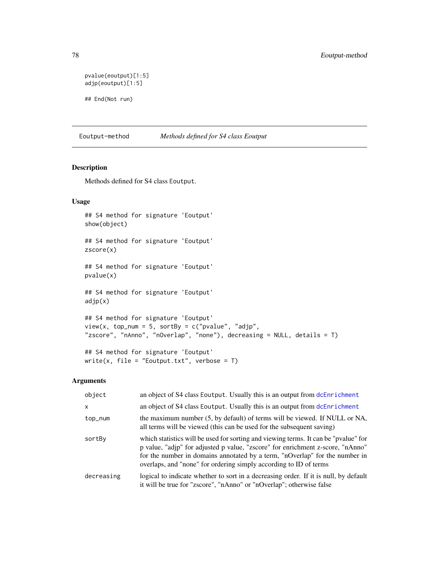```
pvalue(eoutput)[1:5]
adjp(eoutput)[1:5]
## End(Not run)
```
<span id="page-77-0"></span>Eoutput-method *Methods defined for S4 class Eoutput*

# Description

Methods defined for S4 class Eoutput.

write(x, file = "Eoutput.txt", verbose =  $T$ )

# Usage

```
## S4 method for signature 'Eoutput'
show(object)
## S4 method for signature 'Eoutput'
zscore(x)
## S4 method for signature 'Eoutput'
pvalue(x)
## S4 method for signature 'Eoutput'
adjp(x)
## S4 method for signature 'Eoutput'
view(x, top_number = 5, sortBy = c("pvalue", "adjp","zscore", "nAnno", "nOverlap", "none"), decreasing = NULL, details = T)
## S4 method for signature 'Eoutput'
```
# Arguments

| object     | an object of S4 class Eoutput. Usually this is an output from dcEnrichment                                                                                                                                                                                                                                                |
|------------|---------------------------------------------------------------------------------------------------------------------------------------------------------------------------------------------------------------------------------------------------------------------------------------------------------------------------|
| X          | an object of S4 class Eoutput. Usually this is an output from dcEnrichment                                                                                                                                                                                                                                                |
| top_num    | the maximum number (5, by default) of terms will be viewed. If NULL or NA,<br>all terms will be viewed (this can be used for the subsequent saving)                                                                                                                                                                       |
| sortBy     | which statistics will be used for sorting and viewing terms. It can be "pvalue" for<br>p value, "adjp" for adjusted p value, "zscore" for enrichment z-score, "nAnno"<br>for the number in domains annotated by a term, "nOverlap" for the number in<br>overlaps, and "none" for ordering simply according to ID of terms |
| decreasing | logical to indicate whether to sort in a decreasing order. If it is null, by default<br>it will be true for "zscore", "nAnno" or "nOverlap"; otherwise false                                                                                                                                                              |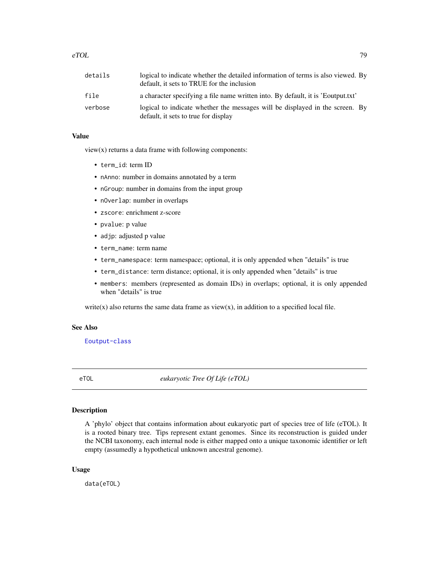| details | logical to indicate whether the detailed information of terms is also viewed. By<br>default, it sets to TRUE for the inclusion |
|---------|--------------------------------------------------------------------------------------------------------------------------------|
| file    | a character specifying a file name written into. By default, it is 'Eoutput.txt'                                               |
| verbose | logical to indicate whether the messages will be displayed in the screen. By<br>default, it sets to true for display           |

### Value

view(x) returns a data frame with following components:

- term\_id: term ID
- nAnno: number in domains annotated by a term
- nGroup: number in domains from the input group
- nOverlap: number in overlaps
- zscore: enrichment z-score
- pvalue: p value
- adjp: adjusted p value
- term\_name: term name
- term\_namespace: term namespace; optional, it is only appended when "details" is true
- term\_distance: term distance; optional, it is only appended when "details" is true
- members: members (represented as domain IDs) in overlaps; optional, it is only appended when "details" is true

write(x) also returns the same data frame as view(x), in addition to a specified local file.

## See Also

[Eoutput-class](#page-75-0)

eTOL *eukaryotic Tree Of Life (eTOL)*

#### Description

A 'phylo' object that contains information about eukaryotic part of species tree of life (eTOL). It is a rooted binary tree. Tips represent extant genomes. Since its reconstruction is guided under the NCBI taxonomy, each internal node is either mapped onto a unique taxonomic identifier or left empty (assumedly a hypothetical unknown ancestral genome).

#### Usage

data(eTOL)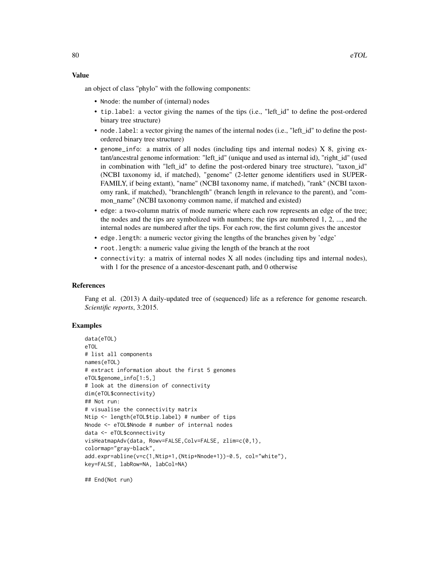## Value

an object of class "phylo" with the following components:

- Nnode: the number of (internal) nodes
- tip.label: a vector giving the names of the tips (i.e., "left\_id" to define the post-ordered binary tree structure)
- node.label: a vector giving the names of the internal nodes (i.e., "left\_id" to define the postordered binary tree structure)
- genome\_info: a matrix of all nodes (including tips and internal nodes) X 8, giving extant/ancestral genome information: "left\_id" (unique and used as internal id), "right\_id" (used in combination with "left id" to define the post-ordered binary tree structure), "taxon id" (NCBI taxonomy id, if matched), "genome" (2-letter genome identifiers used in SUPER-FAMILY, if being extant), "name" (NCBI taxonomy name, if matched), "rank" (NCBI taxonomy rank, if matched), "branchlength" (branch length in relevance to the parent), and "common\_name" (NCBI taxonomy common name, if matched and existed)
- edge: a two-column matrix of mode numeric where each row represents an edge of the tree; the nodes and the tips are symbolized with numbers; the tips are numbered 1, 2, ..., and the internal nodes are numbered after the tips. For each row, the first column gives the ancestor
- edge.length: a numeric vector giving the lengths of the branches given by 'edge'
- root.length: a numeric value giving the length of the branch at the root
- connectivity: a matrix of internal nodes X all nodes (including tips and internal nodes), with 1 for the presence of a ancestor-descenant path, and 0 otherwise

#### References

Fang et al. (2013) A daily-updated tree of (sequenced) life as a reference for genome research. *Scientific reports*, 3:2015.

#### Examples

```
data(eTOL)
eTOL
# list all components
names(eTOL)
# extract information about the first 5 genomes
eTOL$genome_info[1:5,]
# look at the dimension of connectivity
dim(eTOL$connectivity)
## Not run:
# visualise the connectivity matrix
Ntip <- length(eTOL$tip.label) # number of tips
Nnode <- eTOL$Nnode # number of internal nodes
data <- eTOL$connectivity
visHeatmapAdv(data, Rowv=FALSE,Colv=FALSE, zlim=c(0,1),
colormap="gray-black",
add.expr=abline(v=c(1,Ntip+1,(Ntip+Nnode+1))-0.5, col="white"),
key=FALSE, labRow=NA, labCol=NA)
```
## End(Not run)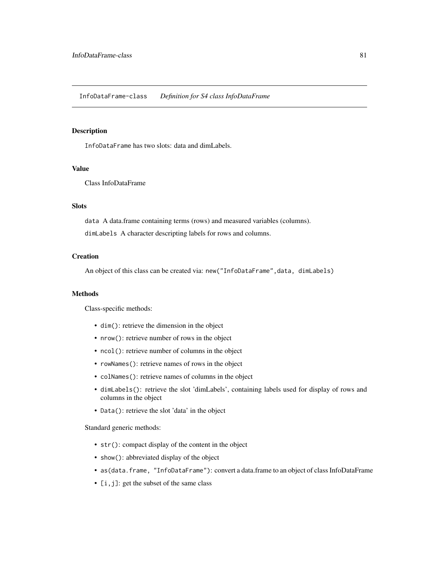<span id="page-80-1"></span><span id="page-80-0"></span>InfoDataFrame has two slots: data and dimLabels.

## Value

Class InfoDataFrame

## **Slots**

data A data.frame containing terms (rows) and measured variables (columns).

dimLabels A character descripting labels for rows and columns.

# **Creation**

An object of this class can be created via: new("InfoDataFrame",data, dimLabels)

## Methods

Class-specific methods:

- dim(): retrieve the dimension in the object
- nrow(): retrieve number of rows in the object
- ncol(): retrieve number of columns in the object
- rowNames(): retrieve names of rows in the object
- colNames(): retrieve names of columns in the object
- dimLabels(): retrieve the slot 'dimLabels', containing labels used for display of rows and columns in the object
- Data(): retrieve the slot 'data' in the object

Standard generic methods:

- str(): compact display of the content in the object
- show(): abbreviated display of the object
- as(data.frame, "InfoDataFrame"): convert a data.frame to an object of class InfoDataFrame
- [i, j]: get the subset of the same class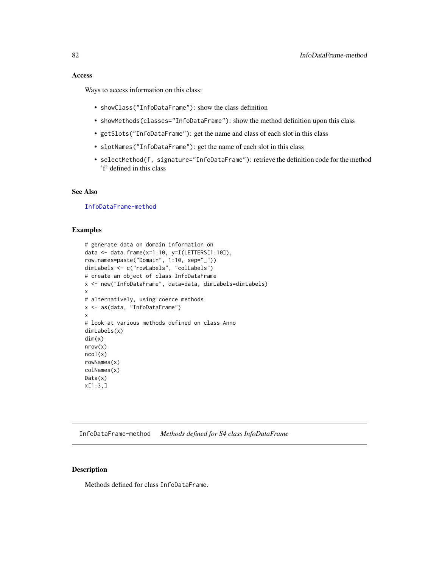## Access

Ways to access information on this class:

- showClass("InfoDataFrame"): show the class definition
- showMethods(classes="InfoDataFrame"): show the method definition upon this class
- getSlots("InfoDataFrame"): get the name and class of each slot in this class
- slotNames("InfoDataFrame"): get the name of each slot in this class
- selectMethod(f, signature="InfoDataFrame"): retrieve the definition code for the method 'f' defined in this class

# See Also

[InfoDataFrame-method](#page-81-0)

## Examples

```
# generate data on domain information on
data <- data.frame(x=1:10, y=I(LETTERS[1:10]),
row.names=paste("Domain", 1:10, sep="_"))
dimLabels <- c("rowLabels", "colLabels")
# create an object of class InfoDataFrame
x <- new("InfoDataFrame", data=data, dimLabels=dimLabels)
x
# alternatively, using coerce methods
x <- as(data, "InfoDataFrame")
x
# look at various methods defined on class Anno
dimLabels(x)
dim(x)
nrow(x)
ncol(x)
rowNames(x)
colNames(x)
Data(x)
x[1:3,]
```
<span id="page-81-0"></span>InfoDataFrame-method *Methods defined for S4 class InfoDataFrame*

# Description

Methods defined for class InfoDataFrame.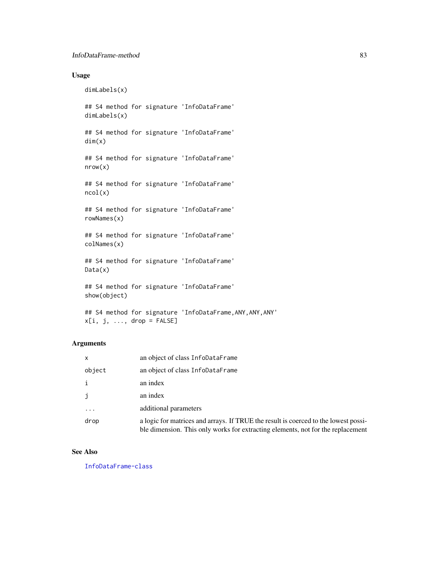# Usage

dimLabels(x)

## S4 method for signature 'InfoDataFrame' dimLabels(x)

## S4 method for signature 'InfoDataFrame' dim(x)

## S4 method for signature 'InfoDataFrame' nrow(x)

## S4 method for signature 'InfoDataFrame' ncol(x)

## S4 method for signature 'InfoDataFrame' rowNames(x)

## S4 method for signature 'InfoDataFrame' colNames(x)

## S4 method for signature 'InfoDataFrame' Data(x)

## S4 method for signature 'InfoDataFrame' show(object)

## S4 method for signature 'InfoDataFrame,ANY,ANY,ANY'  $x[i, j, ..., drop = FALSE]$ 

# Arguments

| $\mathsf{x}$ | an object of class InfoDataFrame                                                                                                                                       |
|--------------|------------------------------------------------------------------------------------------------------------------------------------------------------------------------|
| object       | an object of class InfoDataFrame                                                                                                                                       |
| $\mathbf{i}$ | an index                                                                                                                                                               |
| i            | an index                                                                                                                                                               |
| .            | additional parameters                                                                                                                                                  |
| drop         | a logic for matrices and arrays. If TRUE the result is coerced to the lowest possi-<br>ble dimension. This only works for extracting elements, not for the replacement |

#### See Also

[InfoDataFrame-class](#page-80-1)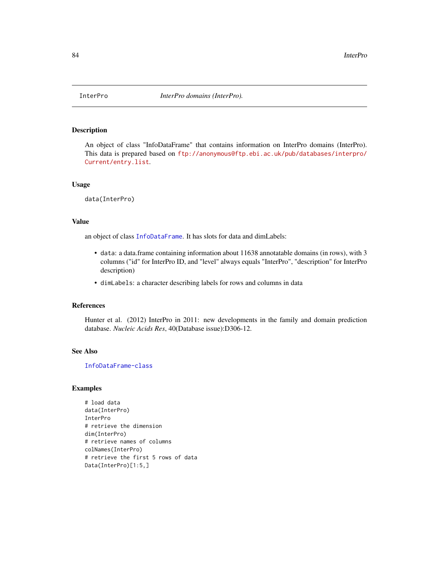An object of class "InfoDataFrame" that contains information on InterPro domains (InterPro). This data is prepared based on [ftp://anonymous@ftp.ebi.ac.uk/pub/databases/interpro/](ftp://anonymous@ftp.ebi.ac.uk/pub/databases/interpro/Current/entry.list) [Current/entry.list](ftp://anonymous@ftp.ebi.ac.uk/pub/databases/interpro/Current/entry.list).

## Usage

data(InterPro)

# Value

an object of class [InfoDataFrame](#page-80-0). It has slots for data and dimLabels:

- data: a data.frame containing information about 11638 annotatable domains (in rows), with 3 columns ("id" for InterPro ID, and "level" always equals "InterPro", "description" for InterPro description)
- dimLabels: a character describing labels for rows and columns in data

## References

Hunter et al. (2012) InterPro in 2011: new developments in the family and domain prediction database. *Nucleic Acids Res*, 40(Database issue):D306-12.

# See Also

[InfoDataFrame-class](#page-80-1)

```
# load data
data(InterPro)
InterPro
# retrieve the dimension
dim(InterPro)
# retrieve names of columns
colNames(InterPro)
# retrieve the first 5 rows of data
Data(InterPro)[1:5,]
```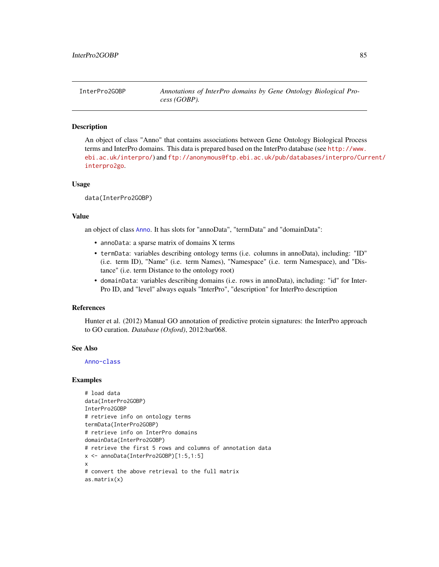An object of class "Anno" that contains associations between Gene Ontology Biological Process terms and InterPro domains. This data is prepared based on the InterPro database (see [http://www.](http://www.ebi.ac.uk/interpro/) [ebi.ac.uk/interpro/](http://www.ebi.ac.uk/interpro/)) and [ftp://anonymous@ftp.ebi.ac.uk/pub/databases/interpro/Cur](ftp://anonymous@ftp.ebi.ac.uk/pub/databases/interpro/Current/interpro2go)rent/ [interpro2go](ftp://anonymous@ftp.ebi.ac.uk/pub/databases/interpro/Current/interpro2go).

#### Usage

data(InterPro2GOBP)

## Value

an object of class [Anno](#page-4-0). It has slots for "annoData", "termData" and "domainData":

- annoData: a sparse matrix of domains X terms
- termData: variables describing ontology terms (i.e. columns in annoData), including: "ID" (i.e. term ID), "Name" (i.e. term Names), "Namespace" (i.e. term Namespace), and "Distance" (i.e. term Distance to the ontology root)
- domainData: variables describing domains (i.e. rows in annoData), including: "id" for Inter-Pro ID, and "level" always equals "InterPro", "description" for InterPro description

#### References

Hunter et al. (2012) Manual GO annotation of predictive protein signatures: the InterPro approach to GO curation. *Database (Oxford)*, 2012:bar068.

## See Also

#### [Anno-class](#page-4-1)

```
# load data
data(InterPro2GOBP)
InterPro2GOBP
# retrieve info on ontology terms
termData(InterPro2GOBP)
# retrieve info on InterPro domains
domainData(InterPro2GOBP)
# retrieve the first 5 rows and columns of annotation data
x <- annoData(InterPro2GOBP)[1:5,1:5]
x
# convert the above retrieval to the full matrix
as.matrix(x)
```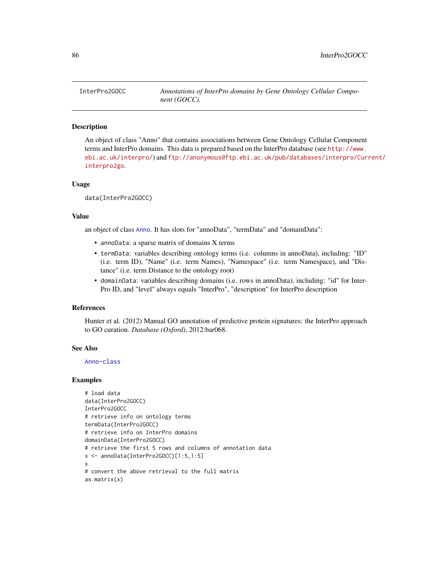An object of class "Anno" that contains associations between Gene Ontology Cellular Component terms and InterPro domains. This data is prepared based on the InterPro database (see [http://www.](http://www.ebi.ac.uk/interpro/) [ebi.ac.uk/interpro/](http://www.ebi.ac.uk/interpro/)) and [ftp://anonymous@ftp.ebi.ac.uk/pub/databases/interpro/Cur](ftp://anonymous@ftp.ebi.ac.uk/pub/databases/interpro/Current/interpro2go)rent/ [interpro2go](ftp://anonymous@ftp.ebi.ac.uk/pub/databases/interpro/Current/interpro2go).

#### Usage

data(InterPro2GOCC)

## Value

an object of class [Anno](#page-4-0). It has slots for "annoData", "termData" and "domainData":

- annoData: a sparse matrix of domains X terms
- termData: variables describing ontology terms (i.e. columns in annoData), including: "ID" (i.e. term ID), "Name" (i.e. term Names), "Namespace" (i.e. term Namespace), and "Distance" (i.e. term Distance to the ontology root)
- domainData: variables describing domains (i.e. rows in annoData), including: "id" for Inter-Pro ID, and "level" always equals "InterPro", "description" for InterPro description

#### References

Hunter et al. (2012) Manual GO annotation of predictive protein signatures: the InterPro approach to GO curation. *Database (Oxford)*, 2012:bar068.

## See Also

#### [Anno-class](#page-4-1)

```
# load data
data(InterPro2GOCC)
InterPro2GOCC
# retrieve info on ontology terms
termData(InterPro2GOCC)
# retrieve info on InterPro domains
domainData(InterPro2GOCC)
# retrieve the first 5 rows and columns of annotation data
x <- annoData(InterPro2GOCC)[1:5,1:5]
x
# convert the above retrieval to the full matrix
as.matrix(x)
```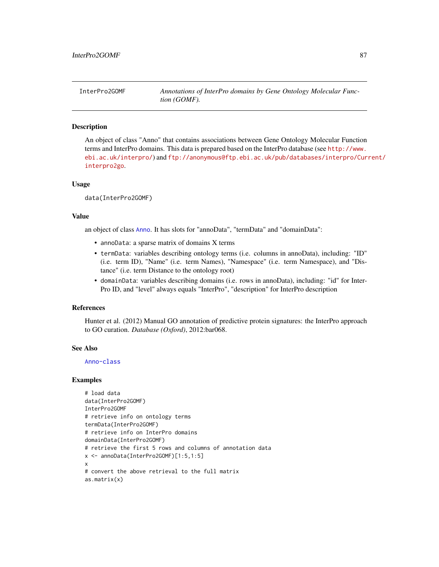An object of class "Anno" that contains associations between Gene Ontology Molecular Function terms and InterPro domains. This data is prepared based on the InterPro database (see [http://www.](http://www.ebi.ac.uk/interpro/) [ebi.ac.uk/interpro/](http://www.ebi.ac.uk/interpro/)) and [ftp://anonymous@ftp.ebi.ac.uk/pub/databases/interpro/Cur](ftp://anonymous@ftp.ebi.ac.uk/pub/databases/interpro/Current/interpro2go)rent/ [interpro2go](ftp://anonymous@ftp.ebi.ac.uk/pub/databases/interpro/Current/interpro2go).

#### Usage

data(InterPro2GOMF)

# Value

an object of class [Anno](#page-4-0). It has slots for "annoData", "termData" and "domainData":

- annoData: a sparse matrix of domains X terms
- termData: variables describing ontology terms (i.e. columns in annoData), including: "ID" (i.e. term ID), "Name" (i.e. term Names), "Namespace" (i.e. term Namespace), and "Distance" (i.e. term Distance to the ontology root)
- domainData: variables describing domains (i.e. rows in annoData), including: "id" for Inter-Pro ID, and "level" always equals "InterPro", "description" for InterPro description

#### References

Hunter et al. (2012) Manual GO annotation of predictive protein signatures: the InterPro approach to GO curation. *Database (Oxford)*, 2012:bar068.

## See Also

#### [Anno-class](#page-4-1)

```
# load data
data(InterPro2GOMF)
InterPro2GOMF
# retrieve info on ontology terms
termData(InterPro2GOMF)
# retrieve info on InterPro domains
domainData(InterPro2GOMF)
# retrieve the first 5 rows and columns of annotation data
x <- annoData(InterPro2GOMF)[1:5,1:5]
x
# convert the above retrieval to the full matrix
as.matrix(x)
```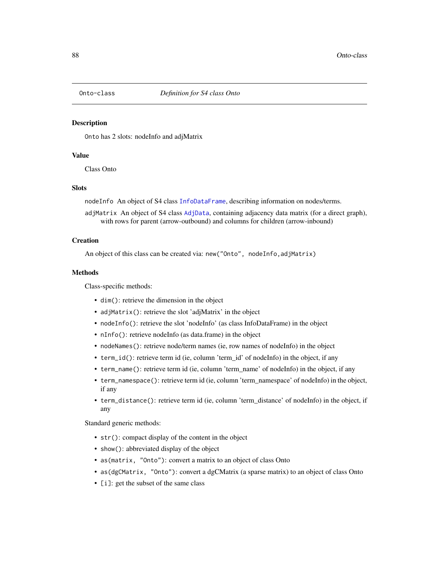<span id="page-87-1"></span><span id="page-87-0"></span>

Onto has 2 slots: nodeInfo and adjMatrix

# Value

Class Onto

## **Slots**

nodeInfo An object of S4 class [InfoDataFrame](#page-80-0), describing information on nodes/terms.

adjMatrix An object of S4 class [AdjData](#page-3-0), containing adjacency data matrix (for a direct graph), with rows for parent (arrow-outbound) and columns for children (arrow-inbound)

# **Creation**

An object of this class can be created via: new("Onto", nodeInfo,adjMatrix)

## Methods

Class-specific methods:

- dim(): retrieve the dimension in the object
- adjMatrix(): retrieve the slot 'adjMatrix' in the object
- nodeInfo(): retrieve the slot 'nodeInfo' (as class InfoDataFrame) in the object
- nInfo(): retrieve nodeInfo (as data.frame) in the object
- nodeNames(): retrieve node/term names (ie, row names of nodeInfo) in the object
- term\_id(): retrieve term id (ie, column 'term\_id' of nodeInfo) in the object, if any
- term\_name(): retrieve term id (ie, column 'term\_name' of nodeInfo) in the object, if any
- term\_namespace(): retrieve term id (ie, column 'term\_namespace' of nodeInfo) in the object, if any
- term\_distance(): retrieve term id (ie, column 'term\_distance' of nodeInfo) in the object, if any

Standard generic methods:

- str(): compact display of the content in the object
- show(): abbreviated display of the object
- as(matrix, "Onto"): convert a matrix to an object of class Onto
- as(dgCMatrix, "Onto"): convert a dgCMatrix (a sparse matrix) to an object of class Onto
- [i]: get the subset of the same class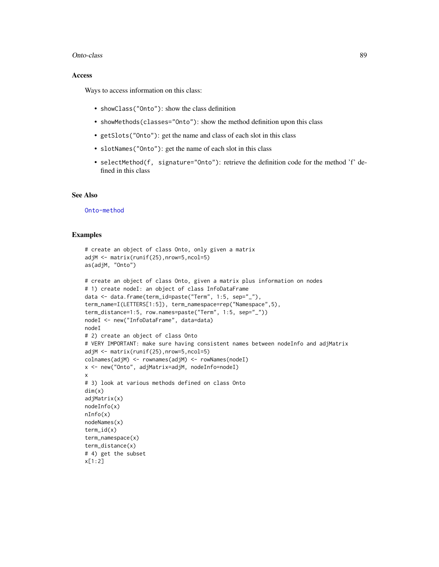#### Onto-class 89

#### Access

Ways to access information on this class:

- showClass("Onto"): show the class definition
- showMethods(classes="Onto"): show the method definition upon this class
- getSlots("Onto"): get the name and class of each slot in this class
- slotNames("Onto"): get the name of each slot in this class
- selectMethod(f, signature="Onto"): retrieve the definition code for the method 'f' defined in this class

## See Also

[Onto-method](#page-89-0)

```
# create an object of class Onto, only given a matrix
adjM <- matrix(runif(25),nrow=5,ncol=5)
as(adjM, "Onto")
# create an object of class Onto, given a matrix plus information on nodes
# 1) create nodeI: an object of class InfoDataFrame
data <- data.frame(term_id=paste("Term", 1:5, sep="_"),
term_name=I(LETTERS[1:5]), term_namespace=rep("Namespace",5),
term_distance=1:5, row.names=paste("Term", 1:5, sep="_"))
nodeI <- new("InfoDataFrame", data=data)
nodeI
# 2) create an object of class Onto
# VERY IMPORTANT: make sure having consistent names between nodeInfo and adjMatrix
adjM <- matrix(runif(25),nrow=5,ncol=5)
colnames(adjM) <- rownames(adjM) <- rowNames(nodeI)
x <- new("Onto", adjMatrix=adjM, nodeInfo=nodeI)
x
# 3) look at various methods defined on class Onto
dim(x)
adjMatrix(x)
nodeInfo(x)
nInfo(x)
nodeNames(x)
term_id(x)
term_namespace(x)
term_distance(x)
# 4) get the subset
x[1:2]
```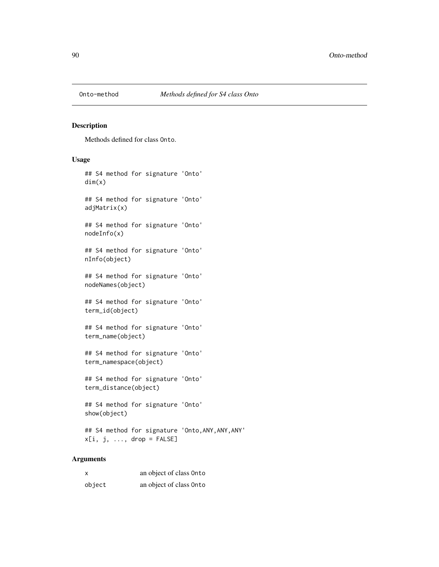<span id="page-89-0"></span>

Methods defined for class Onto.

# Usage

## S4 method for signature 'Onto' dim(x) ## S4 method for signature 'Onto' adjMatrix(x) ## S4 method for signature 'Onto' nodeInfo(x) ## S4 method for signature 'Onto' nInfo(object) ## S4 method for signature 'Onto' nodeNames(object) ## S4 method for signature 'Onto' term\_id(object) ## S4 method for signature 'Onto' term\_name(object) ## S4 method for signature 'Onto' term\_namespace(object) ## S4 method for signature 'Onto' term\_distance(object) ## S4 method for signature 'Onto' show(object) ## S4 method for signature 'Onto,ANY,ANY,ANY'

# Arguments

| X      | an object of class Onto |
|--------|-------------------------|
| object | an object of class Onto |

 $x[i, j, ..., drop = FALSE]$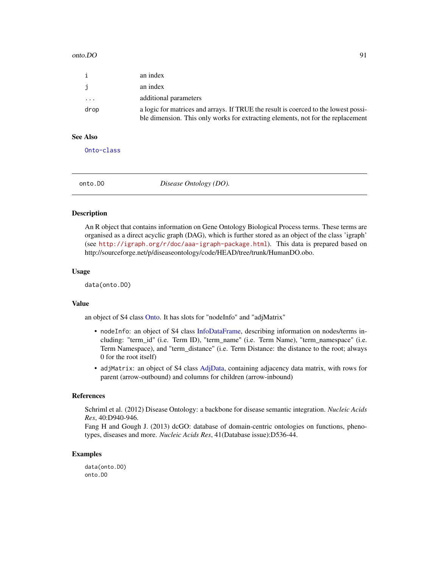#### onto.DO 91

| $\mathbf{i}$ | an index                                                                                                                                                               |
|--------------|------------------------------------------------------------------------------------------------------------------------------------------------------------------------|
| $\mathbf{i}$ | an index                                                                                                                                                               |
| .            | additional parameters                                                                                                                                                  |
| drop         | a logic for matrices and arrays. If TRUE the result is coerced to the lowest possi-<br>ble dimension. This only works for extracting elements, not for the replacement |

## See Also

[Onto-class](#page-87-0)

onto.DO *Disease Ontology (DO).*

#### Description

An R object that contains information on Gene Ontology Biological Process terms. These terms are organised as a direct acyclic graph (DAG), which is further stored as an object of the class 'igraph' (see <http://igraph.org/r/doc/aaa-igraph-package.html>). This data is prepared based on http://sourceforge.net/p/diseaseontology/code/HEAD/tree/trunk/HumanDO.obo.

## Usage

data(onto.DO)

#### Value

an object of S4 class [Onto.](#page-87-1) It has slots for "nodeInfo" and "adjMatrix"

- nodeInfo: an object of S4 class [InfoDataFrame,](#page-80-0) describing information on nodes/terms including: "term\_id" (i.e. Term ID), "term\_name" (i.e. Term Name), "term\_namespace" (i.e. Term Namespace), and "term\_distance" (i.e. Term Distance: the distance to the root; always 0 for the root itself)
- adjMatrix: an object of S4 class [AdjData,](#page-3-0) containing adjacency data matrix, with rows for parent (arrow-outbound) and columns for children (arrow-inbound)

## References

Schriml et al. (2012) Disease Ontology: a backbone for disease semantic integration. *Nucleic Acids Res*, 40:D940-946.

Fang H and Gough J. (2013) dcGO: database of domain-centric ontologies on functions, phenotypes, diseases and more. *Nucleic Acids Res*, 41(Database issue):D536-44.

## Examples

data(onto.DO) onto.DO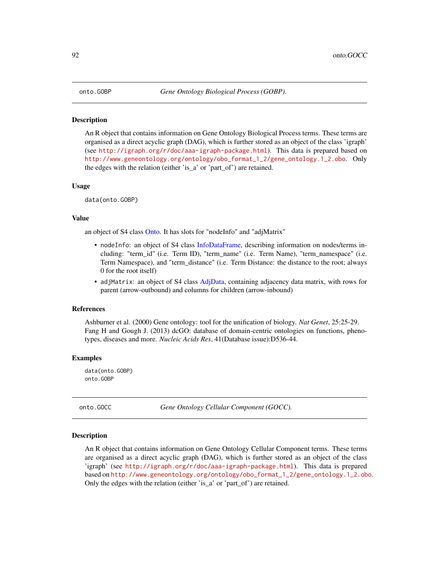An R object that contains information on Gene Ontology Biological Process terms. These terms are organised as a direct acyclic graph (DAG), which is further stored as an object of the class 'igraph' (see <http://igraph.org/r/doc/aaa-igraph-package.html>). This data is prepared based on [http://www.geneontology.org/ontology/obo\\_format\\_1\\_2/gene\\_ontology.1\\_2.obo](http://www.geneontology.org/ontology/obo_format_1_2/gene_ontology.1_2.obo). Only the edges with the relation (either 'is\_a' or 'part\_of') are retained.

## Usage

data(onto.GOBP)

#### Value

an object of S4 class [Onto.](#page-87-1) It has slots for "nodeInfo" and "adjMatrix"

- nodeInfo: an object of S4 class [InfoDataFrame,](#page-80-0) describing information on nodes/terms including: "term\_id" (i.e. Term ID), "term\_name" (i.e. Term Name), "term\_namespace" (i.e. Term Namespace), and "term\_distance" (i.e. Term Distance: the distance to the root; always 0 for the root itself)
- adjMatrix: an object of S4 class [AdjData,](#page-3-0) containing adjacency data matrix, with rows for parent (arrow-outbound) and columns for children (arrow-inbound)

#### References

Ashburner et al. (2000) Gene ontology: tool for the unification of biology. *Nat Genet*, 25:25-29. Fang H and Gough J. (2013) dcGO: database of domain-centric ontologies on functions, phenotypes, diseases and more. *Nucleic Acids Res*, 41(Database issue):D536-44.

#### Examples

data(onto.GOBP) onto.GOBP

onto.GOCC *Gene Ontology Cellular Component (GOCC).*

#### Description

An R object that contains information on Gene Ontology Cellular Component terms. These terms are organised as a direct acyclic graph (DAG), which is further stored as an object of the class 'igraph' (see <http://igraph.org/r/doc/aaa-igraph-package.html>). This data is prepared based on [http://www.geneontology.org/ontology/obo\\_format\\_1\\_2/gene\\_ontology.1\\_2.obo](http://www.geneontology.org/ontology/obo_format_1_2/gene_ontology.1_2.obo). Only the edges with the relation (either 'is\_a' or 'part\_of') are retained.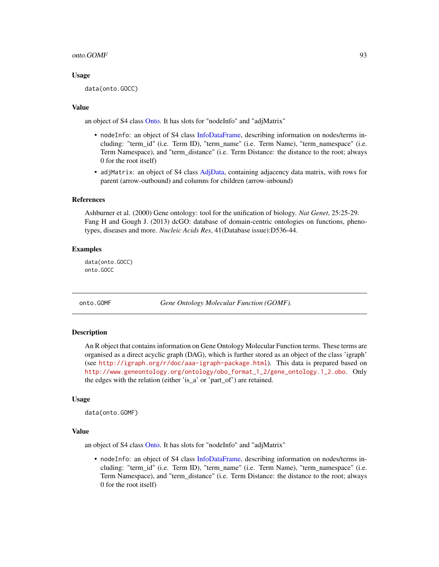#### onto.GOMF 93

## Usage

data(onto.GOCC)

## Value

an object of S4 class [Onto.](#page-87-1) It has slots for "nodeInfo" and "adjMatrix"

- nodeInfo: an object of S4 class [InfoDataFrame,](#page-80-0) describing information on nodes/terms including: "term\_id" (i.e. Term ID), "term\_name" (i.e. Term Name), "term\_namespace" (i.e. Term Namespace), and "term\_distance" (i.e. Term Distance: the distance to the root; always 0 for the root itself)
- adjMatrix: an object of S4 class [AdjData,](#page-3-0) containing adjacency data matrix, with rows for parent (arrow-outbound) and columns for children (arrow-inbound)

#### References

Ashburner et al. (2000) Gene ontology: tool for the unification of biology. *Nat Genet*, 25:25-29. Fang H and Gough J. (2013) dcGO: database of domain-centric ontologies on functions, phenotypes, diseases and more. *Nucleic Acids Res*, 41(Database issue):D536-44.

## Examples

data(onto.GOCC) onto.GOCC

onto.GOMF *Gene Ontology Molecular Function (GOMF).*

## Description

An R object that contains information on Gene Ontology Molecular Function terms. These terms are organised as a direct acyclic graph (DAG), which is further stored as an object of the class 'igraph' (see <http://igraph.org/r/doc/aaa-igraph-package.html>). This data is prepared based on [http://www.geneontology.org/ontology/obo\\_format\\_1\\_2/gene\\_ontology.1\\_2.obo](http://www.geneontology.org/ontology/obo_format_1_2/gene_ontology.1_2.obo). Only the edges with the relation (either 'is\_a' or 'part\_of') are retained.

## Usage

```
data(onto.GOMF)
```
#### Value

an object of S4 class [Onto.](#page-87-1) It has slots for "nodeInfo" and "adjMatrix"

• nodeInfo: an object of S4 class [InfoDataFrame,](#page-80-0) describing information on nodes/terms including: "term\_id" (i.e. Term ID), "term\_name" (i.e. Term Name), "term\_namespace" (i.e. Term Namespace), and "term\_distance" (i.e. Term Distance: the distance to the root; always 0 for the root itself)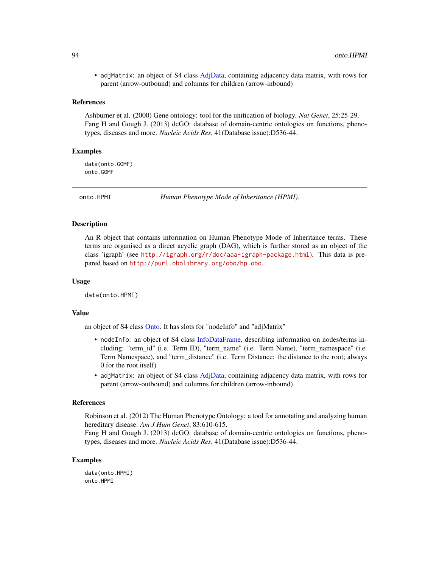• adjMatrix: an object of S4 class [AdjData,](#page-3-0) containing adjacency data matrix, with rows for parent (arrow-outbound) and columns for children (arrow-inbound)

#### References

Ashburner et al. (2000) Gene ontology: tool for the unification of biology. *Nat Genet*, 25:25-29. Fang H and Gough J. (2013) dcGO: database of domain-centric ontologies on functions, phenotypes, diseases and more. *Nucleic Acids Res*, 41(Database issue):D536-44.

## Examples

data(onto.GOMF) onto.GOMF

onto.HPMI *Human Phenotype Mode of Inheritance (HPMI).*

# **Description**

An R object that contains information on Human Phenotype Mode of Inheritance terms. These terms are organised as a direct acyclic graph (DAG), which is further stored as an object of the class 'igraph' (see <http://igraph.org/r/doc/aaa-igraph-package.html>). This data is prepared based on <http://purl.obolibrary.org/obo/hp.obo>.

## Usage

data(onto.HPMI)

#### Value

an object of S4 class [Onto.](#page-87-1) It has slots for "nodeInfo" and "adjMatrix"

- nodeInfo: an object of S4 class [InfoDataFrame,](#page-80-0) describing information on nodes/terms including: "term\_id" (i.e. Term ID), "term\_name" (i.e. Term Name), "term\_namespace" (i.e. Term Namespace), and "term\_distance" (i.e. Term Distance: the distance to the root; always 0 for the root itself)
- adjMatrix: an object of S4 class [AdjData,](#page-3-0) containing adjacency data matrix, with rows for parent (arrow-outbound) and columns for children (arrow-inbound)

#### References

Robinson et al. (2012) The Human Phenotype Ontology: a tool for annotating and analyzing human hereditary disease. *Am J Hum Genet*, 83:610-615.

Fang H and Gough J. (2013) dcGO: database of domain-centric ontologies on functions, phenotypes, diseases and more. *Nucleic Acids Res*, 41(Database issue):D536-44.

# Examples

data(onto.HPMI) onto.HPMI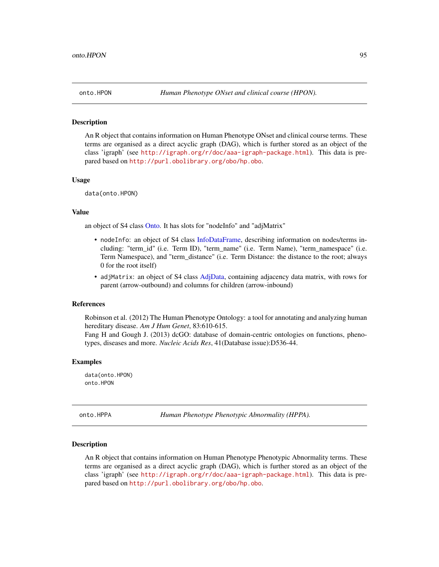An R object that contains information on Human Phenotype ONset and clinical course terms. These terms are organised as a direct acyclic graph (DAG), which is further stored as an object of the class 'igraph' (see <http://igraph.org/r/doc/aaa-igraph-package.html>). This data is prepared based on <http://purl.obolibrary.org/obo/hp.obo>.

### Usage

data(onto.HPON)

## Value

an object of S4 class [Onto.](#page-87-1) It has slots for "nodeInfo" and "adjMatrix"

- nodeInfo: an object of S4 class [InfoDataFrame,](#page-80-0) describing information on nodes/terms including: "term\_id" (i.e. Term ID), "term\_name" (i.e. Term Name), "term\_namespace" (i.e. Term Namespace), and "term\_distance" (i.e. Term Distance: the distance to the root; always 0 for the root itself)
- adjMatrix: an object of S4 class [AdjData,](#page-3-0) containing adjacency data matrix, with rows for parent (arrow-outbound) and columns for children (arrow-inbound)

#### References

Robinson et al. (2012) The Human Phenotype Ontology: a tool for annotating and analyzing human hereditary disease. *Am J Hum Genet*, 83:610-615.

Fang H and Gough J. (2013) dcGO: database of domain-centric ontologies on functions, phenotypes, diseases and more. *Nucleic Acids Res*, 41(Database issue):D536-44.

### Examples

data(onto.HPON) onto.HPON

onto.HPPA *Human Phenotype Phenotypic Abnormality (HPPA).*

## **Description**

An R object that contains information on Human Phenotype Phenotypic Abnormality terms. These terms are organised as a direct acyclic graph (DAG), which is further stored as an object of the class 'igraph' (see <http://igraph.org/r/doc/aaa-igraph-package.html>). This data is prepared based on <http://purl.obolibrary.org/obo/hp.obo>.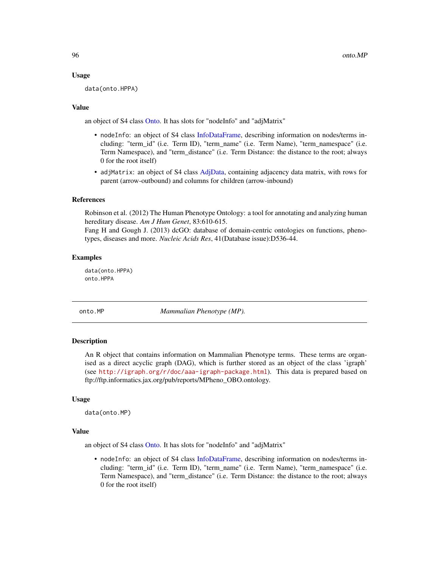## Usage

data(onto.HPPA)

## Value

an object of S4 class [Onto.](#page-87-1) It has slots for "nodeInfo" and "adjMatrix"

- nodeInfo: an object of S4 class [InfoDataFrame,](#page-80-0) describing information on nodes/terms including: "term\_id" (i.e. Term ID), "term\_name" (i.e. Term Name), "term\_namespace" (i.e. Term Namespace), and "term\_distance" (i.e. Term Distance: the distance to the root; always 0 for the root itself)
- adjMatrix: an object of S4 class [AdjData,](#page-3-0) containing adjacency data matrix, with rows for parent (arrow-outbound) and columns for children (arrow-inbound)

## References

Robinson et al. (2012) The Human Phenotype Ontology: a tool for annotating and analyzing human hereditary disease. *Am J Hum Genet*, 83:610-615.

Fang H and Gough J. (2013) dcGO: database of domain-centric ontologies on functions, phenotypes, diseases and more. *Nucleic Acids Res*, 41(Database issue):D536-44.

#### Examples

data(onto.HPPA) onto.HPPA

onto.MP *Mammalian Phenotype (MP).*

## Description

An R object that contains information on Mammalian Phenotype terms. These terms are organised as a direct acyclic graph (DAG), which is further stored as an object of the class 'igraph' (see <http://igraph.org/r/doc/aaa-igraph-package.html>). This data is prepared based on ftp://ftp.informatics.jax.org/pub/reports/MPheno\_OBO.ontology.

## Usage

```
data(onto.MP)
```
#### Value

an object of S4 class [Onto.](#page-87-1) It has slots for "nodeInfo" and "adjMatrix"

• nodeInfo: an object of S4 class [InfoDataFrame,](#page-80-0) describing information on nodes/terms including: "term\_id" (i.e. Term ID), "term\_name" (i.e. Term Name), "term\_namespace" (i.e. Term Namespace), and "term\_distance" (i.e. Term Distance: the distance to the root; always 0 for the root itself)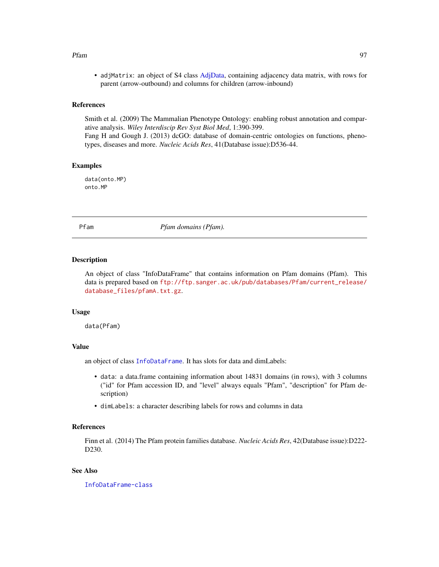#### Pfam 97

• adjMatrix: an object of S4 class [AdjData,](#page-3-0) containing adjacency data matrix, with rows for parent (arrow-outbound) and columns for children (arrow-inbound)

#### **References**

Smith et al. (2009) The Mammalian Phenotype Ontology: enabling robust annotation and comparative analysis. *Wiley Interdiscip Rev Syst Biol Med*, 1:390-399.

Fang H and Gough J. (2013) dcGO: database of domain-centric ontologies on functions, phenotypes, diseases and more. *Nucleic Acids Res*, 41(Database issue):D536-44.

## Examples

data(onto.MP) onto.MP

Pfam *Pfam domains (Pfam).*

#### **Description**

An object of class "InfoDataFrame" that contains information on Pfam domains (Pfam). This data is prepared based on [ftp://ftp.sanger.ac.uk/pub/databases/Pfam/current\\_release/](ftp://ftp.sanger.ac.uk/pub/databases/Pfam/current_release/database_files/pfamA.txt.gz) [database\\_files/pfamA.txt.gz](ftp://ftp.sanger.ac.uk/pub/databases/Pfam/current_release/database_files/pfamA.txt.gz).

#### Usage

data(Pfam)

# Value

an object of class [InfoDataFrame](#page-80-0). It has slots for data and dimLabels:

- data: a data.frame containing information about 14831 domains (in rows), with 3 columns ("id" for Pfam accession ID, and "level" always equals "Pfam", "description" for Pfam description)
- dimLabels: a character describing labels for rows and columns in data

## References

Finn et al. (2014) The Pfam protein families database. *Nucleic Acids Res*, 42(Database issue):D222- D230.

## See Also

[InfoDataFrame-class](#page-80-1)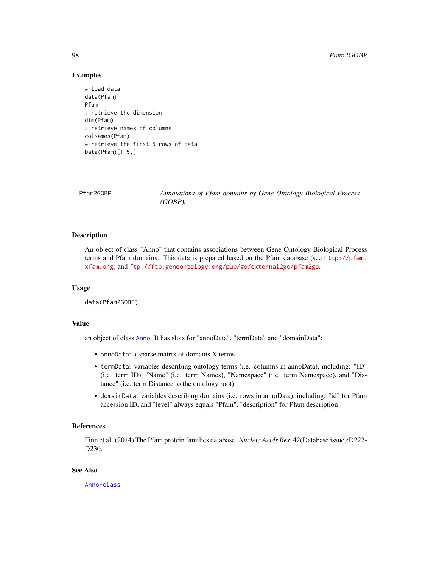## Examples

```
# load data
data(Pfam)
Pfam
# retrieve the dimension
dim(Pfam)
# retrieve names of columns
colNames(Pfam)
# retrieve the first 5 rows of data
Data(Pfam)[1:5,]
```
Pfam2GOBP *Annotations of Pfam domains by Gene Ontology Biological Process (GOBP).*

## Description

An object of class "Anno" that contains associations between Gene Ontology Biological Process terms and Pfam domains. This data is prepared based on the Pfam database (see [http://pfam.](http://pfam.xfam.org) [xfam.org](http://pfam.xfam.org)) and <ftp://ftp.geneontology.org/pub/go/external2go/pfam2go>.

#### Usage

data(Pfam2GOBP)

# Value

an object of class [Anno](#page-4-0). It has slots for "annoData", "termData" and "domainData":

- annoData: a sparse matrix of domains X terms
- termData: variables describing ontology terms (i.e. columns in annoData), including: "ID" (i.e. term ID), "Name" (i.e. term Names), "Namespace" (i.e. term Namespace), and "Distance" (i.e. term Distance to the ontology root)
- domainData: variables describing domains (i.e. rows in annoData), including: "id" for Pfam accession ID, and "level" always equals "Pfam", "description" for Pfam description

# References

Finn et al. (2014) The Pfam protein families database. *Nucleic Acids Res*, 42(Database issue):D222- D230.

## See Also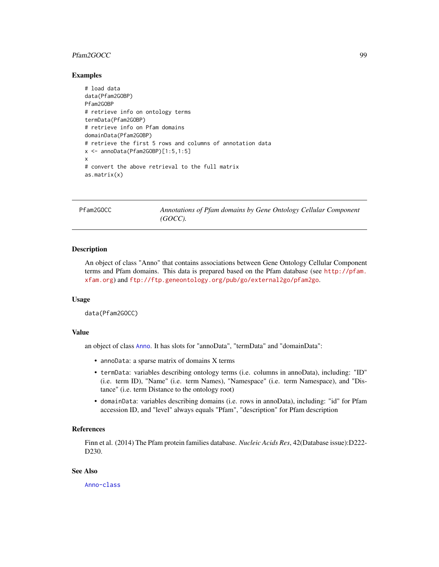## Pfam2GOCC 999

## Examples

```
# load data
data(Pfam2GOBP)
Pfam2GOBP
# retrieve info on ontology terms
termData(Pfam2GOBP)
# retrieve info on Pfam domains
domainData(Pfam2GOBP)
# retrieve the first 5 rows and columns of annotation data
x <- annoData(Pfam2GOBP)[1:5,1:5]
x
# convert the above retrieval to the full matrix
as.matrix(x)
```
Pfam2GOCC *Annotations of Pfam domains by Gene Ontology Cellular Component (GOCC).*

## **Description**

An object of class "Anno" that contains associations between Gene Ontology Cellular Component terms and Pfam domains. This data is prepared based on the Pfam database (see [http://pfam.](http://pfam.xfam.org) [xfam.org](http://pfam.xfam.org)) and <ftp://ftp.geneontology.org/pub/go/external2go/pfam2go>.

#### Usage

data(Pfam2GOCC)

#### Value

an object of class [Anno](#page-4-0). It has slots for "annoData", "termData" and "domainData":

- annoData: a sparse matrix of domains X terms
- termData: variables describing ontology terms (i.e. columns in annoData), including: "ID" (i.e. term ID), "Name" (i.e. term Names), "Namespace" (i.e. term Namespace), and "Distance" (i.e. term Distance to the ontology root)
- domainData: variables describing domains (i.e. rows in annoData), including: "id" for Pfam accession ID, and "level" always equals "Pfam", "description" for Pfam description

# References

Finn et al. (2014) The Pfam protein families database. *Nucleic Acids Res*, 42(Database issue):D222- D230.

## See Also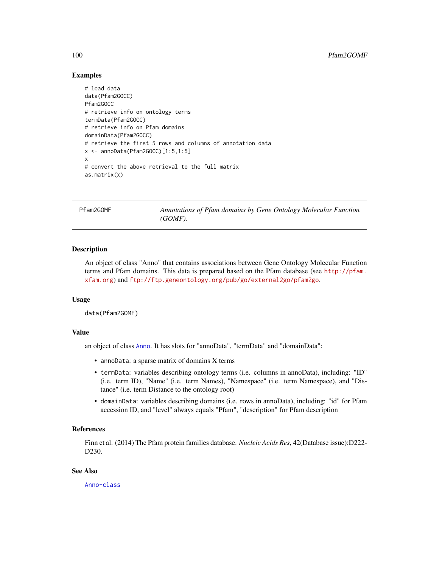## Examples

```
# load data
data(Pfam2GOCC)
Pfam2GOCC
# retrieve info on ontology terms
termData(Pfam2GOCC)
# retrieve info on Pfam domains
domainData(Pfam2GOCC)
# retrieve the first 5 rows and columns of annotation data
x <- annoData(Pfam2GOCC)[1:5,1:5]
x
# convert the above retrieval to the full matrix
as.matrix(x)
```
Pfam2GOMF *Annotations of Pfam domains by Gene Ontology Molecular Function (GOMF).*

## **Description**

An object of class "Anno" that contains associations between Gene Ontology Molecular Function terms and Pfam domains. This data is prepared based on the Pfam database (see [http://pfam.](http://pfam.xfam.org) [xfam.org](http://pfam.xfam.org)) and <ftp://ftp.geneontology.org/pub/go/external2go/pfam2go>.

#### Usage

data(Pfam2GOMF)

#### Value

an object of class [Anno](#page-4-0). It has slots for "annoData", "termData" and "domainData":

- annoData: a sparse matrix of domains X terms
- termData: variables describing ontology terms (i.e. columns in annoData), including: "ID" (i.e. term ID), "Name" (i.e. term Names), "Namespace" (i.e. term Namespace), and "Distance" (i.e. term Distance to the ontology root)
- domainData: variables describing domains (i.e. rows in annoData), including: "id" for Pfam accession ID, and "level" always equals "Pfam", "description" for Pfam description

# References

Finn et al. (2014) The Pfam protein families database. *Nucleic Acids Res*, 42(Database issue):D222- D230.

## See Also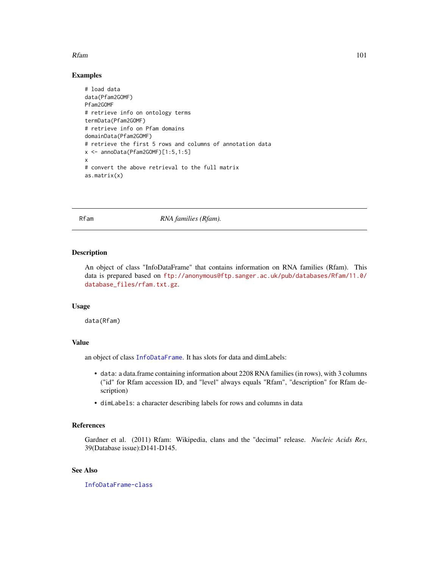#### Rfam 101

## Examples

```
# load data
data(Pfam2GOMF)
Pfam2GOMF
# retrieve info on ontology terms
termData(Pfam2GOMF)
# retrieve info on Pfam domains
domainData(Pfam2GOMF)
# retrieve the first 5 rows and columns of annotation data
x <- annoData(Pfam2GOMF)[1:5,1:5]
x
# convert the above retrieval to the full matrix
as.matrix(x)
```
Rfam *RNA families (Rfam).*

# Description

An object of class "InfoDataFrame" that contains information on RNA families (Rfam). This data is prepared based on [ftp://anonymous@ftp.sanger.ac.uk/pub/databases/Rfam/11.0/](ftp://anonymous@ftp.sanger.ac.uk/pub/databases/Rfam/11.0/database_files/rfam.txt.gz) [database\\_files/rfam.txt.gz](ftp://anonymous@ftp.sanger.ac.uk/pub/databases/Rfam/11.0/database_files/rfam.txt.gz).

## Usage

data(Rfam)

# Value

an object of class [InfoDataFrame](#page-80-0). It has slots for data and dimLabels:

- data: a data.frame containing information about 2208 RNA families (in rows), with 3 columns ("id" for Rfam accession ID, and "level" always equals "Rfam", "description" for Rfam description)
- dimLabels: a character describing labels for rows and columns in data

## References

Gardner et al. (2011) Rfam: Wikipedia, clans and the "decimal" release. *Nucleic Acids Res*, 39(Database issue):D141-D145.

## See Also

[InfoDataFrame-class](#page-80-1)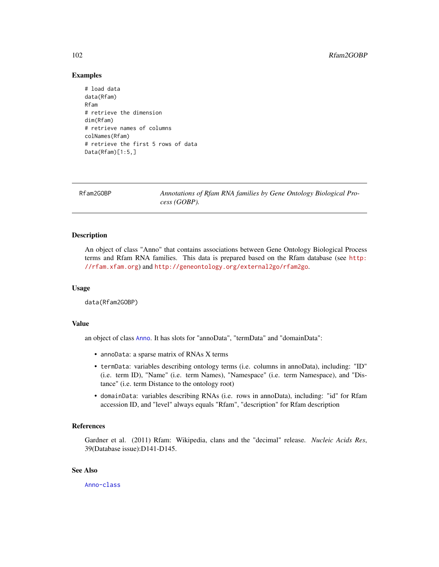## Examples

```
# load data
data(Rfam)
Rfam
# retrieve the dimension
dim(Rfam)
# retrieve names of columns
colNames(Rfam)
# retrieve the first 5 rows of data
Data(Rfam)[1:5,]
```
Rfam2GOBP *Annotations of Rfam RNA families by Gene Ontology Biological Process (GOBP).*

## Description

An object of class "Anno" that contains associations between Gene Ontology Biological Process terms and Rfam RNA families. This data is prepared based on the Rfam database (see [http:](http://rfam.xfam.org) [//rfam.xfam.org](http://rfam.xfam.org)) and <http://geneontology.org/external2go/rfam2go>.

#### Usage

data(Rfam2GOBP)

# Value

an object of class [Anno](#page-4-0). It has slots for "annoData", "termData" and "domainData":

- annoData: a sparse matrix of RNAs X terms
- termData: variables describing ontology terms (i.e. columns in annoData), including: "ID" (i.e. term ID), "Name" (i.e. term Names), "Namespace" (i.e. term Namespace), and "Distance" (i.e. term Distance to the ontology root)
- domainData: variables describing RNAs (i.e. rows in annoData), including: "id" for Rfam accession ID, and "level" always equals "Rfam", "description" for Rfam description

# References

Gardner et al. (2011) Rfam: Wikipedia, clans and the "decimal" release. *Nucleic Acids Res*, 39(Database issue):D141-D145.

## See Also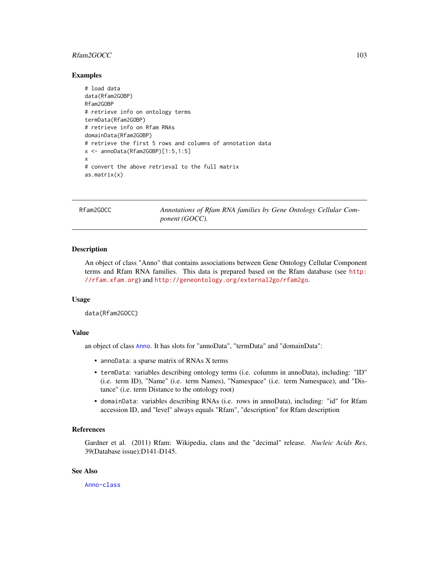# Rfam2GOCC 103

## Examples

```
# load data
data(Rfam2GOBP)
Rfam2GOBP
# retrieve info on ontology terms
termData(Rfam2GOBP)
# retrieve info on Rfam RNAs
domainData(Rfam2GOBP)
# retrieve the first 5 rows and columns of annotation data
x <- annoData(Rfam2GOBP)[1:5,1:5]
x
# convert the above retrieval to the full matrix
as.matrix(x)
```
Rfam2GOCC *Annotations of Rfam RNA families by Gene Ontology Cellular Component (GOCC).*

## **Description**

An object of class "Anno" that contains associations between Gene Ontology Cellular Component terms and Rfam RNA families. This data is prepared based on the Rfam database (see [http:](http://rfam.xfam.org) [//rfam.xfam.org](http://rfam.xfam.org)) and <http://geneontology.org/external2go/rfam2go>.

#### Usage

data(Rfam2GOCC)

#### Value

an object of class [Anno](#page-4-0). It has slots for "annoData", "termData" and "domainData":

- annoData: a sparse matrix of RNAs X terms
- termData: variables describing ontology terms (i.e. columns in annoData), including: "ID" (i.e. term ID), "Name" (i.e. term Names), "Namespace" (i.e. term Namespace), and "Distance" (i.e. term Distance to the ontology root)
- domainData: variables describing RNAs (i.e. rows in annoData), including: "id" for Rfam accession ID, and "level" always equals "Rfam", "description" for Rfam description

# References

Gardner et al. (2011) Rfam: Wikipedia, clans and the "decimal" release. *Nucleic Acids Res*, 39(Database issue):D141-D145.

## See Also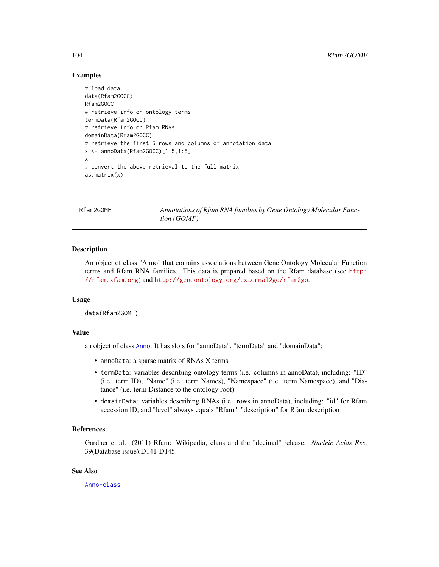## Examples

```
# load data
data(Rfam2GOCC)
Rfam2GOCC
# retrieve info on ontology terms
termData(Rfam2GOCC)
# retrieve info on Rfam RNAs
domainData(Rfam2GOCC)
# retrieve the first 5 rows and columns of annotation data
x <- annoData(Rfam2GOCC)[1:5,1:5]
x
# convert the above retrieval to the full matrix
as.matrix(x)
```
Rfam2GOMF *Annotations of Rfam RNA families by Gene Ontology Molecular Function (GOMF).*

## **Description**

An object of class "Anno" that contains associations between Gene Ontology Molecular Function terms and Rfam RNA families. This data is prepared based on the Rfam database (see [http:](http://rfam.xfam.org) [//rfam.xfam.org](http://rfam.xfam.org)) and <http://geneontology.org/external2go/rfam2go>.

#### Usage

data(Rfam2GOMF)

#### Value

an object of class [Anno](#page-4-0). It has slots for "annoData", "termData" and "domainData":

- annoData: a sparse matrix of RNAs X terms
- termData: variables describing ontology terms (i.e. columns in annoData), including: "ID" (i.e. term ID), "Name" (i.e. term Names), "Namespace" (i.e. term Namespace), and "Distance" (i.e. term Distance to the ontology root)
- domainData: variables describing RNAs (i.e. rows in annoData), including: "id" for Rfam accession ID, and "level" always equals "Rfam", "description" for Rfam description

# References

Gardner et al. (2011) Rfam: Wikipedia, clans and the "decimal" release. *Nucleic Acids Res*, 39(Database issue):D141-D145.

# See Also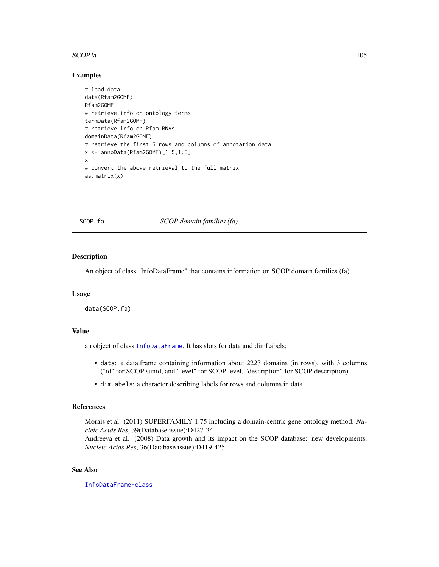#### SCOP.fa 105

## Examples

```
# load data
data(Rfam2GOMF)
Rfam2GOMF
# retrieve info on ontology terms
termData(Rfam2GOMF)
# retrieve info on Rfam RNAs
domainData(Rfam2GOMF)
# retrieve the first 5 rows and columns of annotation data
x \le - annoData(Rfam2GOMF)[1:5,1:5]
x
# convert the above retrieval to the full matrix
as.matrix(x)
```
SCOP.fa *SCOP domain families (fa).*

## Description

An object of class "InfoDataFrame" that contains information on SCOP domain families (fa).

## Usage

data(SCOP.fa)

## Value

an object of class [InfoDataFrame](#page-80-0). It has slots for data and dimLabels:

- data: a data.frame containing information about 2223 domains (in rows), with 3 columns ("id" for SCOP sunid, and "level" for SCOP level, "description" for SCOP description)
- dimLabels: a character describing labels for rows and columns in data

## References

Morais et al. (2011) SUPERFAMILY 1.75 including a domain-centric gene ontology method. *Nucleic Acids Res*, 39(Database issue):D427-34.

Andreeva et al. (2008) Data growth and its impact on the SCOP database: new developments. *Nucleic Acids Res*, 36(Database issue):D419-425

## See Also

[InfoDataFrame-class](#page-80-1)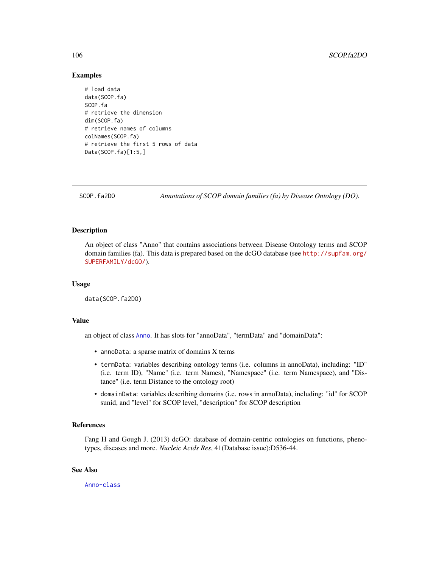## Examples

```
# load data
data(SCOP.fa)
SCOP.fa
# retrieve the dimension
dim(SCOP.fa)
# retrieve names of columns
colNames(SCOP.fa)
# retrieve the first 5 rows of data
Data(SCOP.fa)[1:5,]
```
SCOP.fa2DO *Annotations of SCOP domain families (fa) by Disease Ontology (DO).*

## Description

An object of class "Anno" that contains associations between Disease Ontology terms and SCOP domain families (fa). This data is prepared based on the dcGO database (see [http://supfam.org/](http://supfam.org/SUPERFAMILY/dcGO/) [SUPERFAMILY/dcGO/](http://supfam.org/SUPERFAMILY/dcGO/)).

## Usage

data(SCOP.fa2DO)

## Value

an object of class [Anno](#page-4-0). It has slots for "annoData", "termData" and "domainData":

- annoData: a sparse matrix of domains X terms
- termData: variables describing ontology terms (i.e. columns in annoData), including: "ID" (i.e. term ID), "Name" (i.e. term Names), "Namespace" (i.e. term Namespace), and "Distance" (i.e. term Distance to the ontology root)
- domainData: variables describing domains (i.e. rows in annoData), including: "id" for SCOP sunid, and "level" for SCOP level, "description" for SCOP description

## References

Fang H and Gough J. (2013) dcGO: database of domain-centric ontologies on functions, phenotypes, diseases and more. *Nucleic Acids Res*, 41(Database issue):D536-44.

## See Also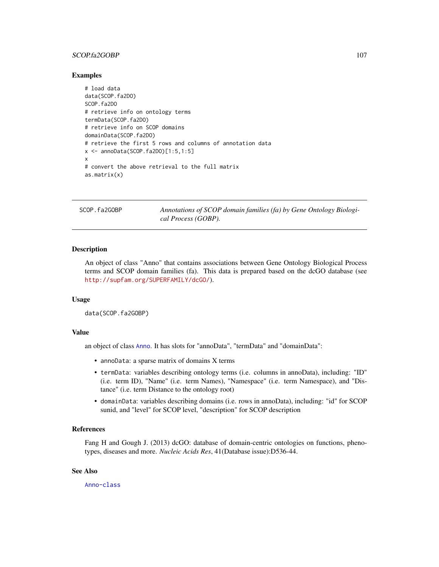# SCOP.fa2GOBP 107

## Examples

```
# load data
data(SCOP.fa2DO)
SCOP.fa2DO
# retrieve info on ontology terms
termData(SCOP.fa2DO)
# retrieve info on SCOP domains
domainData(SCOP.fa2DO)
# retrieve the first 5 rows and columns of annotation data
x <- annoData(SCOP.fa2DO)[1:5,1:5]
x
# convert the above retrieval to the full matrix
as.matrix(x)
```
SCOP.fa2GOBP *Annotations of SCOP domain families (fa) by Gene Ontology Biological Process (GOBP).*

## **Description**

An object of class "Anno" that contains associations between Gene Ontology Biological Process terms and SCOP domain families (fa). This data is prepared based on the dcGO database (see <http://supfam.org/SUPERFAMILY/dcGO/>).

#### Usage

data(SCOP.fa2GOBP)

#### Value

an object of class [Anno](#page-4-0). It has slots for "annoData", "termData" and "domainData":

- annoData: a sparse matrix of domains X terms
- termData: variables describing ontology terms (i.e. columns in annoData), including: "ID" (i.e. term ID), "Name" (i.e. term Names), "Namespace" (i.e. term Namespace), and "Distance" (i.e. term Distance to the ontology root)
- domainData: variables describing domains (i.e. rows in annoData), including: "id" for SCOP sunid, and "level" for SCOP level, "description" for SCOP description

# References

Fang H and Gough J. (2013) dcGO: database of domain-centric ontologies on functions, phenotypes, diseases and more. *Nucleic Acids Res*, 41(Database issue):D536-44.

## See Also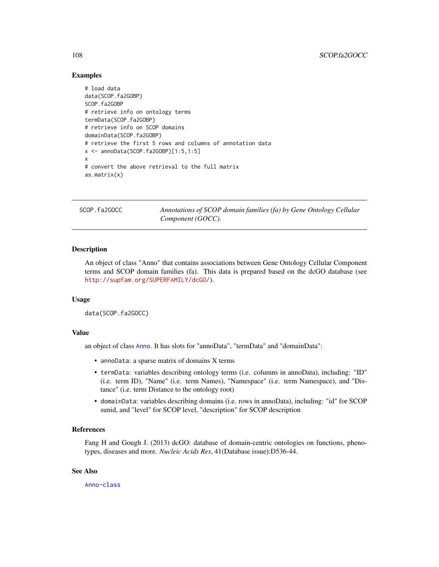## Examples

```
# load data
data(SCOP.fa2GOBP)
SCOP.fa2GOBP
# retrieve info on ontology terms
termData(SCOP.fa2GOBP)
# retrieve info on SCOP domains
domainData(SCOP.fa2GOBP)
# retrieve the first 5 rows and columns of annotation data
x <- annoData(SCOP.fa2GOBP)[1:5,1:5]
x
# convert the above retrieval to the full matrix
as.matrix(x)
```
SCOP.fa2GOCC *Annotations of SCOP domain families (fa) by Gene Ontology Cellular Component (GOCC).*

## **Description**

An object of class "Anno" that contains associations between Gene Ontology Cellular Component terms and SCOP domain families (fa). This data is prepared based on the dcGO database (see <http://supfam.org/SUPERFAMILY/dcGO/>).

## Usage

```
data(SCOP.fa2GOCC)
```
#### Value

an object of class [Anno](#page-4-0). It has slots for "annoData", "termData" and "domainData":

- annoData: a sparse matrix of domains X terms
- termData: variables describing ontology terms (i.e. columns in annoData), including: "ID" (i.e. term ID), "Name" (i.e. term Names), "Namespace" (i.e. term Namespace), and "Distance" (i.e. term Distance to the ontology root)
- domainData: variables describing domains (i.e. rows in annoData), including: "id" for SCOP sunid, and "level" for SCOP level, "description" for SCOP description

# References

Fang H and Gough J. (2013) dcGO: database of domain-centric ontologies on functions, phenotypes, diseases and more. *Nucleic Acids Res*, 41(Database issue):D536-44.

# See Also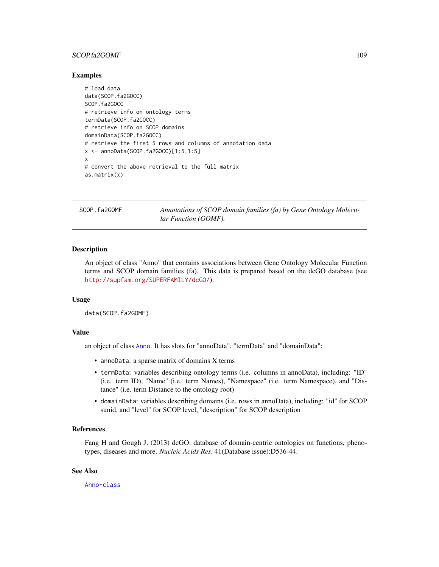# <span id="page-108-0"></span>SCOP.fa2GOMF 109

# Examples

```
# load data
data(SCOP.fa2GOCC)
SCOP.fa2GOCC
# retrieve info on ontology terms
termData(SCOP.fa2GOCC)
# retrieve info on SCOP domains
domainData(SCOP.fa2GOCC)
# retrieve the first 5 rows and columns of annotation data
x <- annoData(SCOP.fa2GOCC)[1:5,1:5]
x
# convert the above retrieval to the full matrix
as.matrix(x)
```
SCOP.fa2GOMF *Annotations of SCOP domain families (fa) by Gene Ontology Molecular Function (GOMF).*

# **Description**

An object of class "Anno" that contains associations between Gene Ontology Molecular Function terms and SCOP domain families (fa). This data is prepared based on the dcGO database (see <http://supfam.org/SUPERFAMILY/dcGO/>).

#### Usage

```
data(SCOP.fa2GOMF)
```
# Value

an object of class [Anno](#page-4-0). It has slots for "annoData", "termData" and "domainData":

- annoData: a sparse matrix of domains X terms
- termData: variables describing ontology terms (i.e. columns in annoData), including: "ID" (i.e. term ID), "Name" (i.e. term Names), "Namespace" (i.e. term Namespace), and "Distance" (i.e. term Distance to the ontology root)
- domainData: variables describing domains (i.e. rows in annoData), including: "id" for SCOP sunid, and "level" for SCOP level, "description" for SCOP description

# References

Fang H and Gough J. (2013) dcGO: database of domain-centric ontologies on functions, phenotypes, diseases and more. *Nucleic Acids Res*, 41(Database issue):D536-44.

# See Also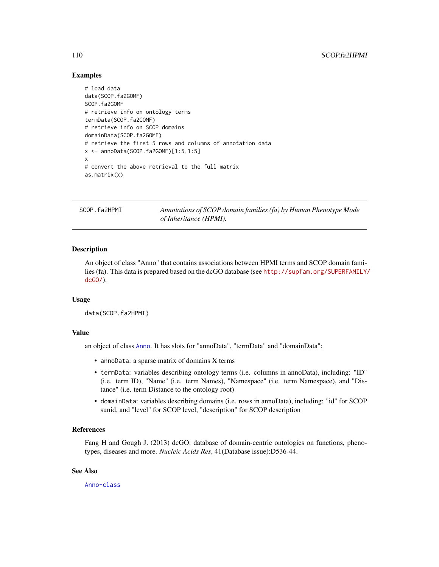```
# load data
data(SCOP.fa2GOMF)
SCOP.fa2GOMF
# retrieve info on ontology terms
termData(SCOP.fa2GOMF)
# retrieve info on SCOP domains
domainData(SCOP.fa2GOMF)
# retrieve the first 5 rows and columns of annotation data
x <- annoData(SCOP.fa2GOMF)[1:5,1:5]
x
# convert the above retrieval to the full matrix
as.matrix(x)
```
SCOP.fa2HPMI *Annotations of SCOP domain families (fa) by Human Phenotype Mode of Inheritance (HPMI).*

# **Description**

An object of class "Anno" that contains associations between HPMI terms and SCOP domain families (fa). This data is prepared based on the dcGO database (see [http://supfam.org/SUPERFAMILY/](http://supfam.org/SUPERFAMILY/dcGO/) [dcGO/](http://supfam.org/SUPERFAMILY/dcGO/)).

# Usage

```
data(SCOP.fa2HPMI)
```
# Value

an object of class [Anno](#page-4-0). It has slots for "annoData", "termData" and "domainData":

- annoData: a sparse matrix of domains X terms
- termData: variables describing ontology terms (i.e. columns in annoData), including: "ID" (i.e. term ID), "Name" (i.e. term Names), "Namespace" (i.e. term Namespace), and "Distance" (i.e. term Distance to the ontology root)
- domainData: variables describing domains (i.e. rows in annoData), including: "id" for SCOP sunid, and "level" for SCOP level, "description" for SCOP description

# References

Fang H and Gough J. (2013) dcGO: database of domain-centric ontologies on functions, phenotypes, diseases and more. *Nucleic Acids Res*, 41(Database issue):D536-44.

# See Also

<span id="page-109-0"></span>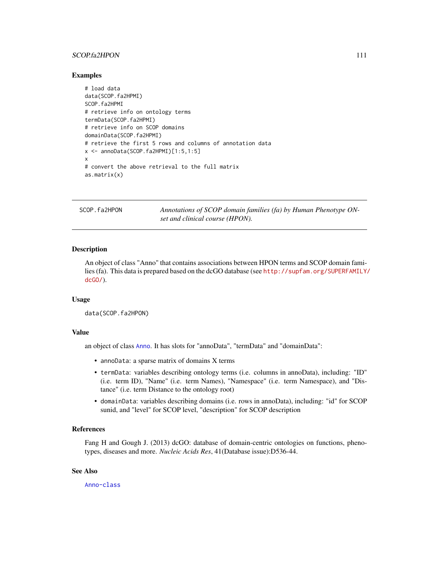# <span id="page-110-0"></span>SCOP.fa2HPON 111

#### Examples

```
# load data
data(SCOP.fa2HPMI)
SCOP.fa2HPMI
# retrieve info on ontology terms
termData(SCOP.fa2HPMI)
# retrieve info on SCOP domains
domainData(SCOP.fa2HPMI)
# retrieve the first 5 rows and columns of annotation data
x \le - annoData(SCOP.fa2HPMI)[1:5,1:5]
x
# convert the above retrieval to the full matrix
as.matrix(x)
```
SCOP.fa2HPON *Annotations of SCOP domain families (fa) by Human Phenotype ONset and clinical course (HPON).*

# **Description**

An object of class "Anno" that contains associations between HPON terms and SCOP domain families (fa). This data is prepared based on the dcGO database (see [http://supfam.org/SUPERFAMILY/](http://supfam.org/SUPERFAMILY/dcGO/) [dcGO/](http://supfam.org/SUPERFAMILY/dcGO/)).

#### Usage

```
data(SCOP.fa2HPON)
```
# Value

an object of class [Anno](#page-4-0). It has slots for "annoData", "termData" and "domainData":

- annoData: a sparse matrix of domains X terms
- termData: variables describing ontology terms (i.e. columns in annoData), including: "ID" (i.e. term ID), "Name" (i.e. term Names), "Namespace" (i.e. term Namespace), and "Distance" (i.e. term Distance to the ontology root)
- domainData: variables describing domains (i.e. rows in annoData), including: "id" for SCOP sunid, and "level" for SCOP level, "description" for SCOP description

# References

Fang H and Gough J. (2013) dcGO: database of domain-centric ontologies on functions, phenotypes, diseases and more. *Nucleic Acids Res*, 41(Database issue):D536-44.

# See Also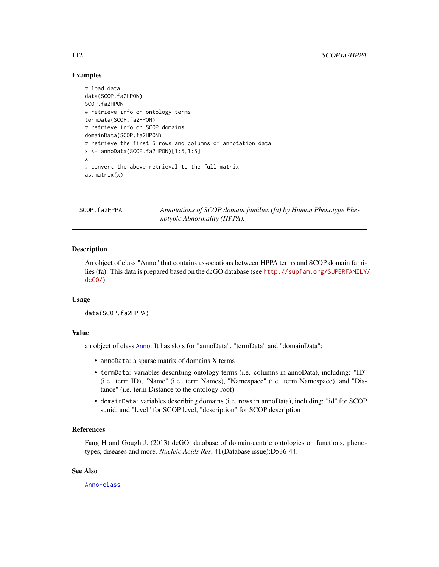```
# load data
data(SCOP.fa2HPON)
SCOP.fa2HPON
# retrieve info on ontology terms
termData(SCOP.fa2HPON)
# retrieve info on SCOP domains
domainData(SCOP.fa2HPON)
# retrieve the first 5 rows and columns of annotation data
x \le - annoData(SCOP.fa2HPON)[1:5,1:5]
x
# convert the above retrieval to the full matrix
as.matrix(x)
```
SCOP.fa2HPPA *Annotations of SCOP domain families (fa) by Human Phenotype Phenotypic Abnormality (HPPA).*

# **Description**

An object of class "Anno" that contains associations between HPPA terms and SCOP domain families (fa). This data is prepared based on the dcGO database (see [http://supfam.org/SUPERFAMILY/](http://supfam.org/SUPERFAMILY/dcGO/) [dcGO/](http://supfam.org/SUPERFAMILY/dcGO/)).

# Usage

```
data(SCOP.fa2HPPA)
```
# Value

an object of class [Anno](#page-4-0). It has slots for "annoData", "termData" and "domainData":

- annoData: a sparse matrix of domains X terms
- termData: variables describing ontology terms (i.e. columns in annoData), including: "ID" (i.e. term ID), "Name" (i.e. term Names), "Namespace" (i.e. term Namespace), and "Distance" (i.e. term Distance to the ontology root)
- domainData: variables describing domains (i.e. rows in annoData), including: "id" for SCOP sunid, and "level" for SCOP level, "description" for SCOP description

# References

Fang H and Gough J. (2013) dcGO: database of domain-centric ontologies on functions, phenotypes, diseases and more. *Nucleic Acids Res*, 41(Database issue):D536-44.

# See Also

<span id="page-111-0"></span>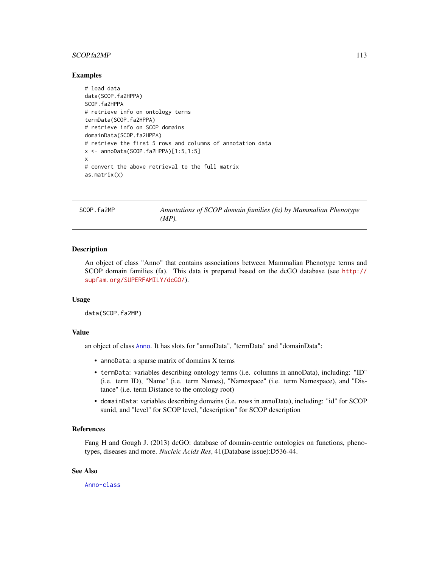# <span id="page-112-0"></span> $SCOPf a2MP$  113

#### Examples

```
# load data
data(SCOP.fa2HPPA)
SCOP.fa2HPPA
# retrieve info on ontology terms
termData(SCOP.fa2HPPA)
# retrieve info on SCOP domains
domainData(SCOP.fa2HPPA)
# retrieve the first 5 rows and columns of annotation data
x \le - annoData(SCOP.fa2HPPA)[1:5,1:5]
x
# convert the above retrieval to the full matrix
as.matrix(x)
```
SCOP.fa2MP *Annotations of SCOP domain families (fa) by Mammalian Phenotype (MP).*

# **Description**

An object of class "Anno" that contains associations between Mammalian Phenotype terms and SCOP domain families (fa). This data is prepared based on the dcGO database (see [http://](http://supfam.org/SUPERFAMILY/dcGO/) [supfam.org/SUPERFAMILY/dcGO/](http://supfam.org/SUPERFAMILY/dcGO/)).

#### Usage

```
data(SCOP.fa2MP)
```
# Value

an object of class [Anno](#page-4-0). It has slots for "annoData", "termData" and "domainData":

- annoData: a sparse matrix of domains X terms
- termData: variables describing ontology terms (i.e. columns in annoData), including: "ID" (i.e. term ID), "Name" (i.e. term Names), "Namespace" (i.e. term Namespace), and "Distance" (i.e. term Distance to the ontology root)
- domainData: variables describing domains (i.e. rows in annoData), including: "id" for SCOP sunid, and "level" for SCOP level, "description" for SCOP description

# References

Fang H and Gough J. (2013) dcGO: database of domain-centric ontologies on functions, phenotypes, diseases and more. *Nucleic Acids Res*, 41(Database issue):D536-44.

# See Also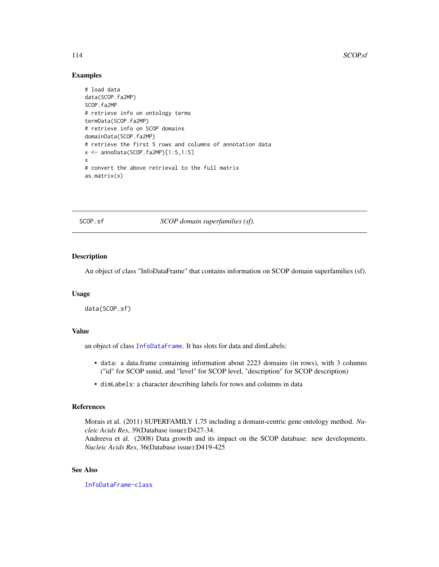```
# load data
data(SCOP.fa2MP)
SCOP.fa2MP
# retrieve info on ontology terms
termData(SCOP.fa2MP)
# retrieve info on SCOP domains
domainData(SCOP.fa2MP)
# retrieve the first 5 rows and columns of annotation data
x <- annoData(SCOP.fa2MP)[1:5,1:5]
x
# convert the above retrieval to the full matrix
as.matrix(x)
```
SCOP.sf *SCOP domain superfamilies (sf).*

# Description

An object of class "InfoDataFrame" that contains information on SCOP domain superfamilies (sf).

#### Usage

data(SCOP.sf)

# Value

an object of class [InfoDataFrame](#page-80-0). It has slots for data and dimLabels:

- data: a data.frame containing information about 2223 domains (in rows), with 3 columns ("id" for SCOP sunid, and "level" for SCOP level, "description" for SCOP description)
- dimLabels: a character describing labels for rows and columns in data

# References

Morais et al. (2011) SUPERFAMILY 1.75 including a domain-centric gene ontology method. *Nucleic Acids Res*, 39(Database issue):D427-34.

Andreeva et al. (2008) Data growth and its impact on the SCOP database: new developments. *Nucleic Acids Res*, 36(Database issue):D419-425

# See Also

[InfoDataFrame-class](#page-80-1)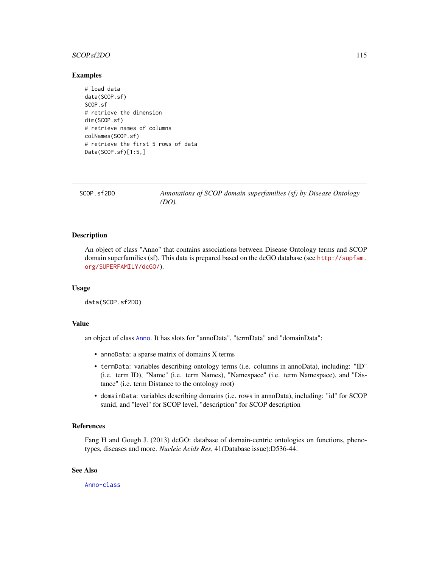#### <span id="page-114-0"></span>SCOP.sf2DO 115

#### Examples

```
# load data
data(SCOP.sf)
SCOP.sf
# retrieve the dimension
dim(SCOP.sf)
# retrieve names of columns
colNames(SCOP.sf)
# retrieve the first 5 rows of data
Data(SCOP.sf)[1:5,]
```

| SCOP.sf2DO | Annotations of SCOP domain superfamilies (sf) by Disease Ontology |
|------------|-------------------------------------------------------------------|
|            | $(DO)$ .                                                          |
|            |                                                                   |

# Description

An object of class "Anno" that contains associations between Disease Ontology terms and SCOP domain superfamilies (sf). This data is prepared based on the dcGO database (see [http://supfam.](http://supfam.org/SUPERFAMILY/dcGO/) [org/SUPERFAMILY/dcGO/](http://supfam.org/SUPERFAMILY/dcGO/)).

# Usage

data(SCOP.sf2DO)

# Value

an object of class [Anno](#page-4-0). It has slots for "annoData", "termData" and "domainData":

- annoData: a sparse matrix of domains X terms
- termData: variables describing ontology terms (i.e. columns in annoData), including: "ID" (i.e. term ID), "Name" (i.e. term Names), "Namespace" (i.e. term Namespace), and "Distance" (i.e. term Distance to the ontology root)
- domainData: variables describing domains (i.e. rows in annoData), including: "id" for SCOP sunid, and "level" for SCOP level, "description" for SCOP description

# References

Fang H and Gough J. (2013) dcGO: database of domain-centric ontologies on functions, phenotypes, diseases and more. *Nucleic Acids Res*, 41(Database issue):D536-44.

# See Also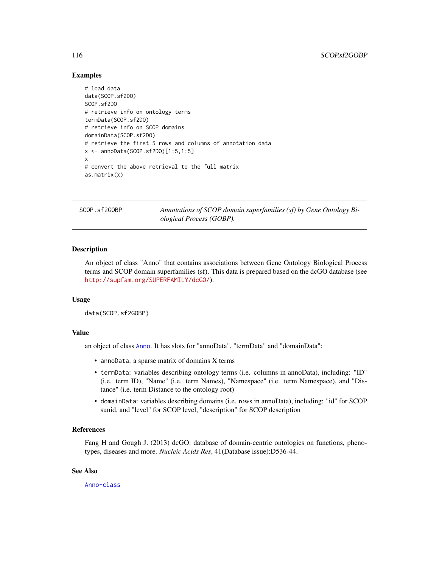```
# load data
data(SCOP.sf2DO)
SCOP.sf2DO
# retrieve info on ontology terms
termData(SCOP.sf2DO)
# retrieve info on SCOP domains
domainData(SCOP.sf2DO)
# retrieve the first 5 rows and columns of annotation data
x <- annoData(SCOP.sf2DO)[1:5,1:5]
x
# convert the above retrieval to the full matrix
as.matrix(x)
```
SCOP.sf2GOBP *Annotations of SCOP domain superfamilies (sf) by Gene Ontology Biological Process (GOBP).*

# **Description**

An object of class "Anno" that contains associations between Gene Ontology Biological Process terms and SCOP domain superfamilies (sf). This data is prepared based on the dcGO database (see <http://supfam.org/SUPERFAMILY/dcGO/>).

# Usage

```
data(SCOP.sf2GOBP)
```
# Value

an object of class [Anno](#page-4-0). It has slots for "annoData", "termData" and "domainData":

- annoData: a sparse matrix of domains X terms
- termData: variables describing ontology terms (i.e. columns in annoData), including: "ID" (i.e. term ID), "Name" (i.e. term Names), "Namespace" (i.e. term Namespace), and "Distance" (i.e. term Distance to the ontology root)
- domainData: variables describing domains (i.e. rows in annoData), including: "id" for SCOP sunid, and "level" for SCOP level, "description" for SCOP description

# References

Fang H and Gough J. (2013) dcGO: database of domain-centric ontologies on functions, phenotypes, diseases and more. *Nucleic Acids Res*, 41(Database issue):D536-44.

# See Also

<span id="page-115-0"></span>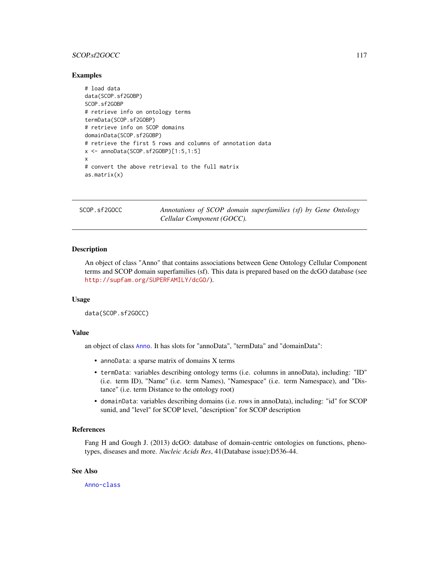# <span id="page-116-0"></span>SCOP.sf2GOCC 117

# Examples

```
# load data
data(SCOP.sf2GOBP)
SCOP.sf2GOBP
# retrieve info on ontology terms
termData(SCOP.sf2GOBP)
# retrieve info on SCOP domains
domainData(SCOP.sf2GOBP)
# retrieve the first 5 rows and columns of annotation data
x <- annoData(SCOP.sf2GOBP)[1:5,1:5]
x
# convert the above retrieval to the full matrix
as.matrix(x)
```
SCOP.sf2GOCC *Annotations of SCOP domain superfamilies (sf) by Gene Ontology Cellular Component (GOCC).*

# **Description**

An object of class "Anno" that contains associations between Gene Ontology Cellular Component terms and SCOP domain superfamilies (sf). This data is prepared based on the dcGO database (see <http://supfam.org/SUPERFAMILY/dcGO/>).

# Usage

```
data(SCOP.sf2GOCC)
```
# Value

an object of class [Anno](#page-4-0). It has slots for "annoData", "termData" and "domainData":

- annoData: a sparse matrix of domains X terms
- termData: variables describing ontology terms (i.e. columns in annoData), including: "ID" (i.e. term ID), "Name" (i.e. term Names), "Namespace" (i.e. term Namespace), and "Distance" (i.e. term Distance to the ontology root)
- domainData: variables describing domains (i.e. rows in annoData), including: "id" for SCOP sunid, and "level" for SCOP level, "description" for SCOP description

# References

Fang H and Gough J. (2013) dcGO: database of domain-centric ontologies on functions, phenotypes, diseases and more. *Nucleic Acids Res*, 41(Database issue):D536-44.

# See Also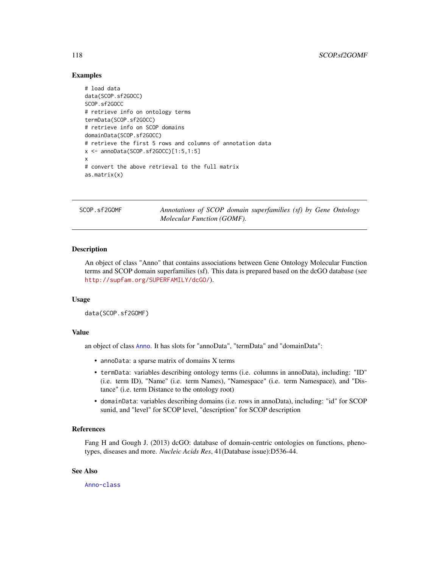```
# load data
data(SCOP.sf2GOCC)
SCOP.sf2GOCC
# retrieve info on ontology terms
termData(SCOP.sf2GOCC)
# retrieve info on SCOP domains
domainData(SCOP.sf2GOCC)
# retrieve the first 5 rows and columns of annotation data
x <- annoData(SCOP.sf2GOCC)[1:5,1:5]
x
# convert the above retrieval to the full matrix
as.matrix(x)
```
SCOP.sf2GOMF *Annotations of SCOP domain superfamilies (sf) by Gene Ontology Molecular Function (GOMF).*

# **Description**

An object of class "Anno" that contains associations between Gene Ontology Molecular Function terms and SCOP domain superfamilies (sf). This data is prepared based on the dcGO database (see <http://supfam.org/SUPERFAMILY/dcGO/>).

# Usage

```
data(SCOP.sf2GOMF)
```
# Value

an object of class [Anno](#page-4-0). It has slots for "annoData", "termData" and "domainData":

- annoData: a sparse matrix of domains X terms
- termData: variables describing ontology terms (i.e. columns in annoData), including: "ID" (i.e. term ID), "Name" (i.e. term Names), "Namespace" (i.e. term Namespace), and "Distance" (i.e. term Distance to the ontology root)
- domainData: variables describing domains (i.e. rows in annoData), including: "id" for SCOP sunid, and "level" for SCOP level, "description" for SCOP description

# References

Fang H and Gough J. (2013) dcGO: database of domain-centric ontologies on functions, phenotypes, diseases and more. *Nucleic Acids Res*, 41(Database issue):D536-44.

# See Also

<span id="page-117-0"></span>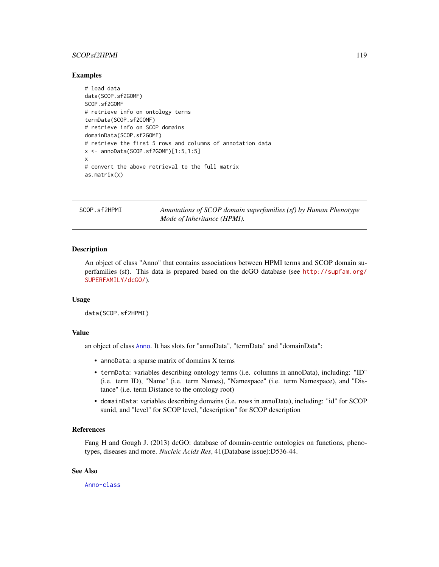# <span id="page-118-0"></span>SCOP.sf2HPMI 119

#### Examples

```
# load data
data(SCOP.sf2GOMF)
SCOP.sf2GOMF
# retrieve info on ontology terms
termData(SCOP.sf2GOMF)
# retrieve info on SCOP domains
domainData(SCOP.sf2GOMF)
# retrieve the first 5 rows and columns of annotation data
x <- annoData(SCOP.sf2GOMF)[1:5,1:5]
x
# convert the above retrieval to the full matrix
as.matrix(x)
```
SCOP.sf2HPMI *Annotations of SCOP domain superfamilies (sf) by Human Phenotype Mode of Inheritance (HPMI).*

# **Description**

An object of class "Anno" that contains associations between HPMI terms and SCOP domain superfamilies (sf). This data is prepared based on the dcGO database (see [http://supfam.org/](http://supfam.org/SUPERFAMILY/dcGO/) [SUPERFAMILY/dcGO/](http://supfam.org/SUPERFAMILY/dcGO/)).

#### Usage

```
data(SCOP.sf2HPMI)
```
# Value

an object of class [Anno](#page-4-0). It has slots for "annoData", "termData" and "domainData":

- annoData: a sparse matrix of domains X terms
- termData: variables describing ontology terms (i.e. columns in annoData), including: "ID" (i.e. term ID), "Name" (i.e. term Names), "Namespace" (i.e. term Namespace), and "Distance" (i.e. term Distance to the ontology root)
- domainData: variables describing domains (i.e. rows in annoData), including: "id" for SCOP sunid, and "level" for SCOP level, "description" for SCOP description

# References

Fang H and Gough J. (2013) dcGO: database of domain-centric ontologies on functions, phenotypes, diseases and more. *Nucleic Acids Res*, 41(Database issue):D536-44.

# See Also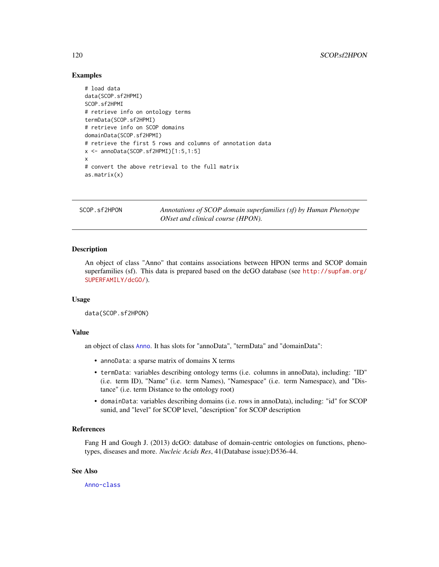```
# load data
data(SCOP.sf2HPMI)
SCOP.sf2HPMI
# retrieve info on ontology terms
termData(SCOP.sf2HPMI)
# retrieve info on SCOP domains
domainData(SCOP.sf2HPMI)
# retrieve the first 5 rows and columns of annotation data
x \le - annoData(SCOP.sf2HPMI)[1:5,1:5]
x
# convert the above retrieval to the full matrix
as.matrix(x)
```
SCOP.sf2HPON *Annotations of SCOP domain superfamilies (sf) by Human Phenotype ONset and clinical course (HPON).*

# **Description**

An object of class "Anno" that contains associations between HPON terms and SCOP domain superfamilies (sf). This data is prepared based on the dcGO database (see [http://supfam.org/](http://supfam.org/SUPERFAMILY/dcGO/) [SUPERFAMILY/dcGO/](http://supfam.org/SUPERFAMILY/dcGO/)).

# Usage

```
data(SCOP.sf2HPON)
```
# Value

an object of class [Anno](#page-4-0). It has slots for "annoData", "termData" and "domainData":

- annoData: a sparse matrix of domains X terms
- termData: variables describing ontology terms (i.e. columns in annoData), including: "ID" (i.e. term ID), "Name" (i.e. term Names), "Namespace" (i.e. term Namespace), and "Distance" (i.e. term Distance to the ontology root)
- domainData: variables describing domains (i.e. rows in annoData), including: "id" for SCOP sunid, and "level" for SCOP level, "description" for SCOP description

# References

Fang H and Gough J. (2013) dcGO: database of domain-centric ontologies on functions, phenotypes, diseases and more. *Nucleic Acids Res*, 41(Database issue):D536-44.

# See Also

<span id="page-119-0"></span>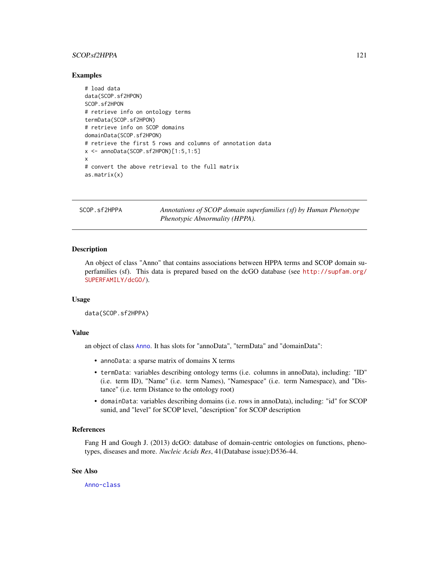# <span id="page-120-0"></span>SCOP.sf2HPPA 121

# Examples

```
# load data
data(SCOP.sf2HPON)
SCOP.sf2HPON
# retrieve info on ontology terms
termData(SCOP.sf2HPON)
# retrieve info on SCOP domains
domainData(SCOP.sf2HPON)
# retrieve the first 5 rows and columns of annotation data
x \le - annoData(SCOP.sf2HPON)[1:5,1:5]
x
# convert the above retrieval to the full matrix
as.matrix(x)
```
SCOP.sf2HPPA *Annotations of SCOP domain superfamilies (sf) by Human Phenotype Phenotypic Abnormality (HPPA).*

# **Description**

An object of class "Anno" that contains associations between HPPA terms and SCOP domain superfamilies (sf). This data is prepared based on the dcGO database (see [http://supfam.org/](http://supfam.org/SUPERFAMILY/dcGO/) [SUPERFAMILY/dcGO/](http://supfam.org/SUPERFAMILY/dcGO/)).

#### Usage

```
data(SCOP.sf2HPPA)
```
# Value

an object of class [Anno](#page-4-0). It has slots for "annoData", "termData" and "domainData":

- annoData: a sparse matrix of domains X terms
- termData: variables describing ontology terms (i.e. columns in annoData), including: "ID" (i.e. term ID), "Name" (i.e. term Names), "Namespace" (i.e. term Namespace), and "Distance" (i.e. term Distance to the ontology root)
- domainData: variables describing domains (i.e. rows in annoData), including: "id" for SCOP sunid, and "level" for SCOP level, "description" for SCOP description

# References

Fang H and Gough J. (2013) dcGO: database of domain-centric ontologies on functions, phenotypes, diseases and more. *Nucleic Acids Res*, 41(Database issue):D536-44.

# See Also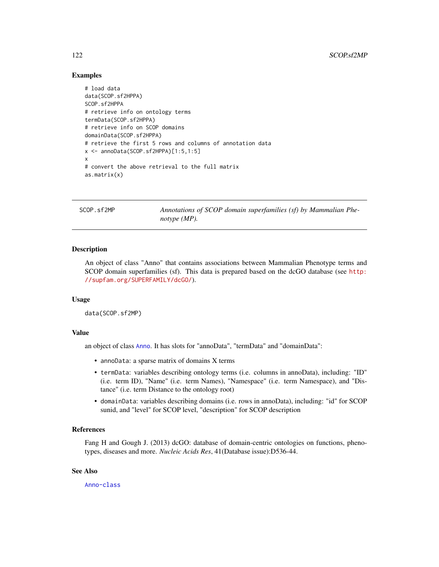```
# load data
data(SCOP.sf2HPPA)
SCOP.sf2HPPA
# retrieve info on ontology terms
termData(SCOP.sf2HPPA)
# retrieve info on SCOP domains
domainData(SCOP.sf2HPPA)
# retrieve the first 5 rows and columns of annotation data
x \le - annoData(SCOP.sf2HPPA)[1:5,1:5]
x
# convert the above retrieval to the full matrix
as.matrix(x)
```
SCOP.sf2MP *Annotations of SCOP domain superfamilies (sf) by Mammalian Phenotype (MP).*

# **Description**

An object of class "Anno" that contains associations between Mammalian Phenotype terms and SCOP domain superfamilies (sf). This data is prepared based on the dcGO database (see [http:](http://supfam.org/SUPERFAMILY/dcGO/) [//supfam.org/SUPERFAMILY/dcGO/](http://supfam.org/SUPERFAMILY/dcGO/)).

# Usage

```
data(SCOP.sf2MP)
```
#### Value

an object of class [Anno](#page-4-0). It has slots for "annoData", "termData" and "domainData":

- annoData: a sparse matrix of domains X terms
- termData: variables describing ontology terms (i.e. columns in annoData), including: "ID" (i.e. term ID), "Name" (i.e. term Names), "Namespace" (i.e. term Namespace), and "Distance" (i.e. term Distance to the ontology root)
- domainData: variables describing domains (i.e. rows in annoData), including: "id" for SCOP sunid, and "level" for SCOP level, "description" for SCOP description

# References

Fang H and Gough J. (2013) dcGO: database of domain-centric ontologies on functions, phenotypes, diseases and more. *Nucleic Acids Res*, 41(Database issue):D536-44.

# See Also

<span id="page-121-0"></span>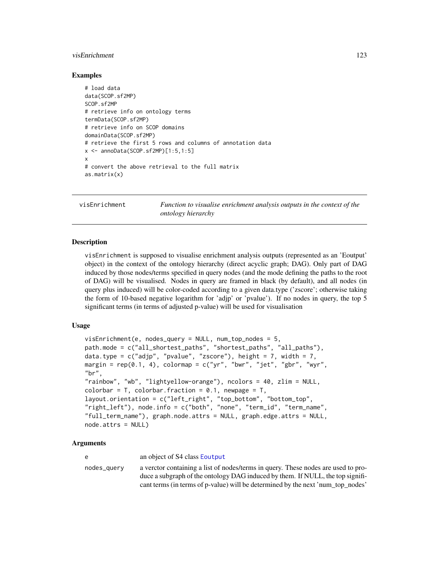#### <span id="page-122-0"></span>visEnrichment 123

# Examples

```
# load data
data(SCOP.sf2MP)
SCOP.sf2MP
# retrieve info on ontology terms
termData(SCOP.sf2MP)
# retrieve info on SCOP domains
domainData(SCOP.sf2MP)
# retrieve the first 5 rows and columns of annotation data
x <- annoData(SCOP.sf2MP)[1:5,1:5]
x
# convert the above retrieval to the full matrix
as.matrix(x)
```
visEnrichment *Function to visualise enrichment analysis outputs in the context of the ontology hierarchy*

# **Description**

visEnrichment is supposed to visualise enrichment analysis outputs (represented as an 'Eoutput' object) in the context of the ontology hierarchy (direct acyclic graph; DAG). Only part of DAG induced by those nodes/terms specified in query nodes (and the mode defining the paths to the root of DAG) will be visualised. Nodes in query are framed in black (by default), and all nodes (in query plus induced) will be color-coded according to a given data.type ('zscore'; otherwise taking the form of 10-based negative logarithm for 'adjp' or 'pvalue'). If no nodes in query, the top 5 significant terms (in terms of adjusted p-value) will be used for visualisation

#### Usage

```
visEnrichment(e, nodes_query = NULL, num_top_nodes = 5,
path.mode = c("all_shortest_paths", "shortest_paths", "all_paths"),
data.type = c("adjp", "pvalue", "zscore"), height = 7, width = 7,margin = rep(0.1, 4), colormap = c("yr", "bwr", "jet", "gbr", "wyr","br",
"rainbow", "wb", "lightyellow-orange"), ncolors = 40, zlim = NULL,
colorbar = T, colorbar.fraction = 0.1, newpage = T,
layout.orientation = c("left_right", "top_bottom", "bottom_top",
"right_left"), node.info = c("both", "none", "term_id", "term_name",
"full_term_name"), graph.node.attrs = NULL, graph.edge.attrs = NULL,
node.attrs = NULL)
```
#### Arguments

e an object of S4 class [Eoutput](#page-75-0)

nodes\_query a verctor containing a list of nodes/terms in query. These nodes are used to produce a subgraph of the ontology DAG induced by them. If NULL, the top significant terms (in terms of p-value) will be determined by the next 'num\_top\_nodes'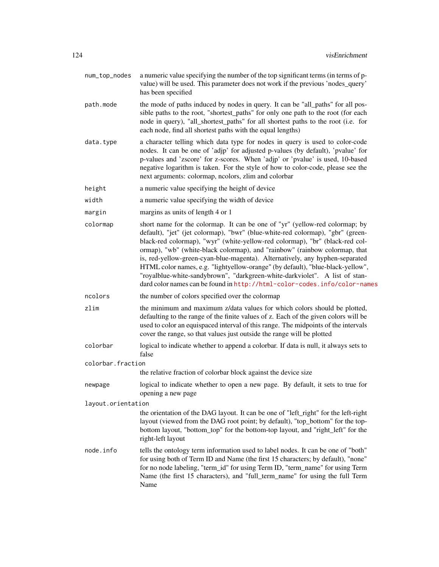- num\_top\_nodes a numeric value specifying the number of the top significant terms (in terms of pvalue) will be used. This parameter does not work if the previous 'nodes\_query' has been specified
- path.mode the mode of paths induced by nodes in query. It can be "all\_paths" for all possible paths to the root, "shortest\_paths" for only one path to the root (for each node in query), "all\_shortest\_paths" for all shortest paths to the root (i.e. for each node, find all shortest paths with the equal lengths)
- data.type a character telling which data type for nodes in query is used to color-code nodes. It can be one of 'adjp' for adjusted p-values (by default), 'pvalue' for p-values and 'zscore' for z-scores. When 'adjp' or 'pvalue' is used, 10-based negative logarithm is taken. For the style of how to color-code, please see the next arguments: colormap, ncolors, zlim and colorbar
- height a numeric value specifying the height of device
- width a numeric value specifying the width of device
- margin margins as units of length 4 or 1
- colormap short name for the colormap. It can be one of "yr" (yellow-red colormap; by default), "jet" (jet colormap), "bwr" (blue-white-red colormap), "gbr" (greenblack-red colormap), "wyr" (white-yellow-red colormap), "br" (black-red colormap), "wb" (white-black colormap), and "rainbow" (rainbow colormap, that is, red-yellow-green-cyan-blue-magenta). Alternatively, any hyphen-separated HTML color names, e.g. "lightyellow-orange" (by default), "blue-black-yellow", "royalblue-white-sandybrown", "darkgreen-white-darkviolet". A list of standard color names can be found in <http://html-color-codes.info/color-names>
- ncolors the number of colors specified over the colormap
- zlim the minimum and maximum z/data values for which colors should be plotted, defaulting to the range of the finite values of z. Each of the given colors will be used to color an equispaced interval of this range. The midpoints of the intervals cover the range, so that values just outside the range will be plotted
- colorbar logical to indicate whether to append a colorbar. If data is null, it always sets to false

colorbar.fraction

- the relative fraction of colorbar block against the device size
- newpage logical to indicate whether to open a new page. By default, it sets to true for opening a new page

layout.orientation

the orientation of the DAG layout. It can be one of "left\_right" for the left-right layout (viewed from the DAG root point; by default), "top\_bottom" for the topbottom layout, "bottom\_top" for the bottom-top layout, and "right\_left" for the right-left layout

node.info tells the ontology term information used to label nodes. It can be one of "both" for using both of Term ID and Name (the first 15 characters; by default), "none" for no node labeling, "term\_id" for using Term ID, "term\_name" for using Term Name (the first 15 characters), and "full\_term\_name" for using the full Term Name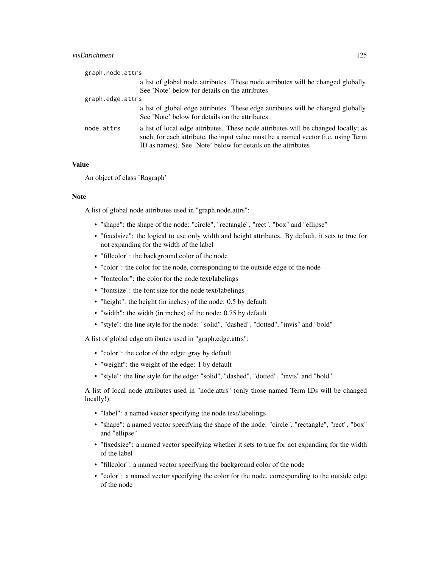# visEnrichment 125

| graph.node.attrs |                                                                                                                                                                                                                                         |
|------------------|-----------------------------------------------------------------------------------------------------------------------------------------------------------------------------------------------------------------------------------------|
|                  | a list of global node attributes. These node attributes will be changed globally.<br>See 'Note' below for details on the attributes                                                                                                     |
| graph.edge.attrs |                                                                                                                                                                                                                                         |
|                  | a list of global edge attributes. These edge attributes will be changed globally.<br>See 'Note' below for details on the attributes                                                                                                     |
| node.attrs       | a list of local edge attributes. These node attributes will be changed locally; as<br>such, for each attribute, the input value must be a named vector (i.e. using Term<br>ID as names). See 'Note' below for details on the attributes |

# Value

An object of class 'Ragraph'

# Note

A list of global node attributes used in "graph.node.attrs":

- "shape": the shape of the node: "circle", "rectangle", "rect", "box" and "ellipse"
- "fixedsize": the logical to use only width and height attributes. By default, it sets to true for not expanding for the width of the label
- "fillcolor": the background color of the node
- "color": the color for the node, corresponding to the outside edge of the node
- "fontcolor": the color for the node text/labelings
- "fontsize": the font size for the node text/labelings
- "height": the height (in inches) of the node: 0.5 by default
- "width": the width (in inches) of the node: 0.75 by default
- "style": the line style for the node: "solid", "dashed", "dotted", "invis" and "bold"

A list of global edge attributes used in "graph.edge.attrs":

- "color": the color of the edge: gray by default
- "weight": the weight of the edge: 1 by default
- "style": the line style for the edge: "solid", "dashed", "dotted", "invis" and "bold"

A list of local node attributes used in "node.attrs" (only those named Term IDs will be changed locally!):

- "label": a named vector specifying the node text/labelings
- "shape": a named vector specifying the shape of the node: "circle", "rectangle", "rect", "box" and "ellipse"
- "fixedsize": a named vector specifying whether it sets to true for not expanding for the width of the label
- "fillcolor": a named vector specifying the background color of the node
- "color": a named vector specifying the color for the node, corresponding to the outside edge of the node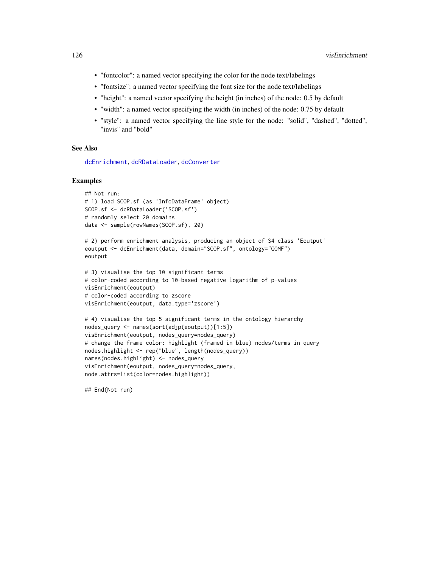- <span id="page-125-0"></span>• "fontcolor": a named vector specifying the color for the node text/labelings
- "fontsize": a named vector specifying the font size for the node text/labelings
- "height": a named vector specifying the height (in inches) of the node: 0.5 by default
- "width": a named vector specifying the width (in inches) of the node: 0.75 by default
- "style": a named vector specifying the line style for the node: "solid", "dashed", "dotted", "invis" and "bold"

#### See Also

[dcEnrichment](#page-47-0), [dcRDataLoader](#page-57-0), [dcConverter](#page-38-0)

#### Examples

```
## Not run:
# 1) load SCOP.sf (as 'InfoDataFrame' object)
SCOP.sf <- dcRDataLoader('SCOP.sf')
# randomly select 20 domains
data <- sample(rowNames(SCOP.sf), 20)
```

```
# 2) perform enrichment analysis, producing an object of S4 class 'Eoutput'
eoutput <- dcEnrichment(data, domain="SCOP.sf", ontology="GOMF")
eoutput
```

```
# 3) visualise the top 10 significant terms
# color-coded according to 10-based negative logarithm of p-values
visEnrichment(eoutput)
# color-coded according to zscore
visEnrichment(eoutput, data.type='zscore')
```

```
# 4) visualise the top 5 significant terms in the ontology hierarchy
nodes_query <- names(sort(adjp(eoutput))[1:5])
visEnrichment(eoutput, nodes_query=nodes_query)
# change the frame color: highlight (framed in blue) nodes/terms in query
nodes.highlight <- rep("blue", length(nodes_query))
names(nodes.highlight) <- nodes_query
visEnrichment(eoutput, nodes_query=nodes_query,
node.attrs=list(color=nodes.highlight))
```
## End(Not run)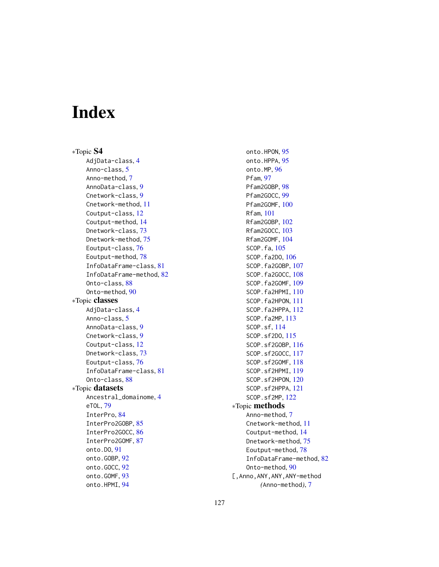# Index

∗Topic S4 AdjData-class, [4](#page-3-0) Anno-class, [5](#page-4-2) Anno-method, [7](#page-6-0) AnnoData-class, [9](#page-8-0) Cnetwork-class, [9](#page-8-0) Cnetwork-method, [11](#page-10-0) Coutput-class, [12](#page-11-0) Coutput-method, [14](#page-13-0) Dnetwork-class, [73](#page-72-0) Dnetwork-method, [75](#page-74-0) Eoutput-class, [76](#page-75-1) Eoutput-method, [78](#page-77-0) InfoDataFrame-class, [81](#page-80-2) InfoDataFrame-method, [82](#page-81-0) Onto-class, [88](#page-87-0) Onto-method, [90](#page-89-0) ∗Topic classes AdjData-class, [4](#page-3-0) Anno-class, [5](#page-4-2) AnnoData-class, [9](#page-8-0) Cnetwork-class, [9](#page-8-0) Coutput-class, [12](#page-11-0) Dnetwork-class, [73](#page-72-0) Eoutput-class, [76](#page-75-1) InfoDataFrame-class, [81](#page-80-2) Onto-class, [88](#page-87-0) ∗Topic datasets Ancestral\_domainome, [4](#page-3-0) eTOL, [79](#page-78-0) InterPro, [84](#page-83-0) InterPro2GOBP, [85](#page-84-0) InterPro2GOCC, [86](#page-85-0) InterPro2GOMF, [87](#page-86-0) onto.DO, [91](#page-90-0) onto.GOBP, [92](#page-91-0) onto.GOCC, [92](#page-91-0) onto.GOMF, [93](#page-92-0) onto.HPMI, [94](#page-93-0)

onto.HPON, [95](#page-94-0) onto.HPPA, [95](#page-94-0) onto.MP, [96](#page-95-0) Pfam, [97](#page-96-0) Pfam2GOBP, [98](#page-97-0) Pfam2GOCC, [99](#page-98-0) Pfam2GOMF, [100](#page-99-0) Rfam, [101](#page-100-0) Rfam2GOBP, [102](#page-101-0) Rfam2GOCC, [103](#page-102-0) Rfam2GOMF, [104](#page-103-0) SCOP.fa, [105](#page-104-0) SCOP.fa2DO, [106](#page-105-0) SCOP.fa2GOBP, [107](#page-106-0) SCOP.fa2GOCC, [108](#page-107-0) SCOP.fa2GOMF, [109](#page-108-0) SCOP.fa2HPMI, [110](#page-109-0) SCOP.fa2HPON, [111](#page-110-0) SCOP.fa2HPPA, [112](#page-111-0) SCOP.fa2MP, [113](#page-112-0) SCOP.sf, [114](#page-113-0) SCOP.sf2DO, [115](#page-114-0) SCOP.sf2GOBP, [116](#page-115-0) SCOP.sf2GOCC, [117](#page-116-0) SCOP.sf2GOMF, [118](#page-117-0) SCOP.sf2HPMI, [119](#page-118-0) SCOP.sf2HPON, [120](#page-119-0) SCOP.sf2HPPA, [121](#page-120-0) SCOP.sf2MP, [122](#page-121-0) ∗Topic methods Anno-method, [7](#page-6-0) Cnetwork-method, [11](#page-10-0) Coutput-method, [14](#page-13-0) Dnetwork-method, [75](#page-74-0) Eoutput-method, [78](#page-77-0) InfoDataFrame-method, [82](#page-81-0) Onto-method, [90](#page-89-0) [,Anno,ANY,ANY,ANY-method *(*Anno-method*)*, [7](#page-6-0)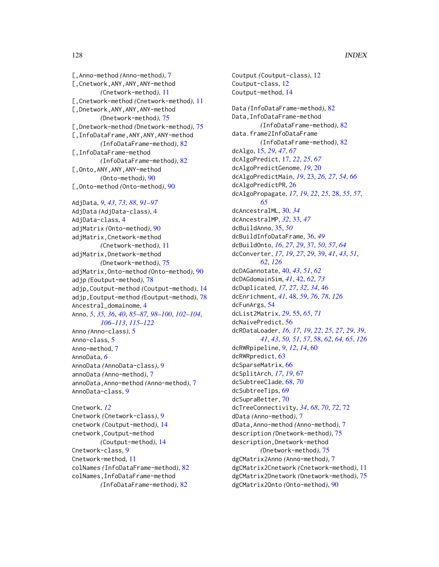[,Anno-method *(*Anno-method*)*, [7](#page-6-0) [,Cnetwork,ANY,ANY,ANY-method *(*Cnetwork-method*)*, [11](#page-10-0) [,Cnetwork-method *(*Cnetwork-method*)*, [11](#page-10-0) [,Dnetwork,ANY,ANY,ANY-method *(*Dnetwork-method*)*, [75](#page-74-0) [,Dnetwork-method *(*Dnetwork-method*)*, [75](#page-74-0) [,InfoDataFrame,ANY,ANY,ANY-method *(*InfoDataFrame-method*)*, [82](#page-81-0) [,InfoDataFrame-method *(*InfoDataFrame-method*)*, [82](#page-81-0) [,Onto,ANY,ANY,ANY-method *(*Onto-method*)*, [90](#page-89-0) [,Onto-method *(*Onto-method*)*, [90](#page-89-0) AdjData, *[9](#page-8-0)*, *[43](#page-42-0)*, *[73](#page-72-0)*, *[88](#page-87-0)*, *[91–](#page-90-0)[97](#page-96-0)* AdjData *(*AdjData-class*)*, [4](#page-3-0) AdjData-class, [4](#page-3-0) adjMatrix *(*Onto-method*)*, [90](#page-89-0) adjMatrix,Cnetwork-method *(*Cnetwork-method*)*, [11](#page-10-0) adjMatrix,Dnetwork-method *(*Dnetwork-method*)*, [75](#page-74-0) adjMatrix,Onto-method *(*Onto-method*)*, [90](#page-89-0) adjp *(*Eoutput-method*)*, [78](#page-77-0) adjp,Coutput-method *(*Coutput-method*)*, [14](#page-13-0) adjp,Eoutput-method *(*Eoutput-method*)*, [78](#page-77-0) Ancestral\_domainome, [4](#page-3-0) Anno, *[5](#page-4-2)*, *[35,](#page-34-0) [36](#page-35-0)*, *[40](#page-39-0)*, *[85](#page-84-0)[–87](#page-86-0)*, *[98–](#page-97-0)[100](#page-99-0)*, *[102–](#page-101-0)[104](#page-103-0)*, *[106](#page-105-0)[–113](#page-112-0)*, *[115–](#page-114-0)[122](#page-121-0)* Anno *(*Anno-class*)*, [5](#page-4-2) Anno-class, [5](#page-4-2) Anno-method, [7](#page-6-0) AnnoData, *[6](#page-5-0)* AnnoData *(*AnnoData-class*)*, [9](#page-8-0) annoData *(*Anno-method*)*, [7](#page-6-0) annoData,Anno-method *(*Anno-method*)*, [7](#page-6-0) AnnoData-class, [9](#page-8-0) Cnetwork, *[12](#page-11-0)* Cnetwork *(*Cnetwork-class*)*, [9](#page-8-0) cnetwork *(*Coutput-method*)*, [14](#page-13-0)

```
cnetwork,Coutput-method
        (Coutput-method), 14
Cnetwork-class, 9
Cnetwork-method, 11
colNames (InfoDataFrame-method), 82
colNames,InfoDataFrame-method
        (InfoDataFrame-method), 82
```
Coutput *(*Coutput-class*)*, [12](#page-11-0) Coutput-class, [12](#page-11-0) Coutput-method, [14](#page-13-0) Data *(*InfoDataFrame-method*)*, [82](#page-81-0) Data,InfoDataFrame-method *(*InfoDataFrame-method*)*, [82](#page-81-0) data.frame2InfoDataFrame *(*InfoDataFrame-method*)*, [82](#page-81-0) dcAlgo, [15,](#page-14-0) *[29](#page-28-0)*, *[47](#page-46-0)*, *[67](#page-66-0)* dcAlgoPredict, [17,](#page-16-0) *[22](#page-21-0)*, *[25](#page-24-0)*, *[67](#page-66-0)* dcAlgoPredictGenome, *[19](#page-18-0)*, [20](#page-19-0) dcAlgoPredictMain, *[19](#page-18-0)*, [23,](#page-22-0) *[26,](#page-25-0) [27](#page-26-0)*, *[54](#page-53-0)*, *[66](#page-65-0)* dcAlgoPredictPR, [26](#page-25-0) dcAlgoPropagate, *[17](#page-16-0)*, *[19](#page-18-0)*, *[22](#page-21-0)*, *[25](#page-24-0)*, [28,](#page-27-0) *[55](#page-54-0)*, *[57](#page-56-0)*, *[65](#page-64-0)* dcAncestralML, [30,](#page-29-0) *[34](#page-33-0)* dcAncestralMP, *[32](#page-31-0)*, [33,](#page-32-0) *[47](#page-46-0)* dcBuildAnno, [35,](#page-34-0) *[50](#page-49-0)* dcBuildInfoDataFrame, [36,](#page-35-0) *[49](#page-48-0)* dcBuildOnto, *[16](#page-15-0)*, *[27](#page-26-0)*, *[29](#page-28-0)*, [37,](#page-36-0) *[50](#page-49-0)*, *[57](#page-56-0)*, *[64](#page-63-0)* dcConverter, *[17](#page-16-0)*, *[19](#page-18-0)*, *[27](#page-26-0)*, *[29](#page-28-0)*, [39,](#page-38-1) *[41](#page-40-0)*, *[43](#page-42-0)*, *[51](#page-50-0)*, *[62](#page-61-0)*, *[126](#page-125-0)* dcDAGannotate, [40,](#page-39-0) *[43](#page-42-0)*, *[51](#page-50-0)*, *[62](#page-61-0)* dcDAGdomainSim, *[41](#page-40-0)*, [42,](#page-41-0) *[62](#page-61-0)*, *[73](#page-72-0)* dcDuplicated, *[17](#page-16-0)*, *[27](#page-26-0)*, *[32](#page-31-0)*, *[34](#page-33-0)*, [46](#page-45-0) dcEnrichment, *[41](#page-40-0)*, [48,](#page-47-1) *[59](#page-58-0)*, *[76](#page-75-1)*, *[78](#page-77-0)*, *[126](#page-125-0)* dcFunArgs, [54](#page-53-0) dcList2Matrix, *[29](#page-28-0)*, [55,](#page-54-0) *[65](#page-64-0)*, *[71](#page-70-0)* dcNaivePredict, [56](#page-55-0) dcRDataLoader, *[16,](#page-15-0) [17](#page-16-0)*, *[19](#page-18-0)*, *[22](#page-21-0)*, *[25](#page-24-0)*, *[27](#page-26-0)*, *[29](#page-28-0)*, *[39](#page-38-1)*, *[41](#page-40-0)*, *[43](#page-42-0)*, *[50,](#page-49-0) [51](#page-50-0)*, *[57](#page-56-0)*, [58,](#page-57-1) *[62](#page-61-0)*, *[64,](#page-63-0) [65](#page-64-0)*, *[126](#page-125-0)* dcRWRpipeline, *[9](#page-8-0)*, *[12](#page-11-0)*, *[14](#page-13-0)*, [60](#page-59-0) dcRWRpredict, [63](#page-62-0) dcSparseMatrix, [66](#page-65-0) dcSplitArch, *[17](#page-16-0)*, *[19](#page-18-0)*, [67](#page-66-0) dcSubtreeClade, [68,](#page-67-0) *[70](#page-69-0)* dcSubtreeTips, [69](#page-68-0) dcSupraBetter, [70](#page-69-0) dcTreeConnectivity, *[34](#page-33-0)*, *[68](#page-67-0)*, *[70](#page-69-0)*, *[72](#page-71-0)*, [72](#page-71-0) dData *(*Anno-method*)*, [7](#page-6-0) dData,Anno-method *(*Anno-method*)*, [7](#page-6-0) description *(*Dnetwork-method*)*, [75](#page-74-0) description,Dnetwork-method *(*Dnetwork-method*)*, [75](#page-74-0) dgCMatrix2Anno *(*Anno-method*)*, [7](#page-6-0) dgCMatrix2Cnetwork *(*Cnetwork-method*)*, [11](#page-10-0) dgCMatrix2Dnetwork *(*Dnetwork-method*)*, [75](#page-74-0) dgCMatrix2Onto *(*Onto-method*)*, [90](#page-89-0)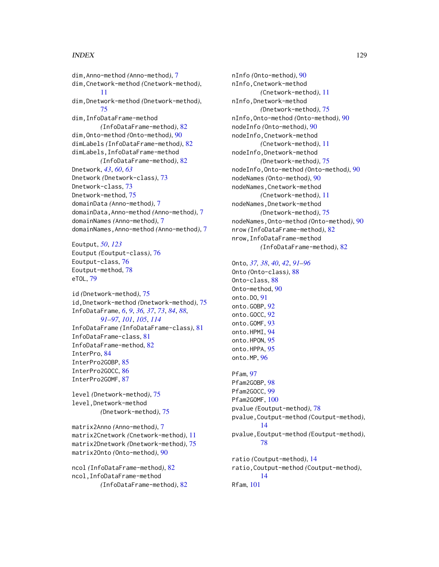# INDEX 229

dim,Anno-method *(*Anno-method*)*, [7](#page-6-0) dim,Cnetwork-method *(*Cnetwork-method*)*, [11](#page-10-0) dim,Dnetwork-method *(*Dnetwork-method*)*, [75](#page-74-0) dim,InfoDataFrame-method *(*InfoDataFrame-method*)*, [82](#page-81-0) dim,Onto-method *(*Onto-method*)*, [90](#page-89-0) dimLabels *(*InfoDataFrame-method*)*, [82](#page-81-0) dimLabels,InfoDataFrame-method *(*InfoDataFrame-method*)*, [82](#page-81-0) Dnetwork, *[43](#page-42-0)*, *[60](#page-59-0)*, *[63](#page-62-0)* Dnetwork *(*Dnetwork-class*)*, [73](#page-72-0) Dnetwork-class, [73](#page-72-0) Dnetwork-method, [75](#page-74-0) domainData *(*Anno-method*)*, [7](#page-6-0) domainData,Anno-method *(*Anno-method*)*, [7](#page-6-0) domainNames *(*Anno-method*)*, [7](#page-6-0) domainNames,Anno-method *(*Anno-method*)*, [7](#page-6-0)

Eoutput, *[50](#page-49-0)*, *[123](#page-122-0)* Eoutput *(*Eoutput-class*)*, [76](#page-75-1) Eoutput-class, [76](#page-75-1) Eoutput-method, [78](#page-77-0) eTOL, [79](#page-78-0)

id *(*Dnetwork-method*)*, [75](#page-74-0) id,Dnetwork-method *(*Dnetwork-method*)*, [75](#page-74-0) InfoDataFrame, *[6](#page-5-0)*, *[9](#page-8-0)*, *[36,](#page-35-0) [37](#page-36-0)*, *[73](#page-72-0)*, *[84](#page-83-0)*, *[88](#page-87-0)*, *[91](#page-90-0)[–97](#page-96-0)*, *[101](#page-100-0)*, *[105](#page-104-0)*, *[114](#page-113-0)* InfoDataFrame *(*InfoDataFrame-class*)*, [81](#page-80-2) InfoDataFrame-class, [81](#page-80-2) InfoDataFrame-method, [82](#page-81-0) InterPro, [84](#page-83-0) InterPro2GOBP, [85](#page-84-0) InterPro2GOCC, [86](#page-85-0) InterPro2GOMF, [87](#page-86-0)

level *(*Dnetwork-method*)*, [75](#page-74-0) level,Dnetwork-method *(*Dnetwork-method*)*, [75](#page-74-0)

matrix2Anno *(*Anno-method*)*, [7](#page-6-0) matrix2Cnetwork *(*Cnetwork-method*)*, [11](#page-10-0) matrix2Dnetwork *(*Dnetwork-method*)*, [75](#page-74-0) matrix2Onto *(*Onto-method*)*, [90](#page-89-0)

ncol *(*InfoDataFrame-method*)*, [82](#page-81-0) ncol,InfoDataFrame-method *(*InfoDataFrame-method*)*, [82](#page-81-0) nInfo *(*Onto-method*)*, [90](#page-89-0) nInfo,Cnetwork-method *(*Cnetwork-method*)*, [11](#page-10-0) nInfo,Dnetwork-method *(*Dnetwork-method*)*, [75](#page-74-0) nInfo,Onto-method *(*Onto-method*)*, [90](#page-89-0) nodeInfo *(*Onto-method*)*, [90](#page-89-0) nodeInfo,Cnetwork-method *(*Cnetwork-method*)*, [11](#page-10-0) nodeInfo,Dnetwork-method *(*Dnetwork-method*)*, [75](#page-74-0) nodeInfo,Onto-method *(*Onto-method*)*, [90](#page-89-0) nodeNames *(*Onto-method*)*, [90](#page-89-0) nodeNames,Cnetwork-method *(*Cnetwork-method*)*, [11](#page-10-0) nodeNames,Dnetwork-method *(*Dnetwork-method*)*, [75](#page-74-0) nodeNames,Onto-method *(*Onto-method*)*, [90](#page-89-0) nrow *(*InfoDataFrame-method*)*, [82](#page-81-0) nrow,InfoDataFrame-method *(*InfoDataFrame-method*)*, [82](#page-81-0)

#### Onto, *[37,](#page-36-0) [38](#page-37-0)*, *[40](#page-39-0)*, *[42](#page-41-0)*, *[91](#page-90-0)[–96](#page-95-0)*

Onto *(*Onto-class*)*, [88](#page-87-0) Onto-class, [88](#page-87-0) Onto-method, [90](#page-89-0) onto.DO, [91](#page-90-0) onto.GOBP, [92](#page-91-0) onto.GOCC, [92](#page-91-0) onto.GOMF, [93](#page-92-0) onto.HPMI, [94](#page-93-0) onto.HPON, [95](#page-94-0) onto.HPPA, [95](#page-94-0) onto.MP, [96](#page-95-0)

Pfam, [97](#page-96-0) Pfam2GOBP, [98](#page-97-0) Pfam2GOCC, [99](#page-98-0) Pfam2GOMF, [100](#page-99-0) pvalue *(*Eoutput-method*)*, [78](#page-77-0) pvalue,Coutput-method *(*Coutput-method*)*, [14](#page-13-0) pvalue,Eoutput-method *(*Eoutput-method*)*, [78](#page-77-0) ratio *(*Coutput-method*)*, [14](#page-13-0) ratio,Coutput-method *(*Coutput-method*)*,

Rfam, [101](#page-100-0)

[14](#page-13-0)